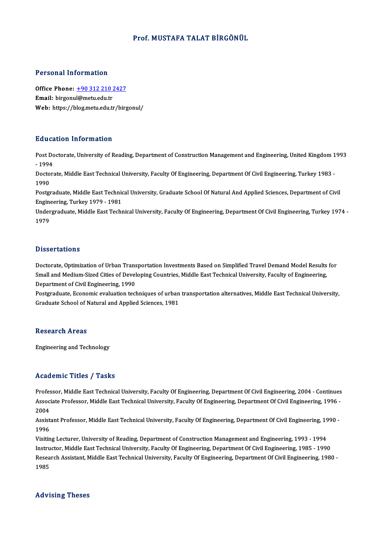### Prof.MUSTAFA TALAT BİRGÖNÜL

#### Personal Information

Personal Information<br>Office Phone: <u>+90 312 210 2427</u><br>Email: birgonyl@mety.edu.tr office Phone: <u>+90 312 210 2</u><br>Email: birgonu[l@metu.edu.tr](tel:+90 312 210 2427)<br>Web: bttps://blog.metu.edu.tr Office Phone: <u>+90 312 210 2427</u><br>Email: birgonul@metu.edu.tr<br>Web: https://blog.metu.edu.tr/birgonul/ Web: https://blog.metu.edu.tr/birgonul/<br>Education Information

**Education Information**<br>Post Doctorate, University of Reading, Department of Construction Management and Engineering, United Kingdom 1993<br>1994 Pause<br>Post Do<br>- 1994<br>Posters Post Doctorate, University of Reading, Department of Construction Management and Engineering, United Kingdom 1<br>- 1994<br>Doctorate, Middle East Technical University, Faculty Of Engineering, Department Of Civil Engineering, Tu

- 1994<br>Doctorate, Middle East Technical University, Faculty Of Engineering, Department Of Civil Engineering, Turkey 1983 -<br>1990 Doctorate, Middle East Technical University, Faculty Of Engineering, Department Of Civil Engineering, Turkey 1983<br>1990<br>Postgraduate, Middle East Technical University, Graduate School Of Natural And Applied Sciences, Depart

1990<br>Postgraduate, Middle East Technic<br>Engineering, Turkey 1979 - 1981<br>Undergraduate, Middle East Techn Engineering, Turkey 1979 - 1981

Undergraduate, Middle East Technical University, Faculty Of Engineering, Department Of Civil Engineering, Turkey 1974 -<br>1979

#### **Dissertations**

Doctorate, Optimization of Urban Transportation Investments Based on Simplified Travel Demand Model Results for S isseer carre inc<br>Doctorate, Optimization of Urban Transportation Investments Based on Simplified Travel Demand Model Results<br>Small and Medium-Sized Cities of Developing Countries, Middle East Technical University, Facult Doctorate, Optimization of Urban Trans<br>Small and Medium-Sized Cities of Devel<br>Department of Civil Engineering, 1990<br>Postareduate, Esenomis evaluation tool Small and Medium-Sized Cities of Developing Countries, Middle East Technical University, Faculty of Engineering,<br>Department of Civil Engineering, 1990<br>Postgraduate, Economic evaluation techniques of urban transportation al

Department of Civil Engineering, 1990<br>Postgraduate, Economic evaluation techniques of urban transportation alternatives, Middle East Technical University,<br>Graduate School of Natural and Applied Sciences, 1981

#### **Research Areas**

Engineering and Technology

### Academic Titles / Tasks

Academic Titles / Tasks<br>Professor, Middle East Technical University, Faculty Of Engineering, Department Of Civil Engineering, 2004 - Continues<br>Associate Professor, Middle Fast Technical University, Faculty Of Engineering, AssociateMice Profes / Profes<br>Professor, Middle East Technical University, Faculty Of Engineering, Department Of Civil Engineering, 2004 - Continues<br>Associate Professor, Middle East Technical University, Faculty Of Enginee Profes<br>Assoc<br>2004<br>Assist Associate Professor, Middle East Technical University, Faculty Of Engineering, Department Of Civil Engineering, 1996 -<br>2004<br>Assistant Professor, Middle East Technical University, Faculty Of Engineering, Department Of Civil

1996 Assistant Professor, Middle East Technical University, Faculty Of Engineering, Department Of Civil Engineering, 19<br>1996<br>Visiting Lecturer, University of Reading, Department of Construction Management and Engineering, 1993

1996<br>Visiting Lecturer, University of Reading, Department of Construction Management and Engineering, 1993 - 1994<br>Instructor, Middle East Technical University, Faculty Of Engineering, Department Of Civil Engineering, 1985 Visiting Lecturer, University of Reading, Department of Construction Management and Engineering, 1993 - 1994<br>Instructor, Middle East Technical University, Faculty Of Engineering, Department Of Civil Engineering, 1985 - 199 Instructor, Middle East Technical University, Faculty Of Engineering, Department Of Civil Engineering, 1985 - 1990<br>Research Assistant, Middle East Technical University, Faculty Of Engineering, Department Of Civil Engineeri

### Advising Theses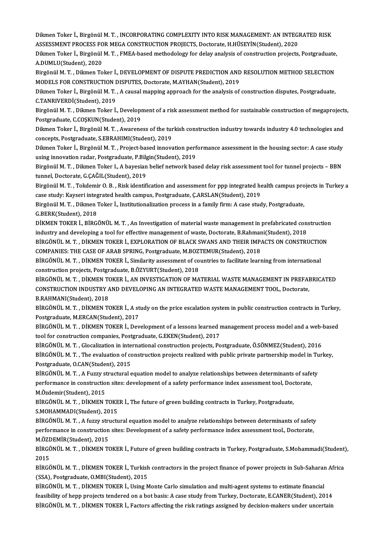Dikmen Toker İ., Birgönül M. T. , INCORPORATING COMPLEXITY INTO RISK MANAGEMENT: AN INTEGRATED RISK<br>ASSESSMENT PROCESS FOR MECA CONSTRUCTION PROJECTS, Destarate, H HÜSEVİN(Student), 2020 Dikmen Toker İ., Birgönül M. T. , INCORPORATING COMPLEXITY INTO RISK MANAGEMENT: AN INTEGI<br>ASSESSMENT PROCESS FOR MEGA CONSTRUCTION PROJECTS, Doctorate, H.HÜSEYİN(Student), 2020<br>Dilman Takar İ. Birgönül M. T., EMEA based m Dikmen Toker İ., Birgönül M. T. , INCORPORATING COMPLEXITY INTO RISK MANAGEMENT: AN INTEGRATED RISK<br>ASSESSMENT PROCESS FOR MEGA CONSTRUCTION PROJECTS, Doctorate, H.HÜSEYİN(Student), 2020<br>Dikmen Toker İ., Birgönül M. T. , F

ASSESSMENT PROCESS FOR MEGA CONSTRUCTION PROJECTS, Doctorate, H.HÜSEYİN(Student), 2020<br>Dikmen Toker İ., Birgönül M. T. , FMEA-based methodology for delay analysis of construction projects, Postgraduate,<br>A.DUMLU(Student), 2 Dikmen Toker İ., Birgönül M. T. , FMEA-based methodology for delay analysis of construction projects, Postgraduate,<br>A.DUMLU(Student), 2020<br>Birgönül M. T. , Dikmen Toker İ., DEVELOPMENT OF DISPUTE PREDICTION AND RESOLUTION

A.DUMLU(Student), 2020<br>Birgönül M. T. , Dikmen Toker İ., DEVELOPMENT OF DISPUTE PREDICTION AND<br>MODELS FOR CONSTRUCTION DISPUTES, Doctorate, M.AYHAN(Student), 2019<br>Dikmen Toker İ. Birgönül M. T. A sausal manning annreash fo Birgönül M. T. , Dikmen Toker İ., DEVELOPMENT OF DISPUTE PREDICTION AND RESOLUTION METHOD SELECTION<br>MODELS FOR CONSTRUCTION DISPUTES, Doctorate, M.AYHAN(Student), 2019<br>Dikmen Toker İ., Birgönül M. T. , A causal mapping app

MODELS FOR CONSTRUCTION I<br>Dikmen Toker İ., Birgönül M. T.<br>C.TANRIVERDİ(Student), 2019<br>Birgönül M. T., Dilmon Tokor İ. Dikmen Toker İ., Birgönül M. T. , A causal mapping approach for the analysis of construction disputes, Postgraduate,<br>C.TANRIVERDİ(Student), 2019<br>Birgönül M. T. , Dikmen Toker İ., Development of a risk assessment method for

C.TANRIVERDİ(Student), 2019<br>Birgönül M. T. , Dikmen Toker İ., Developı<br>Postgraduate, C.COŞKUN(Student), 2019<br>Dilmen Toker İ. Birgönül M. T. Avratene Birgönül M. T. , Dikmen Toker İ., Development of a risk assessment method for sustainable construction of megaproject:<br>Postgraduate, C.COŞKUN(Student), 2019<br>Dikmen Toker İ., Birgönül M. T. , Awareness of the turkish constr

Postgraduate, C.COŞKUN(Student), 2019<br>Dikmen Toker İ., Birgönül M. T. , Awareness of the turkish construction industry towards industry 4.0 technologies and<br>concepts, Postgraduate, S.EBRAHIMI(Student), 2019 Dikmen Toker İ., Birgönül M. T. , Awareness of the turkish construction industry towards industry 4.0 technologies and<br>concepts, Postgraduate, S.EBRAHIMI(Student), 2019<br>Dikmen Toker İ., Birgönül M. T. , Project-based innov

concepts, Postgraduate, S.EBRAHIMI(Student), 2019<br>Dikmen Toker İ., Birgönül M. T. , Project-based innovation perf<br>using innovation radar, Postgraduate, P.Bilgin(Student), 2019<br>Birgönül M. T., Dilmen Teker L. A bayesian bel Dikmen Toker İ., Birgönül M. T. , Project-based innovation performance assessment in the housing sector: A case study<br>using innovation radar, Postgraduate, P.Bilgin(Student), 2019<br>Birgönül M. T. , Dikmen Toker I., A bayesi

using innovation radar, Postgraduate, P.Bilg<br>Birgönül M. T. , Dikmen Toker I., A bayesian<br>tunnel, Doctorate, G.ÇAĞIL(Student), 2019<br>Birgönül M. T., Tokdomir O. B., Bisk identifi Birgönül M. T. , Dikmen Toker I., A bayesian belief network based delay risk assessment tool for tunnel projects – BBN<br>tunnel, Doctorate, G.ÇAĞIL(Student), 2019<br>Birgönül M. T. , Tokdemir O. B. , Risk identification and ass

tunnel, Doctorate, G.ÇAĞIL(Student), 2019<br>Birgönül M. T. , Tokdemir O. B. , Risk identification and assessment for ppp integrated he<br>case study: Kayseri integrated health campus, Postgraduate, Ç.ARSLAN(Student), 2019<br>Birgö Birgönül M. T. , Tokdemir O. B. , Risk identification and assessment for ppp integrated health campus pro<br>case study: Kayseri integrated health campus, Postgraduate, Ç.ARSLAN(Student), 2019<br>Birgönül M. T. , Dikmen Toker İ.

case study: Kayseri integrated health campus, Postgraduate, Ç.ARSLAN(Student), 2019<br>Birgönül M. T. , Dikmen Toker İ., Institutionalization process in a family firm: A case study, Postgraduate,<br>G.BERK(Student), 2018 Birgönül M. T. , Dikmen Toker İ., Institutionalization process in a family firm: A case study, Postgraduate,<br>G.BERK(Student), 2018<br>DİKMEN TOKER İ., BİRGÖNÜL M. T. , An Investigation of material waste management in prefabri

G.BERK(Student), 2018<br>DİKMEN TOKER İ., BİRGÖNÜL M. T. , An Investigation of material waste management in prefabricated con:<br>industry and developing a tool for effective management of waste, Doctorate, B.Rahmani(Student), 2 DİKMEN TOKER İ., BİRGÖNÜL M. T. , An Investigation of material waste management in prefabricated construction<br>industry and developing a tool for effective management of waste, Doctorate, B.Rahmani(Student), 2018<br>BİRGÖNÜL M

industry and developing a tool for effective management of waste, Doctorate, B.Rahmar<br>BİRGÖNÜL M. T. , DİKMEN TOKER İ., EXPLORATION OF BLACK SWANS AND THEIR IMP.<br>COMPANIES: THE CASE OF ARAB SPRING, Postgraduate, M.BOZTEMUR BİRGÖNÜL M. T. , DİKMEN TOKER İ., EXPLORATION OF BLACK SWANS AND THEIR IMPACTS ON CONSTRUCTION<br>COMPANIES: THE CASE OF ARAB SPRING, Postgraduate, M.BOZTEMUR(Student), 2018<br>BİRGÖNÜL M. T. , DİKMEN TOKER İ., Similarity assess

COMPANIES: THE CASE OF ARAB SPRING, Postgraduate, M.BOZ<br>BİRGÖNÜL M. T. , DİKMEN TOKER İ., Similarity assessment of co<br>construction projects, Postgraduate, B.ÖZYURT(Student), 2018<br>PİRGÖNÜL M. T. DİKMEN TOKER İ. AN INVESTIC BİRGÖNÜL M. T. , DİKMEN TOKER İ., Similarity assessment of countries to facilitate learning from international<br>construction projects, Postgraduate, B.ÖZYURT(Student), 2018<br>BİRGÖNÜL M. T. . DİKMEN TOKER İ.. AN INVESTIGATION

construction projects, Postgraduate, B.ÖZYURT(Student), 2018<br>BİRGÖNÜL M. T. , DİKMEN TOKER İ., AN INVESTIGATION OF MATERIAL WASTE MANAGEMENT IN PREFAI<br>CONSTRUCTION INDUSTRY AND DEVELOPING AN INTEGRATED WASTE MANAGEMENT TOO BİRGÖNÜL M. T. , DİKMEN TO<br>CONSTRUCTION INDUSTRY A<br>B.RAHMANI(Student), 2018<br>PİRCÖNÜL M. T., DİKMEN TO CONSTRUCTION INDUSTRY AND DEVELOPING AN INTEGRATED WASTE MANAGEMENT TOOL, Doctorate,<br>B.RAHMANI(Student), 2018<br>BİRGÖNÜL M. T. , DİKMEN TOKER İ., A study on the price escalation system in public construction contracts in Tur

B.RAHMANI(Student), 2018<br>BİRGÖNÜL M. T. , DİKMEN TOKER İ., A st<br>Postgraduate, M.ERCAN(Student), 2017<br>PİRCÖNÜL M. T. , DİKMEN TOKER İ. Dev BİRGÖNÜL M. T. , DİKMEN TOKER İ., A study on the price escalation system in public construction contracts in Turkey,<br>Postgraduate, M.ERCAN(Student), 2017<br>BİRGÖNÜL M. T. , DİKMEN TOKER İ., Development of a lessons learned m

Postgraduate, M.ERCAN(Student), 2017<br>BİRGÖNÜL M. T. , DİKMEN TOKER İ., Development of a lessons learned r<br>tool for construction companies, Postgraduate, G.EKEN(Student), 2017<br>PİRGÖNÜL M.T., Classliation in international se BİRGÖNÜL M. T. , DİKMEN TOKER İ., Development of a lessons learned management process model and a web-<br>tool for construction companies, Postgraduate, G.EKEN(Student), 2017<br>BİRGÖNÜL M. T. , Glocalization in international co

tool for construction companies, Postgraduate, G.EKEN(Student), 2017<br>BİRGÖNÜL M. T. , Glocalization in international construction projects, Postgraduate, Ö.SÖNMEZ(Student), 2016<br>BİRGÖNÜL M. T. , The evaluation of construct BİRGÖNÜL M. T. , Glocalization in inte<br>BİRGÖNÜL M. T. , The evaluation of contractional process Postgraduate, O.CAN(Student), 2015 BİRGÖNÜL M. T. , The evaluation of construction projects realized with public private partnership model in Tu<br>Postgraduate, O.CAN(Student), 2015<br>BİRGÖNÜL M. T. , A Fuzzy structural equation model to analyze relationships b

Postgraduate, O.CAN(Student), 2015<br>BİRGÖNÜL M. T. , A Fuzzy structural equation model to analyze relationships between determinants of safe<br>performance in construction sites: development of a safety performance index asses BİRGÖNÜL M. T. , A Fuzzy st<br>performance in constructio<br>M.Özdemir(Student), 2015<br>PİRCÖNÜL M. T. DİYMEN 3 performance in construction sites: development of a safety performance index assessment tool, Doc<br>M.Özdemir(Student), 2015<br>BİRGÖNÜL M. T. , DİKMEN TOKER İ., The future of green building contracts in Turkey, Postgraduate,<br>S

M.Özdemir(Student), 2015<br>BİRGÖNÜL M. T. , DİKMEN TOKER İ., The future of green building contracts in Turkey, Postgraduate,<br>S.MOHAMMADI(Student), 2015 BİRGÖNÜL M. T. , DİKMEN TOKER İ., The future of green building contracts in Turkey, Postgraduate,<br>S.MOHAMMADI(Student), 2015<br>BİRGÖNÜL M. T. , A fuzzy structural equation model to analyze relationships between determinants

S.MOHAMMADI(Student), 2015<br>BİRGÖNÜL M. T. , A fuzzy structural equation model to analyze relationships between determinants of safety<br>performance in construction sites: Development of a safety performance index assessment BİRGÖNÜL M. T. , A fuzzy stri<br>performance in construction<br>M.ÖZDEMİR(Student), 2015<br>PİRCÖNÜL M. T. DİKMEN TG performance in construction sites: Development of a safety performance index assessment tool., Doctorate,<br>M.ÖZDEMİR(Student), 2015<br>BİRGÖNÜL M. T. , DİKMEN TOKER İ., Future of green building contracts in Turkey, Postgraduat

M.ÖZ<mark>I</mark><br>BİRGÖ<br>2015 BİRGÖNÜL M. T. , DİKMEN TOKER İ., Future of green building contracts in Turkey, Postgraduate, S.Mohammadi(Student)<br>2015<br>BİRGÖNÜL M. T. , DİKMEN TOKER İ., Turkish contractors in the project finance of power projects in Sub-

2015<br>BİRGÖNÜL M. T. , DİKMEN TOKER İ., Turkish<br>(SSA), Postgraduate, O.MBI(Student), 2015<br>PİRÇÖNÜL M. T., DİKMEN TOKER İ. Heine M BİRGÖNÜL M. T. , DİKMEN TOKER İ., Turkish contractors in the project finance of power projects in Sub-Saharar<br>(SSA), Postgraduate, O.MBI(Student), 2015<br>BİRGÖNÜL M. T. , DİKMEN TOKER İ., Using Monte Carlo simulation and mul

(SSA), Postgraduate, O.MBI(Student), 2015<br>BİRGÖNÜL M. T. , DİKMEN TOKER İ., Using Monte Carlo simulation and multi-agent systems to estimate financial<br>feasibility of hepp projects tendered on a bot basis: A case study from BİRGÖNÜL M.T., DİKMEN TOKER İ., Factors affecting the risk ratings assigned by decision-makers under uncertain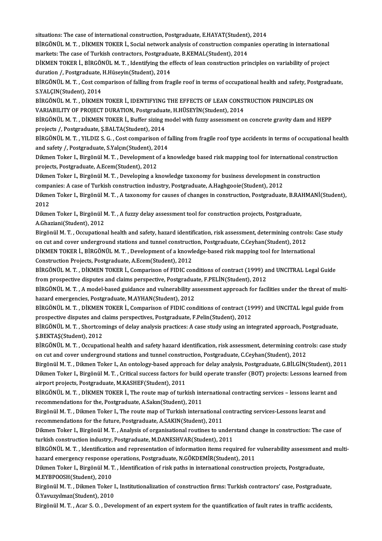situations:The case of international construction,Postgraduate,E.HAYAT(Student),2014

situations: The case of international construction, Postgraduate, E.HAYAT(Student), 2014<br>BİRGÖNÜL M. T. , DİKMEN TOKER İ., Social network analysis of construction companies operating in international<br>markata: The case of T situations: The case of international construction, Postgraduate, E.HAYAT(Student)<br>BİRGÖNÜL M. T. , DİKMEN TOKER İ., Social network analysis of construction compa<br>markets: The case of Turkish contractors, Postgraduate, B.K BİRGÖNÜL M. T. , DİKMEN TOKER İ., Social network analysis of construction companies operating in international<br>markets: The case of Turkish contractors, Postgraduate, B.KEMAL(Student), 2014<br>DİKMEN TOKER İ., BİRGÖNÜL M. T.

markets: The case of Turkish contractors, Postgraduation<br>DİKMEN TOKER İ., BİRGÖNÜL M. T. , Identifying the e<br>duration /, Postgraduate, H.Hüseyin(Student), 2014<br>PİRGÖNÜL M. T., Cost comparison of falling from fra DİKMEN TOKER İ., BİRGÖNÜL M. T. , Identifying the effects of lean construction principles on variability of project<br>duration /, Postgraduate, H.Hüseyin(Student), 2014<br>BİRGÖNÜL M. T. , Cost comparison of falling from fragil

duration /, Postgraduate, H.Hüseyin(Student), 2014<br>BİRGÖNÜL M. T. , Cost comparison of falling from fra<br>S.YALÇIN(Student), 2014 BİRGÖNÜL M. T. , Cost comparison of falling from fragile roof in terms of occupational health and safety, Pos<br>S.YALÇIN(Student), 2014<br>BİRGÖNÜL M. T. , DİKMEN TOKER İ., IDENTIFYING THE EFFECTS OF LEAN CONSTRUCTION PRINCIPLE

BİRGÖNÜL M. T. , DİKMEN TOKER İ., IDENTIFYING THE EFFECTS OF LEAN CONSTRUCTION PRINCIPLES ON<br>VARIABILITY OF PROJECT DURATION, Postgraduate, H.HÜSEYİN(Student), 2014 BİRGÖNÜL M. T. , DİKMEN TOKER İ., IDENTIFYING THE EFFECTS OF LEAN CONSTRUCTION PRINCIPLES ON<br>VARIABILITY OF PROJECT DURATION, Postgraduate, H.HÜSEYİN(Student), 2014<br>BİRGÖNÜL M. T. , DİKMEN TOKER İ., Buffer sizing model wit

VARIABILITY OF PROJECT DURATION, Postgraduat<br>BİRGÖNÜL M. T. , DİKMEN TOKER İ., Buffer sizing r<br>projects /, Postgraduate, Ş.BALTA(Student), 2014<br>PİRCÖNÜL M. T., VILDIZ S. G., Gest semnarisan of BİRGÖNÜL M. T. , DİKMEN TOKER İ., Buffer sizing model with fuzzy assessment on concrete gravity dam and HEPP<br>projects /, Postgraduate, Ş.BALTA(Student), 2014<br>BİRGÖNÜL M. T. , YILDIZ S. G. , Cost comparison of falling from

projects /, Postgraduate, Ş.BALTA(Student), 2014<br>BİRGÖNÜL M. T. , YILDIZ S. G. , Cost comparison of falling from fragile roof type accidents in terms of occupational health<br>and safety /, Postgraduate, S.Yalçın(Student), 20 BİRGÖNÜL M. T. , YILDIZ S. G. , Cost comparison of falling from fragile roof type accidents in terms of occupational hearty of a knowledge based risk mapping tool for international construction<br>Dikmen Toker I., Birgönül M.

and safety /, Postgraduate, S.Yalçın(Student), 20<br>Dikmen Toker I., Birgönül M. T. , Development o<br>projects, Postgraduate, A.Ecem(Student), 2012<br>Dilmen Toker J., Birgönül M. T., Developing a k Dikmen Toker I., Birgönül M. T. , Development of a knowledge based risk mapping tool for international constru<br>projects, Postgraduate, A.Ecem(Student), 2012<br>Dikmen Toker I., Birgönül M. T. , Developing a knowledge taxonomy projects, Postgraduate, A.Ecem(Student), 2012<br>Dikmen Toker I., Birgönül M. T. , Developing a knowledge taxonomy for business development in construction

companies: A case of Turkish construction industry, Postgraduate, A.Haghgooie(Student), 2012

Dikmen Toker I., Birgönül M.T., A taxonomy for causes of changes in construction, Postgraduate, B.RAHMANİ(Student),<br>2012 Dikmen Toker I., Birgönül M. T. , A taxonomy for causes of changes in construction, Postgraduate, B.RA<br>2012<br>Dikmen Toker I., Birgönül M. T. , A fuzzy delay assessment tool for construction projects, Postgraduate,<br>A Charian

2012<br>Dikmen Toker I., Birgönül M<br>A.Ghaziani(Student), 2012<br>Birgönül M.T., Ossunations

A.Ghaziani(Student), 2012<br>Birgönül M. T. , Occupational health and safety, hazard identification, risk assessment, determining controls: Case study A.Ghaziani(Student), 2012<br>Birgönül M. T. , Occupational health and safety, hazard identification, risk assessment, determining contro<br>on cut and cover underground stations and tunnel construction, Postgraduate, C.Ceyhan(St Birgönül M. T. , Occupational health and safety, hazard identification, risk assessment, determining controls:<br>on cut and cover underground stations and tunnel construction, Postgraduate, C.Ceyhan(Student), 2012<br>DİKMEN TOK

on cut and cover underground stations and tunnel constructief DiKMEN TOKER I., BIRGÖNÜL M. T. , Development of a knowl<br>Construction Projects, Postgraduate, A.Ecem(Student), 2012<br>PIRCÖNÜL M. T., DIKMEN TOKER I. Comparison o DİKMEN TOKER İ., BİRGÖNÜL M. T. , Development of a knowledge-based risk mapping tool for International<br>Construction Projects, Postgraduate, A.Ecem(Student), 2012<br>BİRGÖNÜL M. T. , DİKMEN TOKER İ., Comparison of FIDIC condit

Construction Projects, Postgraduate, A.Ecem(Student), 2012<br>BİRGÖNÜL M. T. , DİKMEN TOKER İ., Comparison of FIDIC conditions of contract (1999) and UNCITRAL Legal Guide<br>from prospective disputes and claims perspective, Post BİRGÖNÜL M. T. , DİKMEN TOKER İ., Comparison of FIDIC conditions of contract (1999) and UNCITRAL Legal Guide<br>from prospective disputes and claims perspective, Postgraduate, F.PELİN(Student), 2012<br>BİRGÖNÜL M. T. , A model-b

hazard emergencies, Postgraduate, M.AYHAN(Student), 2012 BİRGÖNÜL M. T. , A model-based guidance and vulnerability assessment approach for facilities under the threat of multi-<br>hazard emergencies, Postgraduate, M.AYHAN(Student), 2012<br>BİRGÖNÜL M. T. , DİKMEN TOKER İ., Comparison

BİRGÖNÜL M. T. , DİKMEN TOKER İ., Comparison of FIDIC conditions of contract (1999) and UNCITAL legal guide from<br>prospective disputes and claims perspectives, Postgraduate, F.Pelin(Student), 2012 BİRGÖNÜL M. T. , DİKMEN TOKER İ., Comparison of FIDIC conditions of contract (1999) and UNCITAL legal guide fro<br>prospective disputes and claims perspectives, Postgraduate, F.Pelin(Student), 2012<br>BİRGÖNÜL M. T. , Shortcomin

prospective disputes and c<br>BİRGÖNÜL M. T. , Shortcon<br>Ş.BEKTAŞ(Student), 2012<br>PİRCÖNÜL M. T. Qosunati BİRGÖNÜL M. T. , Shortcomings of delay analysis practices: A case study using an integrated approach, Postgraduate,<br>Ş.BEKTAŞ(Student), 2012<br>BİRGÖNÜL M. T. , Occupational health and safety hazard identification, risk assess

\$.BEKTA\$(Student), 2012<br>BİRGÖNÜL M. T. , Occupational health and safety hazard identification, risk assessment, determining controls: case study<br>on cut and cover underground stations and tunnel construction, Postgraduate,

Birgönül M.T., Dikmen Toker I., An ontology-based approach for delay analysis, Postgraduate, G.BİLGİN(Student), 2011 on cut and cover underground stations and tunnel construction, Postgraduate, C.Ceyhan(Student), 2012<br>Birgönül M. T. , Dikmen Toker I., An ontology-based approach for delay analysis, Postgraduate, G.BİLGİN(Student), 2011<br>Di airport projects, Postgraduate, M.KASHEF(Student), 2011 Dikmen Toker I., Birgönül M. T. , Critical success factors for build operate transfer (BOT) projects: Lessons learned fra<br>airport projects, Postgraduate, M.KASHEF(Student), 2011<br>BİRGÖNÜL M. T. , DİKMEN TOKER İ., The route

airport projects, Postgraduate, M.KASHEF(Student), 2011<br>BİRGÖNÜL M. T. , DİKMEN TOKER İ., The route map of turkish int<br>recommendations for the, Postgraduate, A.Sakın(Student), 2011<br>Birgönül M. T. , Dilmon Toker J. The rout BİRGÖNÜL M. T. , DİKMEN TOKER İ., The route map of turkish international contracting services – lessons learnt<br>recommendations for the, Postgraduate, A.Sakın(Student), 2011<br>Birgönül M. T. , Dikmen Toker I., The route map o

recommendations for the, Postgraduate, A.Sakın(Student), 2011<br>Birgönül M. T. , Dikmen Toker I., The route map of Turkish international of<br>recommendations for the future, Postgraduate, A.SAKIN(Student), 2011<br>Dilmen Toker L. Birgönül M. T. , Dikmen Toker I., The route map of Turkish international contracting services-Lessons learnt and<br>recommendations for the future, Postgraduate, A.SAKIN(Student), 2011<br>Dikmen Toker I., Birgönül M. T. , Analys

recommendations for the future, Postgraduate, A.SAKIN(Student), 2011<br>Dikmen Toker I., Birgönül M. T. , Analysis of organisational routines to understand change in construction: The case of<br>turkish construction industry, Po Dikmen Toker I., Birgönül M. T. , Analysis of organisational routines to understand change in construction: The case of<br>turkish construction industry, Postgraduate, M.DANESHVAR(Student), 2011<br>BİRGÖNÜL M. T. , Identificatio

turkish construction industry, Postgraduate, M.DANESHVAR(Student), 2011<br>BİRGÖNÜL M. T. , Identification and representation of information items required for<br>hazard emergency response operations, Postgraduate, N.GÖKDEMİR(St BİRGÖNÜL M. T. , Identification and representation of information items required for vulnerability assessment a<br>hazard emergency response operations, Postgraduate, N.GÖKDEMİR(Student), 2011<br>Dikmen Toker I., Birgönül M. T.

hazard emergency response operations, Postgraduate, N.GÖKDEMİR(Student), 2011<br>Dikmen Toker I., Birgönül M. T. , Identification of risk paths in international construct<br>M.EYBPOOSH(Student), 2010 Dikmen Toker I., Birgönül M. T. , Identification of risk paths in international construction projects, Postgraduate,<br>M.EYBPOOSH(Student), 2010<br>Birgönül M. T. , Dikmen Toker I., Institutionalization of construction firms: T

Birgönül M. T., Dikmen Toker I., Institutionalization of construction firms: Turkish contractors' case, Postgraduate,

Birgönül M.T., Acar S.O., Development of an expert system for the quantification of fault rates in traffic accidents,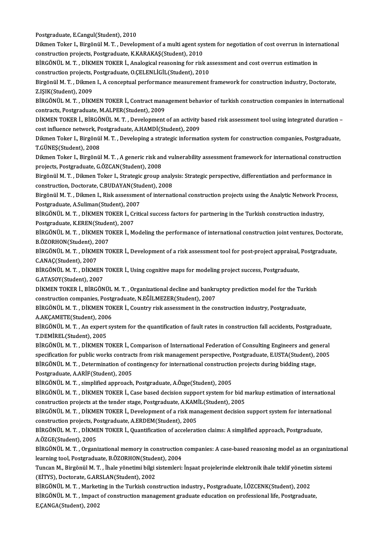Postgraduate, E.Cangul(Student), 2010

Postgraduate, E.Cangul(Student), 2010<br>Dikmen Toker I., Birgönül M. T. , Development of a multi agent system for negotiation of cost overrun in international<br>construction prejects, Bestsreduste, KKARAKAS(Student), 2010 Postgraduate, E.Cangul(Student), 2010<br>Dikmen Toker I., Birgönül M. T. , Development of a multi agent sys<br>construction projects, Postgraduate, K.KARAKAŞ(Student), 2010<br>PIRÇÖNÜL M. T. - DİKMEN TOKER İ. Analagisal ressening f Dikmen Toker I., Birgönül M. T. , Development of a multi agent system for negotiation of cost overrun in intern<br>construction projects, Postgraduate, K.KARAKAŞ(Student), 2010<br>BİRGÖNÜL M. T. , DİKMEN TOKER İ., Analogical rea

construction projects, Postgraduate, K.KARAKAŞ(Student), 2010<br>BİRGÖNÜL M. T. , DİKMEN TOKER İ., Analogical reasoning for risk as<br>construction projects, Postgraduate, O.ÇELENLİGİL(Student), 2010<br>Birgönül M. T. - Dilman J. A BİRGÖNÜL M. T. , DİKMEN TOKER İ., Analogical reasoning for risk assessment and cost overrun estimation in<br>construction projects, Postgraduate, O.ÇELENLİGİL(Student), 2010<br>Birgönül M. T. , Dikmen I., A conceptual performanc

construction projects, Postgraduate, O.ÇELENLİGİL(Student), 2010<br>Birgönül M. T. , Dikmen I., A conceptual performance measurement framework for construction industry, Doctorate,<br>Z.IŞIK(Student), 2009<br>BİRGÖNÜL M. T. , DİKME Birgönül M. T. , Dikmen I., A conceptual performance measurement framework for construction industry, Doctorate,<br>Z.IŞIK(Student), 2009<br>BİRGÖNÜL M. T. , DİKMEN TOKER İ., Contract management behavior of turkish construction

contracts, Postgraduate, M.ALPER(Student), 2009 BİRGÖNÜL M. T. , DİKMEN TOKER İ., Contract management behavior of turkish construction companies in international<br>contracts, Postgraduate, M.ALPER(Student), 2009<br>DİKMEN TOKER İ., BİRGÖNÜL M. T. , Development of an activity

contracts, Postgraduate, M.ALPER(Student), 2009<br>DİKMEN TOKER İ., BİRGÖNÜL M. T. , Development of an activity<br>cost influence network, Postgraduate, A.HAMDİ(Student), 2009<br>Dilman Toker L. Birgönül M. T., Developing a strator DİKMEN TOKER İ., BİRGÖNÜL M. T. , Development of an activity based risk assessment tool using integrated duration<br>cost influence network, Postgraduate, A.HAMDİ(Student), 2009<br>Dikmen Toker I., Birgönül M. T. , Developing a

cost influence network, Postgraduate, A.HAMDİ(Student), 2009<br>Dikmen Toker I., Birgönül M. T. , Developing a strategic information system for construction companies, Postgraduate,<br>T.GÜNES(Student), 2008 Dikmen Toker I., Birgönül M. T. , Developing a strategic information system for construction companies, Postgraduate,<br>T.GÜNEŞ(Student), 2008<br>Dikmen Toker I., Birgönül M. T. , A generic risk and vulnerability assessment fra

T.GÜNEŞ(Student), 2008<br>Dikmen Toker I., Birgönül M. T. , A generic risk an<br>projects, Postgraduate, G.ÖZCAN(Student), 2008<br>Birgönül M. T. - Dilmon Toker L. Strategis group s Dikmen Toker I., Birgönül M. T. , A generic risk and vulnerability assessment framework for international constructi<br>projects, Postgraduate, G.ÖZCAN(Student), 2008<br>Birgönül M. T. , Dikmen Toker I., Strategic group analysis projects, Postgraduate, G.ÖZCAN(Student), 2008<br>Birgönül M. T. , Dikmen Toker I., Strategic group analysis: Strategic perspective, differentiation and performance in

construction, Doctorate, C.BUDAYAN(Student), 2008

Birgönül M. T. , Dikmen I., Risk assessment of international construction projects using the Analytic Network Process,<br>Postgraduate, A.Suliman(Student), 2007 Birgönül M. T. , Dikmen I., Risk assessment of international construction projects using the Analytic Network Prc<br>Postgraduate, A.Suliman(Student), 2007<br>BİRGÖNÜL M. T. , DİKMEN TOKER İ., Critical success factors for partne

Postgraduate, A.Suliman(Student), 200<br>BİRGÖNÜL M. T. , DİKMEN TOKER İ., Cr<br>Postgraduate, K.EREN(Student), 2007<br>PİRCÖNÜL M. T. DİKMEN TOKER İ. M

BİRGÖNÜL M. T. , DİKMEN TOKER İ., Critical success factors for partnering in the Turkish construction industry,<br>Postgraduate, K.EREN(Student), 2007<br>BİRGÖNÜL M. T. , DİKMEN TOKER İ., Modeling the performance of internationa Postgraduate, K.EREN(Student), 2007<br>BİRGÖNÜL M. T. , DİKMEN TOKER İ., Modeling the performance of international construction joint ventures, Doctorate,<br>B.ÖZORHON(Student), 2007 BİRGÖNÜL M. T. , DİKMEN TOKER İ., Modeling the performance of international construction joint ventures, Doctorat<br>B.ÖZORHON(Student), 2007<br>BİRGÖNÜL M. T. , DİKMEN TOKER İ., Development of a risk assessment tool for post-pr

B.ÖZORHON(Student), 2<br>BİRGÖNÜL M. T. , DİKME<br>C.ANAÇ(Student), 2007<br>PİRÇÖNÜL M. T. DİKME BİRGÖNÜL M. T. , DİKMEN TOKER İ., Development of a risk assessment tool for post-project appraisal,<br>C.ANAÇ(Student), 2007<br>BİRGÖNÜL M. T. , DİKMEN TOKER İ., Using cognitive maps for modeling project success, Postgraduate,<br>C

C.ANAÇ(Student), 2007<br>BİRGÖNÜL M. T. , DİKMEN<br>G.ATASOY(Student), 2007<br>DİKMEN TOKER İ. BİRGÖN BİRGÖNÜL M. T. , DİKMEN TOKER İ., Using cognitive maps for modeling project success, Postgraduate,<br>G.ATASOY(Student), 2007<br>DİKMEN TOKER İ., BİRGÖNÜL M. T. , Organizational decline and bankruptcy prediction model for the Tu

G.ATASOY(Student), 2007<br>DİKMEN TOKER İ., BİRGÖNÜL M. T. , Organizational decline and bankrı<br>construction companies, Postgraduate, N.EĞİLMEZER(Student), 2007<br>PİRGÖNÜL M. T., DİKMEN TOKER İ. Countur risk assessment in the se DİKMEN TOKER İ., BİRGÖNÜL M. T. , Organizational decline and bankruptcy prediction model for the Turkish<br>construction companies, Postgraduate, N.EĞİLMEZER(Student), 2007<br>BİRGÖNÜL M. T. , DİKMEN TOKER İ., Country risk asses

construction companies, Postg<br>BİRGÖNÜL M. T. , DİKMEN TOI<br>A.AKÇAMETE(Student), 2006<br>PİRGÖNÜL M. T. , An evnest su BİRGÖNÜL M. T. , DİKMEN TOKER İ., Country risk assessment in the construction industry, Postgraduate,<br>A.AKÇAMETE(Student), 2006<br>BİRGÖNÜL M. T. , An expert system for the quantification of fault rates in construction fall a

A.AKÇAMETE(Student), 200<br>BİRGÖNÜL M. T. , An expert<br>T.DEMİREL(Student), 2005<br>PİRGÖNÜL M. T. DİKMEN T BİRGÖNÜL M. T. , An expert system for the quantification of fault rates in construction fall accidents, Postgraduate<br>T.DEMİREL(Student), 2005<br>BİRGÖNÜL M. T. , DİKMEN TOKER İ., Comparison of International Federation of Cons

T.DEMİREL(Student), 2005<br>BİRGÖNÜL M. T. , DİKMEN TOKER İ., Comparison of International Federation of Consulting Engineers and general<br>specification for public works contracts from risk management perspective, Postgraduate, BİRGÖNÜL M. T. , DİKMEN TOKER İ., Comparison of International Federation of Consulting Engineers and get<br>specification for public works contracts from risk management perspective, Postgraduate, E.USTA(Student),<br>BİRGÖNÜL M. specification for public works contracts from risk management perspective, Postgraduate, E.USTA(Student), 2005<br>BİRGÖNÜL M. T. , Determination of contingency for international construction projects during bidding stage,<br>Pos

BİRGÖNÜL M.T., simplified approach, Postgraduate, A.Özge(Student), 2005

Postgraduate, A.ARİF(Student), 2005<br>BİRGÖNÜL M. T. , simplified approach, Postgraduate, A.Özge(Student), 2005<br>BİRGÖNÜL M. T. , DİKMEN TOKER İ., Case based decision support system for bid markup estimation of international BİRGÖNÜL M. T. , simplified approach, Postgraduate, A.Özge(Student), 2005<br>BİRGÖNÜL M. T. , DİKMEN TOKER İ., Case based decision support system for bid r<br>construction projects at the tender stage, Postgraduate, A.KAMİL(Stud BİRGÖNÜL M. T. , DİKMEN TOKER İ., Case based decision support system for bid markup estimation of internationa<br>construction projects at the tender stage, Postgraduate, A.KAMİL(Student), 2005<br>BİRGÖNÜL M. T. , DİKMEN TOKER İ

construction projects at the tender stage, Postgraduate, A.KAM.<br>BİRGÖNÜL M. T. , DİKMEN TOKER İ., Development of a risk mar<br>construction projects, Postgraduate, A.ERDEM(Student), 2005<br>PİRGÖNÜL M. T., DİKMEN TOKER İ. Quanti BİRGÖNÜL M. T. , DİKMEN TOKER İ., Development of a risk management decision support system for internatio<br>construction projects, Postgraduate, A.ERDEM(Student), 2005<br>BİRGÖNÜL M. T. , DİKMEN TOKER İ., Quantification of acce

construction projects, Postgraduate, A.ERDEM(Student), 2005<br>BİRGÖNÜL M. T. , DİKMEN TOKER İ., Quantification of acceleration claims: A simplified approach, Postgraduate,<br>A.ÖZGE(Student), 2005 BİRGÖNÜL M. T. , DİKMEN TOKER İ., Quantification of acceleration claims: A simplified approach, Postgraduate,<br>A.ÖZGE(Student), 2005<br>BİRGÖNÜL M. T. , Organizational memory in construction companies: A case-based reasoning m

A.ÖZGE(Student), 2005<br>BİRGÖNÜL M. T. , Organizational memory in construction<br>learning tool, Postgraduate, B.ÖZORHON(Student), 2004<br>Tungan M. Birgönül M. T., İbala vönetimi bilgi sistemleri: BİRGÖNÜL M. T. , Organizational memory in construction companies: A case-based reasoning model as an organiza<br>learning tool, Postgraduate, B.ÖZORHON(Student), 2004<br>Tuncan M., Birgönül M. T. , İhale yönetimi bilgi sistemler

learning tool, Postgraduate, B.ÖZORHON(Student), 2004<br>Tuncan M., Birgönül M. T. , İhale yönetimi bilgi sistemleri: İnşaat projelerinde elektronik ihale teklif yönetin<br>(EİTYS), Doctorate, G.ARSLAN(Student), 2002<br>BİRGÖNÜL M. Tuncan M., Birgönül M.T., İhale yönetimi bilgi sistemleri: İnşaat projelerinde elektronik ihale teklif yönetim sistemi

(EİTYS), Doctorate, G.ARSLAN(Student), 2002<br>BİRGÖNÜL M. T. , Marketing in the Turkish construction industry., Postgraduate, İ.ÖZCENK(Student), 2002<br>BİRGÖNÜL M. T. , Impact of construction management graduate education on p BİRGÖNÜL M. T. , Market<br>BİRGÖNÜL M. T. , Impact<br>E.ÇANGA(Student), 2002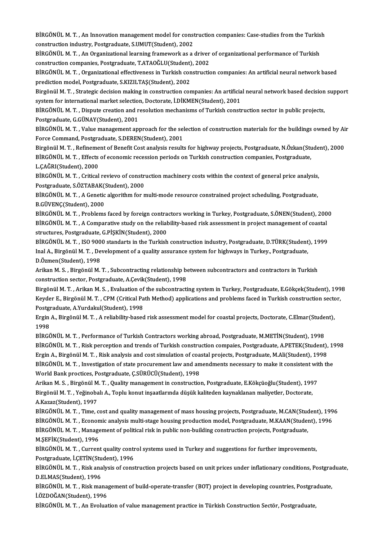BİRGÖNÜL M. T. , An Innovation management model for construction companies: Case-studies from the Turkish<br>construction industry, Pestsreduste, S.UMIT(Student), 2002 BİRGÖNÜL M. T. , An Innovation management model for const<br>construction industry, Postgraduate, S.UMUT(Student), 2002<br>Pincöntül M. T. . An Oxsonizational learning framework as a . BİRGÖNÜL M. T. , An Innovation management model for construction companies: Case-studies from the Turkis<br>construction industry, Postgraduate, S.UMUT(Student), 2002<br>BİRGÖNÜL M. T. , An Organizational learning framework as a

construction industry, Postgraduate, S.UMUT(Student), 2002<br>BİRGÖNÜL M. T. , An Organizational learning framework as a driver<br>construction companies, Postgraduate, T.ATAOĞLU(Student), 2002<br>PİRGÖNÜL M. T., Organizational eff BİRGÖNÜL M. T. , An Organizational learning framework as a driver of organizational performance of Turkish<br>construction companies, Postgraduate, T.ATAOĞLU(Student), 2002<br>BİRGÖNÜL M. T. , Organizational effectiveness in Tur

construction companies, Postgraduate, T.ATAOĞLU(Student), 2002<br>BİRGÖNÜL M. T. , Organizational effectiveness in Turkish construction companies: An artificial neural network based<br>prediction model, Postgraduate, S.KIZILTAŞ( BİRGÖNÜL M. T. , Organizational effectiveness in Turkish construction companies: An artificial neural network based<br>prediction model, Postgraduate, S.KIZILTAŞ(Student), 2002<br>Birgönül M. T. , Strategic decision making in co

prediction model, Postgraduate, S.KIZILTAŞ(Student), 2002<br>Birgönül M. T. , Strategic decision making in construction companies: An artificia<br>system for international market selection, Doctorate, İ.DİKMEN(Student), 2001<br>Pip Birgönül M. T. , Strategic decision making in construction companies: An artificial neural network based decision<br>system for international market selection, Doctorate, İ.DİKMEN(Student), 2001<br>BİRGÖNÜL M. T. , Dispute creat

system for international market selection, Doctorate, İ.DİKMEN(Student), 2001<br>BİRGÖNÜL M. T. , Dispute creation and resolution mechanisms of Turkish construction sector in public projects,<br>Postgraduate, G.GÜNAY(Student), 2 BİRGÖNÜL M. T. , Dispute creation and resolution mechanisms of Turkish construction sector in public projects,<br>Postgraduate, G.GÜNAY(Student), 2001<br>BİRGÖNÜL M. T. , Value management approach for the selection of constructi

Postgraduate, G.GÜNAY(Student), 2001<br>BİRGÖNÜL M. T. , Value management approach for the sel<br>Force Command, Postgraduate, S.DEREN(Student), 2001<br>Birgönül M. T., Befinement of Bonefit Cost analysis result: BİRGÖNÜL M. T. , Value management approach for the selection of construction materials for the buildings owned by Ai<br>Force Command, Postgraduate, S.DEREN(Student), 2001<br>Birgönül M. T. , Refinement of Benefit Cost analysis

Force Command, Postgraduate, S.DEREN(Student), 2001<br>Birgönül M. T. , Refinement of Benefit Cost analysis results for highway projects, Postgraduate, N.Özkan(Stu<br>BİRGÖNÜL M. T. , Effects of economic recession periods on Tur Birgönül M. T. , Refineme<br>BİRGÖNÜL M. T. , Effects<br>L.ÇAĞRI(Student), 2000<br>PİRGÖNÜL M. T. , Critical BİRGÖNÜL M. T. , Effects of economic recession periods on Turkish construction companies, Postgraduate,<br>L.ÇAĞRI(Student), 2000<br>BİRGÖNÜL M. T. , Critical revievo of construction machinery costs within the context of general

L.ÇAĞRI(Student), 2000<br>BİRGÖNÜL M. T. , Critical revievo of constr<br>Postgraduate, S.ÖZTABAK(Student), 2000<br>PİRGÖNÜL M.T. , A Genetis akasıtılım for n BİRGÖNÜL M. T. , Critical revievo of construction machinery costs within the context of general price analysis,<br>Postgraduate, S.ÖZTABAK(Student), 2000<br>BİRGÖNÜL M. T. , A Genetic algorithm for multi-mode resource constraine

Postgraduate, S.ÖZTABAK(Student), 2000<br>BİRGÖNÜL M. T. , A Genetic algorithm for multi-mode resource constrained project scheduling, Postgraduate,<br>B.GÜVENÇ(Student), 2000 BİRGÖNÜL M. T. , A Genetic algorithm for multi-mode resource constrained project scheduling, Postgraduate,<br>B.GÜVENÇ(Student), 2000<br>BİRGÖNÜL M. T. , Problems faced by foreign contractors working in Turkey, Postgraduate, S.Ö

B.GÜVENÇ(Student), 2000<br>BİRGÖNÜL M. T. , Problems faced by foreign contractors working in Turkey, Postgraduate, S.ÖNEN(Student), 200<br>BİRGÖNÜL M. T. , A Comparative study on the reliability-based risk assessment in project BİRGÖNÜL M. T. , Problems faced by foreign contra<br>BİRGÖNÜL M. T. , A Comparative study on the reliat<br>structures, Postgraduate, G.PİŞKİN(Student), 2000<br>PİRCÖNÜL M. T. 150.9000 standarts in the Turkish BİRGÖNÜL M. T. , A Comparative study on the reliability-based risk assessment in project management of coastal<br>structures, Postgraduate, G.PİŞKİN(Student), 2000<br>BİRGÖNÜL M. T. , ISO 9000 standarts in the Turkish constructi

structures, Postgraduate, G.PİŞKİN(Student), 2000<br>BİRGÖNÜL M. T. , ISO 9000 standarts in the Turkish construction industry, Postgraduate, D.TÜRK(Student<br>Inal A., Birgönül M. T. , Development of a quality assurance system f BİRGÖNÜL M. T. , ISO 900<br>Inal A., Birgönül M. T. , De<br>D.Özmen(Student), 1998<br>Arikan M. S., Birgönül M Inal A., Birgönül M. T. , Development of a quality assurance system for highways in Turkey., Postgraduate, D.Özmen(Student), 1998<br>Arikan M. S. , Birgönül M. T. , Subcontracting relationship between subcontractors and contr

Arikan M. S., Birgönül M. T., Subcontracting relationship between subcontractors and contractors in Turkish

Birgönül M.T., Arikan M.S., Evaluation of the subcontracting system in Turkey, Postgraduate, E.Gökçek(Student), 1998 construction sector, Postgraduate, A.Çevik(Student), 1998<br>Birgönül M. T. , Arikan M. S. , Evaluation of the subcontracting system in Turkey, Postgraduate, E.Gökçek(Student), 199<br>Keyder E., Birgönül M. T. , CPM (Critical Pa Birgönül M. T. , Arikan M. S. , Evaluation of<br>Keyder E., Birgönül M. T. , CPM (Critical Pa<br>Postgraduate, A.Yurdakul(Student), 1998<br>Frgin A. Birgönül M.T. - A reliability based Keyder E., Birgönül M. T. , CPM (Critical Path Method) applications and problems faced in Turkish construction secto<br>Postgraduate, A.Yurdakul(Student), 1998<br>Ergin A., Birgönül M. T. , A reliability-based risk assessment mo

Postgraduate, A.Yurdakul(Student), 1998<br>Ergin A., Birgönül M. T. , A reliability-based risk assessment model for coastal projects, Doctorate, C.Elmar(Student),<br>1998 Ergin A., Birgönül M. T. , A reliability-based risk assessment model for coastal projects, Doctorate, C.Elmar(Stude<br>1998<br>BİRGÖNÜL M. T. , Performance of Turkish Contractors working abroad, Postgraduate, M.METİN(Student), 1

1998<br>BİRGÖNÜL M. T. , Performance of Turkish Contractors working abroad, Postgraduate, M.METİN(Student), 1998<br>BİRGÖNÜL M. T. , Risk perception and trends of Turkish construction compaies, Postgraduate, A.PETEK(Student), 19 BİRGÖNÜL M. T. , Performance of Turkish Contractors working abroad, Postgraduate, M.METİN(Student), 1998<br>BİRGÖNÜL M. T. , Risk perception and trends of Turkish construction compaies, Postgraduate, A.PETEK(Student),<br>Ergin A BİRGÖNÜL M. T. , Risk perception and trends of Turkish construction compaies, Postgraduate, A.PETEK(Student), 1998<br>Ergin A., Birgönül M. T. , Risk analysis and cost simulation of coastal projects, Postgraduate, M.Ali(Stude Ergin A., Birgönül M. T., Risk analysis and cost simulation of coastal projects, Postgraduate, M.Ali(Student), 1998 BİRGÖNÜL M. T. , Investigation of state procurement law and amendments necessary to make it consistent wit<br>World Bank proctices, Postgraduate, Ç.SÜRÜCÜ(Student), 1998<br>Arikan M. S. , Birgönül M. T. , Quality management in c

World Bank proctices, Postgraduate, Ç.SÜRÜCÜ(Student), 1998<br>Arikan M. S. , Birgönül M. T. , Quality management in construction, Postgraduate, E.Kökçüoğlu(Student), 199<br>Birgönül M. T. , Yeğinobalı A., Toplu konut inşaatları Arikan M. S. , Birgönül M<br>Birgönül M. T. , Yeğinoba<br>A.Kazaz(Student), 1997<br>Pipçönül M. T. , Time Birgönül M. T. , Yeğinobalı A., Toplu konut inşaatlarında düşük kaliteden kaynaklanan maliyetler, Doctorate,<br>A.Kazaz(Student), 1997<br>BİRGÖNÜL M. T. , Time, cost and quality management of mass housing projects, Postgraduate,

A.Kazaz(Student), 1997<br>BİRGÖNÜL M. T. , Time, cost and quality management of mass housing projects, Postgraduate, M.CAN(Student), 199<br>BİRGÖNÜL M. T. , Economic analysis multi-stage housing production model, Postgraduate, M BİRGÖNÜL M. T. , Time, cost and quality management of mass housing projects, Postgraduate, M.CAN(Studen<br>BİRGÖNÜL M. T. , Economic analysis multi-stage housing production model, Postgraduate, M.KAAN(Studen<br>BİRGÖNÜL M. T. , BİRGÖNÜL M. T. , Econon<br>BİRGÖNÜL M. T. , Manage<br>M.ŞEFİK(Student), 1996<br>PİRCÖNÜL M. T. Curren BİRGÖNÜL M. T. , Management of political risk in public non-building construction projects, Postgraduate,<br>M.ŞEFİK(Student), 1996<br>BİRGÖNÜL M. T. , Current quality control systems used in Turkey and suggestions for further i

M.ŞEFİK(Student), 1996<br>BİRGÖNÜL M. T. , Current quality contr<br>Postgraduate, İ.ÇETİN(Student), 1996<br>PİRGÖNÜL M. T. , Bisk onalysis of sansı BİRGÖNÜL M. T. , Current quality control systems used in Turkey and suggestions for further improvements,<br>Postgraduate, İ.ÇETİN(Student), 1996<br>BİRGÖNÜL M. T. , Risk analysis of construction projects based on unit prices un

Postgraduate, İ.ÇETİN(Stu<br>BİRGÖNÜL M. T. , Risk ana<br>D.ELMAS(Student), 1996<br>PİRGÖNÜL M.T. , Bisk ma BİRGÖNÜL M. T. , Risk analysis of construction projects based on unit prices under inflationary conditions, Postgrad<br>D.ELMAS(Student), 1996<br>BİRGÖNÜL M. T. , Risk management of build-operate-transfer (BOT) project in develo

D.ELMAS(Student), 1996<br>BİRGÖNÜL M. T. , Risk mana<br>İ.ÖZDOĞAN(Student), 1996<br>BİRGÖNÜL M.T. An Evolud BİRGÖNÜL M. T. , Risk management of build-operate-transfer (BOT) project in developing countries, Postgra<br>İ.ÖZDOĞAN(Student), 1996<br>BİRGÖNÜL M. T. , An Evoluation of value management practice in Türkish Construction Sectör,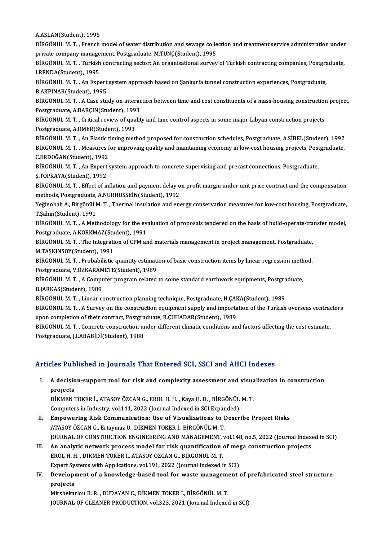A.ASLAN(Student),1995

A.ASLAN(Student), 1995<br>BİRGÖNÜL M. T. , French model of water distribution and sewage collection and treatment service administration under<br>PRİJRAS SERRANY MARSSERRAT POSTARGUATA M TUNC(Student), 1995 A.ASLAN(Student), 1995<br>BİRGÖNÜL M. T. , French model of water distribution and sewage colle<br>private company management, Postgraduate, M.TUNÇ(Student), 1995<br>PİRGÖNÜL M. T., Turkish santrasting sestanı An organisational surv BİRGÖNÜL M. T. , French model of water distribution and sewage collection and treatment service administration under<br>private company management, Postgraduate, M.TUNÇ(Student), 1995<br>BİRGÖNÜL M. T. , Turkish contracting sect

private company manage<br>BİRGÖNÜL M. T. , Turkish<br>I.RENDA(Student), 1995<br>PİRCÖNÜL M. T. - An Expe BİRGÖNÜL M. T. , Turkish contracting sector: An organisational survey of Turkish contracting companies, Postgra<br>I.RENDA(Student), 1995<br>BİRGÖNÜL M. T. , An Expert system approach based on Şanlıurfa tunnel construction exper

I.RENDA(Student), 1995<br>BİRGÖNÜL M. T. , An Expert<br>B.AKPINAR(Student), 1995<br>PİRÇÖNÜL M.T. A Cese stu BİRGÖNÜL M. T. , An Expert system approach based on Şanlıurfa tunnel construction experiences, Postgraduate,<br>B.AKPINAR(Student), 1995<br>BİRGÖNÜL M. T. , A Case study on interaction between time and cost constituents of a mas

B.AKPINAR(Student), 1995<br>BİRGÖNÜL M. T. , A Case study on interaction between time and cost constituents of a mass-housing construction project,<br>Postgraduate, A,BARCIN(Student), 1993 BİRGÖNÜL M. T. , A Case study on interaction between time and cost constituents of a mass-housing construction<br>Postgraduate, A.BARÇIN(Student), 1993<br>BİRGÖNÜL M. T. , Critical review of quality and time control aspects in s

Postgraduate, A.BARÇIN(Student), 199<br>BİRGÖNÜL M. T. , Critical review of qua<br>Postgraduate, A.OMER(Student), 1993<br>PİRÇÖNÜL M.T. An Electis timing metl BİRGÖNÜL M. T. , Critical review of quality and time control aspects in some major Libyan construction projects,<br>Postgraduate, A.OMER(Student), 1993<br>BİRGÖNÜL M. T. , An Elastic timing method proposed for construction sched

Postgraduate, A.OMER(Student), 1993<br>BİRGÖNÜL M. T. , An Elastic timing method proposed for construction schedules, Postgraduate, A.SİBEL(Student), 1992<br>BİRGÖNÜL M. T. , Measures for improving quality and maintaining econom BİRGÖNÜL M. T. , An Elastic t<br>BİRGÖNÜL M. T. , Measures f<br>C.ERDOĞAN(Student), 1992<br>PİRCÖNÜL M. T. An Eynert BİRGÖNÜL M. T. , Measures for improving quality and maintaining economy in low-cost housing projects, Post<br>C.ERDOĞAN(Student), 1992<br>BİRGÖNÜL M. T. , An Expert system approach to concrete supervising and precast connections

C.ERDOĞAN(Student), 1992<br>BİRGÖNÜL M. T. , An Expert system approach to concrete supervising and precast connections, Postgraduate,<br>Ş.TOPKAYA(Student), 1992 BİRGÖNÜL M. T. , An Expert system approach to concrete supervising and precast connections, Postgraduate,<br>Ş.TOPKAYA(Student), 1992<br>BİRGÖNÜL M. T. , Effect of inflation and payment delay on profit margin under unit price co

Ş.TOPKAYA(Student), 1992<br>BİRGÖNÜL M. T. , Effect of inflation and payment delay o<br>methods, Postgraduate, A.NURHUSSEİN(Student), 1992<br>Yeğinobalı A. Birgönül M.T., Thermal inqulation and ana BİRGÖNÜL M. T. , Effect of inflation and payment delay on profit margin under unit price contract and the compensation<br>methods, Postgraduate, A.NURHUSSEİN(Student), 1992<br>Yeğinobalı A., Birgönül M. T. , Thermal insulation a

methods, Postgraduate, A.NURHUSSEİN(Student), 1992<br>Yeğinobalı A., Birgönül M. T. , Thermal insulation and en<br>T.Şahin(Student), 1991 Yeğinobalı A., Birgönül M. T. , Thermal insulation and energy conservation measures for low-cost housing, Postgraduate,<br>T.Şahin(Student), 1991<br>BİRGÖNÜL M. T. , A Methodology for the evaluation of proposals tendered on the

BİRGÖNÜL M. T. , A Methodology for the evaluation of proposals tendered on the basis of build-operate-transfer model,<br>Postgraduate, A.KORKMAZ(Student), 1991

BİRGÖNÜL M.T., The Integration of CPM and materials management in project management, Postgraduate, M.TAŞKINSOY(Student),1991 BİRGÖNÜL M. T. , The Integration of CPM and materials management in project management, Postgraduate,<br>M.TAŞKINSOY(Student), 1991<br>BİRGÖNÜL M. T. , Probabilistic quantity estimation of basic construction items by linear regr M.TAŞKINSOY(Student), 1991<br>BİRGÖNÜL M. T. , Probabilistic quantity estimati<br>Postgraduate, V.ÖZKARAMETE(Student), 1989<br>PİRGÖNÜL M.T. - A Computer program related

BİRGÖNÜL M. T. , Probabilistic quantity estimation of basic construction items by linear regression meth<br>Postgraduate, V.ÖZKARAMETE(Student), 1989<br>BİRGÖNÜL M. T. , A Computer program related to some standard earthwork equi Postgraduate, V.ÖZKARAMETE(Student), 1989<br>BİRGÖNÜL M. T. , A Computer program related to some standard earthwork equipments, Postgraduate,<br>B.JARKAS(Student), 1989 BİRGÖNÜL M. T. , A Computer program related to some standard earthwork equipments, Postgra<br>B.JARKAS(Student), 1989<br>BİRGÖNÜL M. T. , Linear construction planning technique, Postgraduate, H.ÇAKA(Student), 1989<br>PİRGÖNÜL M. T.

B.JARKAS(Student), 1989<br>BİRGÖNÜL M. T. , Linear construction planning technique, Postgraduate, H.ÇAKA(Student), 1989<br>BİRGÖNÜL M. T. , A Survey on the construction equipment supply and importation of the Turkish overseas co BİRGÖNÜL M. T. , Linear construction planning technique, Postgraduate, H.ÇAK<br>BİRGÖNÜL M. T. , A Survey on the construction equipment supply and importa<br>upon completion of their contract, Postgraduate, R.ÇUHADAR(Student), 1 BİRGÖNÜL M. T. , A Survey on the construction equipment supply and importation of the Turkish overseas contrad<br>upon completion of their contract, Postgraduate, R.ÇUHADAR(Student), 1989<br>BİRGÖNÜL M. T. , Concrete constructio

upon completion of their contract, Postgraduate, R.ÇUHADAR(Student), 1989<br>BİRGÖNÜL M. T. , Concrete construction under different climatic conditions and factors affecting the cost estimate,<br>Postgraduate, J.LABABİDİ(Student

### Articles Published in Journals That Entered SCI, SSCI and AHCI Indexes

I. A decision-support tool for risk and complexity assessment and visualization in construction projects A decision-support tool for risk and complexity assessment and visual<br>projects<br>DİKMEN TOKER İ., ATASOY ÖZCAN G., EROL H. H. , Kaya H. D. , BİRGÖNÜL M. T.<br>Computers in Industry, vel 141, 2022 (Journal Indoved in SCL Expande

projects<br>DİKMEN TOKER İ., ATASOY ÖZCAN G., EROL H. H. , Kaya H. D. , BİRGÖNÜL<br>Computers in Industry, vol.141, 2022 (Journal Indexed in SCI Expanded)<br>Emnewering Bisk Communisation: Hse of Visualizations to Dessr Computers in Industry, vol.141, 2022 (Journal Indexed in SCI Expanded)

- II. Empowering Risk Communication: Use of Visualizations to Describe Project Risks<br>ATASOY ÖZCAN G., Ertaymaz U., DİKMEN TOKER İ., BİRGÖNÜL M. T. JOURNAL OF CONSTRUCTION ENGINEERING AND MANAGEMENT, vol.148, no.5, 2022 (Journal Indexed in SCI) ATASOY ÖZCAN G., Ertaymaz U., DİKMEN TOKER İ., BİRGÖNÜL M. T.<br>JOURNAL OF CONSTRUCTION ENGINEERING AND MANAGEMENT, vol.148, no.5, 2022 (Journal Index<br>III. An analytic network process model for risk quantification of mega co
- FOURNAL OF CONSTRUCTION ENGINEERING AND MANAGEMENT,<br>An analytic network process model for risk quantification<br>EROL H. H. , DİKMEN TOKER İ., ATASOY ÖZCAN G., BİRGÖNÜL M. T.<br>Evnert Systems with Annlisstiens, vel 191, 2022 (J An analytic network process model for risk quantification of me<sub>l</sub><br>EROL H. H. , DİKMEN TOKER İ., ATASOY ÖZCAN G., BİRGÖNÜL M. T.<br>Expert Systems with Applications, vol.191, 2022 (Journal Indexed in SCI)<br>Development of a kno EROL H. H. , DİKMEN TOKER İ., ATASOY ÖZCAN G., BİRGÖNÜL M. T.<br>Expert Systems with Applications, vol.191, 2022 (Journal Indexed in SCI)<br>IV. Development of a knowledge-based tool for waste management of prefabricated ste
- Expert Sy<br>Developi<br>projects<br>Mirshelm Development of a knowledge-based tool for waste management<br>projects<br>Mirshekarlou B.R., BUDAYAN C., DİKMEN TOKER İ., BİRGÖNÜL M.T.<br>JOUPMAL OE CLEANER PRODUCTION, vol 222, 2021, (Journal Indoves projects<br>Mirshekarlou B. R. , BUDAYAN C., DİKMEN TOKER İ., BİRGÖNÜL M. T.<br>JOURNAL OF CLEANER PRODUCTION, vol.323, 2021 (Journal Indexed in SCI)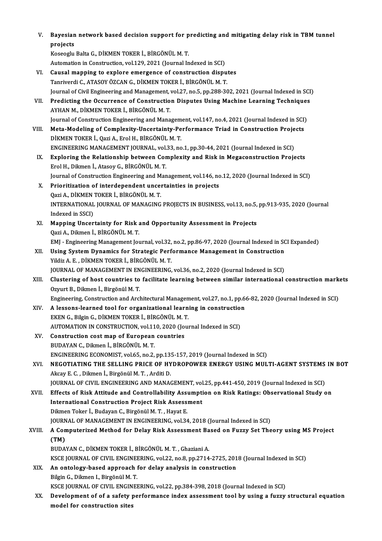V. Bayesian network based decision support for predicting and mitigating delay risk in TBM tunnel<br>nneiests Bayesian<br>projects<br>Kasaaslu Bayesian network based decision support for p<br>projects<br>Koseoglu Balta G., DİKMEN TOKER İ., BİRGÖNÜL M. T.<br>Autometian in Construction vol 120, 2021 (Journal In

```
projects<br>Koseoglu Balta G., DİKMEN TOKER İ., BİRGÖNÜL M. T.<br>Automation in Construction, vol.129, 2021 (Journal Indexed in SCI)
```
VI. Causal mapping to explore emergence of construction disputes TanriverdiC.,ATASOYÖZCANG.,DİKMENTOKERİ.,BİRGÖNÜLM.T. Causal mapping to explore emergence of construction disputes<br>Tanriverdi C., ATASOY ÖZCAN G., DİKMEN TOKER İ., BİRGÖNÜL M. T.<br>Journal of Civil Engineering and Management, vol.27, no.5, pp.288-302, 2021 (Journal Indexed in S VII. Predicting the Occurrence of Construction Disputes Using Machine Learning Techniques<br>AYHAN M., DİKMEN TOKER İ., BİRGÖNÜL M. T. Journal of Civil Engineering and Management,<br>Predicting the Occurrence of Constructio<br>AYHAN M., DİKMEN TOKER İ., BİRGÖNÜL M. T.<br>Journal of Construction Engineering and Mana Journal of Construction Engineering and Management, vol.147, no.4, 2021 (Journal Indexed in SCI) AYHAN M., DİKMEN TOKER İ., BİRGÖNÜL M. T.<br>Journal of Construction Engineering and Management, vol.147, no.4, 2021 (Journal Indexed in SCI)<br>VIII. Meta-Modeling of Complexity-Uncertainty-Performance Triad in Construction Pro Journal of Construction Engineering and Managem<br>Meta-Modeling of Complexity-Uncertainty-Pe<br>DİKMEN TOKER İ., Qazi A., Erol H., BİRGÖNÜL M. T.<br>ENCINEERINC MANACEMENT JOURNAL .val 33. no Meta-Modeling of Complexity-Uncertainty-Performance Triad in Construction Proje<br>DİKMEN TOKER İ., Qazi A., Erol H., BİRGÖNÜL M. T.<br>ENGINEERING MANAGEMENT JOURNAL, vol.33, no.1, pp.30-44, 2021 (Journal Indexed in SCI)<br>Evnlor DİKMEN TOKER İ., Qazi A., Erol H., BİRGÖNÜL M. T.<br>ENGINEERING MANAGEMENT JOURNAL, vol.33, no.1, pp.30-44, 2021 (Journal Indexed in SCI)<br>IX. Exploring the Relationship between Complexity and Risk in Megaconstruction Project ENGINEERING MANAGEMENT JOURNAL, vol.<br>Exploring the Relationship between Cor<br>Erol H., Dikmen İ., Atasoy G., BİRGÖNÜL M. T.<br>Journal of Construction Engineering and Man Exploring the Relationship between Complexity and Risk in Megaconstruction Projects<br>Erol H., Dikmen İ., Atasoy G., BİRGÖNÜL M. T.<br>Journal of Construction Engineering and Management, vol.146, no.12, 2020 (Journal Indexed in Erol H., Dikmen İ., Atasoy G., BİRGÖNÜL M. T.<br>Journal of Construction Engineering and Management, vol.146, no<br>X. Prioritization of interdependent uncertainties in projects<br>Qazi A., DİKMEN TOKER İ., BİRGÖNÜL M. T. Journal of Construction Engineering and Management, vol.146, no.12, 2020 (Journal Indexed in SCI) Prioritization of interdependent uncertainties in projects<br>Qazi A., DİKMEN TOKER İ., BİRGÖNÜL M. T.<br>INTERNATIONAL JOURNAL OF MANAGING PROJECTS IN BUSINESS, vol.13, no.5, pp.913-935, 2020 (Journal<br>Indeved in SSCI) Indexed in SSCI)<br>XI. Mapping Uncertainty for Risk and Opportunity Assessment in Projects INTERNATIONAL JOURNAL OF MANAGING PROJECTS IN BUSINESS, vol.13, no.5,<br>Indexed in SSCI)<br>XI. Mapping Uncertainty for Risk and Opportunity Assessment in Projects<br>Oazi A. Dilmon L. BIBCÖNÜL M.T. QaziA.,Dikmenİ.,BİRGÖNÜLM.T. Mapping Uncertainty for Risk and Opportunity Assessment in Projects<br>Qazi A., Dikmen İ., BİRGÖNÜL M. T.<br>EMJ - Engineering Management Journal, vol.32, no.2, pp.86-97, 2020 (Journal Indexed in SCI Expanded)<br>Heing System Dynam Qazi A., Dikmen İ., BİRGÖNÜL M. T.<br>EMJ - Engineering Management Journal, vol.32, no.2, pp.86-97, 2020 (Journal Indexed in SC<br>XII. Using System Dynamics for Strategic Performance Management in Construction<br>Vildiz A. E., DİK EMJ - Engineering Management Journal, vol.32,<br>Using System Dynamics for Strategic Perf<br>Yildiz A. E. , DİKMEN TOKER İ., BİRGÖNÜL M. T.<br>JOUPNAL OE MANACEMENT IN ENCINEEPINC Using System Dynamics for Strategic Performance Management in Construction<br>Yildiz A. E. , DİKMEN TOKER İ., BİRGÖNÜL M. T.<br>JOURNAL OF MANAGEMENT IN ENGINEERING, vol.36, no.2, 2020 (Journal Indexed in SCI)<br>Clustering of hest Yildiz A. E. , DİKMEN TOKER İ., BİRGÖNÜL M. T.<br>JOURNAL OF MANAGEMENT IN ENGINEERING, vol.36, no.2, 2020 (Journal Indexed in SCI)<br>XIII. Clustering of host countries to facilitate learning between similar international c JOURNAL OF MANAGEMENT IN ENGINEERING, vol.36, no.2, 2020 (Journal Indexed in SCI) Clustering of host countries to facilitate learning between similar international construction mark<br>Ozyurt B., Dikmen İ., Birgönül M. T.<br>Engineering, Construction and Architectural Management, vol.27, no.1, pp.66-82, 2020 XIV. A lessons-learned tool for organizational learning in construction Engineering, Construction and Architectural Managen<br>A lessons-learned tool for organizational learn<br>EKEN G., Bilgin G., DİKMEN TOKER İ., BİRGÖNÜL M. T.<br>AUTOMATION IN CONSTRUCTION vel 110, 2020 (Loui A lessons-learned tool for organizational learning in construction<br>EKEN G., Bilgin G., DİKMEN TOKER İ., BİRGÖNÜL M. T.<br>AUTOMATION IN CONSTRUCTION, vol.110, 2020 (Journal Indexed in SCI)<br>Construction sost man of Euronean so XV. Construction cost map of European countries<br>BUDAYAN C., Dikmen İ., BİRGÖNÜL M. T. AUTOMATION IN CONSTRUCTION, vol.11<br>Construction cost map of European<br>BUDAYAN C., Dikmen İ., BİRGÖNÜL M. T.<br>ENCINEEPINC ECONOMIST vol.65, no.2. Construction cost map of European countries<br>BUDAYAN C., Dikmen İ., BİRGÖNÜL M. T.<br>ENGINEERING ECONOMIST, vol.65, no.2, pp.135-157, 2019 (Journal Indexed in SCI)<br>NECOTIATING THE SELLING PRICE OF HYDROROWER ENERGY USING MILL XVI. NEGOTIATING THE SELLING PRICE OF HYDROPOWER ENERGY USING MULTI-AGENT SYSTEMS IN BOT<br>Akcay E. C., Dikmen İ., Birgönül M. T., Arditi D. ENGINEERING ECONOMIST, vol.65, no.2, pp.13.<br>NEGOTIATING THE SELLING PRICE OF HY<br>Akcay E. C. , Dikmen İ., Birgönül M. T. , Arditi D.<br>JOUPNAL OF CIVIL ENCINEERING AND MANAG NEGOTIATING THE SELLING PRICE OF HYDROPOWER ENERGY USING MULTI-AGENT SYSTEMS<br>Akcay E. C. , Dikmen İ., Birgönül M. T. , Arditi D.<br>JOURNAL OF CIVIL ENGINEERING AND MANAGEMENT, vol.25, pp.441-450, 2019 (Journal Indexed in SCI Akcay E. C. , Dikmen İ., Birgönül M. T. , Arditi D.<br>JOURNAL OF CIVIL ENGINEERING AND MANAGEMENT, vol.25, pp.441-450, 2019 (Journal Indexed in SCI)<br>XVII. Effects of Risk Attitude and Controllability Assumption on Risk Ratin JOURNAL OF CIVIL ENGINEERING AND MANAGEMENT, vol<br>Effects of Risk Attitude and Controllability Assumpti<br>International Construction Project Risk Assessment<br>Dilmon Toker L Pudayan G. Birgânÿl M.T. Hayat E XVII. Effects of Risk Attitude and Controllability Assumption on Risk Ratings: Observational Study on<br>International Construction Project Risk Assessment<br>Dikmen Toker İ., Budayan C., Birgönül M.T., Hayat E. JOURNAL OF MANAGEMENT IN ENGINEERING, vol.34, 2018 (Journal Indexed in SCI) Dikmen Toker İ., Budayan C., Birgönül M. T. , Hayat E.<br>JOURNAL OF MANAGEMENT IN ENGINEERING, vol.34, 2018 (Journal Indexed in SCI)<br>XVIII. A Computerized Method for Delay Risk Assessment Based on Fuzzy Set Theory using (JOURN<br>A Con<br>(TM)<br>PUDA A Computerized Method for Delay Risk Assessment Ba<br>(TM)<br>BUDAYAN C., DİKMEN TOKER İ., BİRGÖNÜL M. T. , Ghaziani A.<br>KSCE JOURNAL OF CIVIL ENCINEERING .val 22. no 8. np.2714 (TM)<br>BUDAYAN C., DİKMEN TOKER İ., BİRGÖNÜL M. T. , Ghaziani A.<br>KSCE JOURNAL OF CIVIL ENGINEERING, vol.22, no.8, pp.2714-2725, 2018 (Journal Indexed in SCI)<br>An antalagu based annrasab far dalay analysis in sanstrustion BUDAYAN C., DİKMEN TOKER İ., BİRGÖNÜL M. T. , Ghaziani A.<br>KSCE JOURNAL OF CIVIL ENGINEERING, vol.22, no.8, pp.2714-2725, 201<br>XIX. An ontology-based approach for delay analysis in construction<br>Pikin C. Dikmon L. Bingönül M. KSCE JOURNAL OF CIVIL ENGINE<br>An ontology-based approach<br>Bilgin G., Dikmen I., Birgönül M. T.<br>KSCE JOURNAL OF CIVIL ENGINER An ontology-based approach for delay analysis in construction<br>Bilgin G., Dikmen I., Birgönül M. T.<br>KSCE JOURNAL OF CIVIL ENGINEERING, vol.22, pp.384-398, 2018 (Journal Indexed in SCI) Bilgin G., Dikmen I., Birgönül M. T.<br>KSCE JOURNAL OF CIVIL ENGINEERING, vol.22, pp.384-398, 2018 (Journal Indexed in SCI)<br>XX. Development of of a safety performance index assessment tool by using a fuzzy structural equ KSCE JOURNAL OF CIVIL ENGIN<br>Development of of a safety <sub>I</sub><br>model for construction sites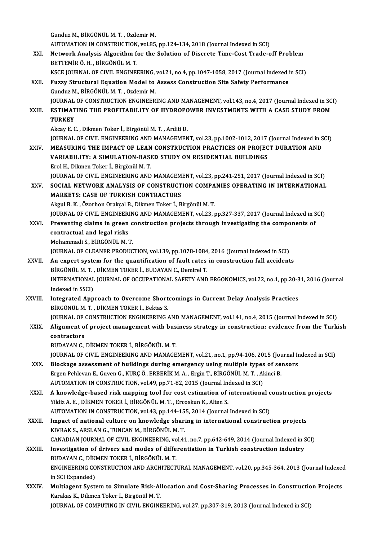GunduzM.,BİRGÖNÜLM.T. ,OzdemirM.

Gunduz M., BİRGÖNÜL M. T. , Ozdemir M.<br>AUTOMATION IN CONSTRUCTION, vol.85, pp.124-134, 2018 (Journal Indexed in SCI)<br>Naturalk Analysis Alganithm fan the Salutian of Dissnate Time Cast Trade e

Gunduz M., BİRGÖNÜL M. T. , Ozdemir M.<br>AUTOMATION IN CONSTRUCTION, vol.85, pp.124-134, 2018 (Journal Indexed in SCI)<br>XXI. Network Analysis Algorithm for the Solution of Discrete Time-Cost Trade-off Problem<br>RETTEMIR Ö. AUTOMATION IN CONSTRUCTION<br>Network Analysis Algorithm f<br>BETTEMİR Ö. H. , BİRGÖNÜL M. T.<br>KECE JOUPNAL OF CIVIL ENCINER Network Analysis Algorithm for the Solution of Discrete Time-Cost Trade-off Problem<br>BETTEMİR Ö. H. , BİRGÖNÜL M. T.<br>KSCE JOURNAL OF CIVIL ENGINEERING, vol.21, no.4, pp.1047-1058, 2017 (Journal Indexed in SCI)<br>Fuggy Structu

BETTEMIR Ö. H. , BIRGÖNÜL M. T.<br>KSCE JOURNAL OF CIVIL ENGINEERING, vol.21, no.4, pp.1047-1058, 2017 (Journal Indexed<br>XXII. Fuzzy Structural Equation Model to Assess Construction Site Safety Performance<br>Gunduz M., BIRGÖNÜL KSCE JOURNAL OF CIVIL ENGINEERING,<br>Fuzzy Structural Equation Model to<br>Gunduz M., BİRGÖNÜL M. T. , Ozdemir M.<br>JOUPNAL OF CONSTRUCTION ENCINEER Fuzzy Structural Equation Model to Assess Construction Site Safety Performance<br>Gunduz M., BİRGÖNÜL M. T. , Ozdemir M.<br>JOURNAL OF CONSTRUCTION ENGINEERING AND MANAGEMENT, vol.143, no.4, 2017 (Journal Indexed in SCI)<br>ESTIMAT Gunduz M., BİRGÖNÜL M. T. , Ozdemir M.<br>JOURNAL OF CONSTRUCTION ENGINEERING AND MANAGEMENT, vol.143, no.4, 2017 (Journal Indexed in SC<br>XXIII. ESTIMATING THE PROFITABILITY OF HYDROPOWER INVESTMENTS WITH A CASE STUDY FROM **JOURNAL<br>ESTIMAT<br>TURKEY<br>Akey E G** ESTIMATING THE PROFITABILITY OF HYDROPOWER INVESTMENTS WITH A CASE STUDY FROM<br>TURKEY<br>Akcay E. C. , Dikmen Toker İ., Birgönül M. T. , Arditi D.

TURKEY<br>Akcay E. C. , Dikmen Toker İ., Birgönül M. T. , Arditi D.<br>JOURNAL OF CIVIL ENGINEERING AND MANAGEMENT, vol.23, pp.1002-1012, 2017 (Journal Indexed in SCI)<br>MEASURING THE IMBACT OF LEAN CONSTRUCTION BRACTICES ON BROIE Akcay E. C. , Dikmen Toker İ., Birgönül M. T. , Arditi D.<br>JOURNAL OF CIVIL ENGINEERING AND MANAGEMENT, vol.23, pp.1002-1012, 2017 (Journal Indexed in S<br>XXIV. MEASURING THE IMPACT OF LEAN CONSTRUCTION PRACTICES ON PROJE

JOURNAL OF CIVIL ENGINEERING AND MANAGEMENT, vol.23, pp.1002-1012, 2017<br>MEASURING THE IMPACT OF LEAN CONSTRUCTION PRACTICES ON PROJEC<br>VARIABILITY: A SIMULATION-BASED STUDY ON RESIDENTIAL BUILDINGS<br>Frel H. Dilmen Teker L. B MEASURING THE IMPACT OF LEAN CONSTRUCTION PRACTICES ON PROJECT DURATION AND VARIABILITY: A SIMULATION-BASED STUDY ON RESIDENTIAL BUILDINGS<br>Erol H., Dikmen Toker İ., Birgönül M. T. VARIABILITY: A SIMULATION-BASED STUDY ON RESIDENTIAL BUILDINGS<br>Erol H., Dikmen Toker İ., Birgönül M. T.<br>JOURNAL OF CIVIL ENGINEERING AND MANAGEMENT, vol.23, pp.241-251, 2017 (Journal Indexed in SCI)<br>SOCIAL NETWORK ANALYSIS Erol H., Dikmen Toker İ., Birgönül M. T.<br>JOURNAL OF CIVIL ENGINEERING AND MANAGEMENT, vol.23, pp.241-251, 2017 (Journal Indexed in SCI)<br>XXV. SOCIAL NETWORK ANALYSIS OF CONSTRUCTION COMPANIES OPERATING IN INTERNATIONAL

### **JOURNAL OF CIVIL ENGINEERING AND MANAGEM<br>SOCIAL NETWORK ANALYSIS OF CONSTRUCT<br>MARKETS: CASE OF TURKISH CONTRACTORS** SOCIAL NETWORK ANALYSIS OF CONSTRUCTION COMPANIES OPERATING IN INTERNATIONAL MARKETS: CASE OF TURKISH CONTRACTORS<br>Akgul B.K., Özorhon Orakçal B., Dikmen Toker İ., Birgönül M. T. MARKETS: CASE OF TURKISH CONTRACTORS<br>Akgul B. K. , Özorhon Orakçal B., Dikmen Toker İ., Birgönül M. T.<br>JOURNAL OF CIVIL ENGINEERING AND MANAGEMENT, vol.23, pp.327-337, 2017 (Journal Indexed in SCI)<br>Preventing alaime in gre Akgul B. K., Özorhon Orakçal B., Dikmen Toker İ., Birgönül M. T.<br>JOURNAL OF CIVIL ENGINEERING AND MANAGEMENT, vol.23, pp.327-337, 2017 (Journal Indexed in S<br>XXVI. Preventing claims in green construction projects through in

JOURNAL OF CIVIL ENGINEER<br>Preventing claims in green<br>contractual and legal risks<br>Mohammadi S. BIBCÖNÜL M. XXVI. Preventing claims in green construction projects through investigating the components of contractual and legal risks Mohammadi S., BİRGÖNÜLM.T. contractual and legal risks<br>Mohammadi S., BİRGÖNÜL M. T.<br>JOURNAL OF CLEANER PRODUCTION, vol.139, pp.1078-1084, 2016 (Journal Indexed in SCI)<br>An expert system for the quantification of fault rates in construction foll assid

Mohammadi S., BİRGÖNÜL M. T.<br>JOURNAL OF CLEANER PRODUCTION, vol.139, pp.1078-1084, 2016 (Journal Indexed in SCI)<br>XXVII. An expert system for the quantification of fault rates in construction fall accidents<br>PRECÖNIIL M. T. JOURNAL OF CLEANER PRODUCTION, vol.139, pp.1078-1084<br>An expert system for the quantification of fault rates<br>BİRGÖNÜL M. T. , DİKMEN TOKER İ., BUDAYAN C., Demirel T.<br>INTERNATIONAL JOURNAL OF OCCURATIONAL SAEETY AND An expert system for the quantification of fault rates in construction fall accidents<br>BİRGÖNÜL M. T. , DİKMEN TOKER İ., BUDAYAN C., Demirel T.<br>INTERNATIONAL JOURNAL OF OCCUPATIONAL SAFETY AND ERGONOMICS, vol.22, no.1, pp.2 BİRGÖNÜL M. T., DİKMEN TOKER İ., BUDAYAN C., Demirel T. INTERNATIONAL JOURNAL OF OCCUPATIONAL SAFETY AND ERGONOMICS, vol.22, no.1, pp.20-3<br>Indexed in SSCI)<br>XXVIII. Integrated Approach to Overcome Shortcomings in Current Delay Analysis Practices<br>PROGNIJUM T. DIVMEN TOKER L. Polt

# Indexed in SSCI)<br>Integrated Approach to Overcome Short<br>BİRGÖNÜL M.T., DİKMEN TOKER İ., Bektas S.<br>JOUPMAL OF CONSTRUCTION ENCINEERING Integrated Approach to Overcome Shortcomings in Current Delay Analysis Practices<br>BİRGÖNÜL M. T. , DİKMEN TOKER İ., Bektas S.<br>JOURNAL OF CONSTRUCTION ENGINEERING AND MANAGEMENT, vol.141, no.4, 2015 (Journal Indexed in SCI)<br>

BİRGÖNÜL M. T. , DİKMEN TOKER İ., Bektas S.<br>JOURNAL OF CONSTRUCTION ENGINEERING AND MANAGEMENT, vol.141, no.4, 2015 (Journal Indexed in SCI)<br>XXIX. Alignment of project management with business strategy in construction: **JOURNAL OF<br>Alignment o<br>contractors**<br>PUDAVAN C Alignment of project management with bus<br>contractors<br>BUDAYAN C., DİKMEN TOKER İ., BİRGÖNÜL M. T.<br>IQUPMAL OE CIVIL ENCINEEDINE AND MANAEE contractors<br>BUDAYAN C., DİKMEN TOKER İ., BİRGÖNÜL M. T.<br>JOURNAL OF CIVIL ENGINEERING AND MANAGEMENT, vol.21, no.1, pp.94-106, 2015 (Journal Indexed in SCI)<br>Plaskage assessment of buildings during emergensy veing multiple t

- BUDAYAN C., DİKMEN TOKER İ., BİRGÖNÜL M. T.<br>JOURNAL OF CIVIL ENGINEERING AND MANAGEMENT, vol.21, no.1, pp.94-106, 2015 (Journal In<br>XXX. Blockage assessment of buildings during emergency using multiple types of sensors<br>Free JOURNAL OF CIVIL ENGINEERING AND MANAGEMENT, vol.21, no.1, pp.94-106, 2015 (Journal Blockage assessment of buildings during emergency using multiple types of set<br>Ergen Pehlevan E., Guven G., KURÇ Ö., ERBERİK M. A. , Ergin Blockage assessment of buildings during emergency using multiple types<br>Ergen Pehlevan E., Guven G., KURÇ Ö., ERBERİK M. A. , Ergin T., BİRGÖNÜL M. T. , Al<br>AUTOMATION IN CONSTRUCTION, vol.49, pp.71-82, 2015 (Journal Indexed
- Ergen Pehlevan E., Guven G., KURÇ Ö., ERBERİK M. A. , Ergin T., BİRGÖNÜL M. T. , Akinci B.<br>AUTOMATION IN CONSTRUCTION, vol.49, pp.71-82, 2015 (Journal Indexed in SCI)<br>XXXI. A knowledge-based risk mapping tool for cost AUTOMATION IN CONSTRUCTION, vol.49, pp.71-82, 2015 (Journal Inc. A knowledge-based risk mapping tool for cost estimation of Tildiz A.E. , DİKMEN TOKER İ., BİRGÖNÜL M.T. , Ercoskun K., Alten S. AUTOMATION IN CONSTRUCTION, vol.43, pp.144-155, 2014 (Journal Indexed in SCI) Yildiz A. E., DİKMEN TOKER İ., BİRGÖNÜL M. T., Ercoskun K., Alten S.<br>AUTOMATION IN CONSTRUCTION, vol.43, pp.144-155, 2014 (Journal Indexed in SCI)<br>XXXII. Impact of national culture on knowledge sharing in international con
- AUTOMATION IN CONSTRUCTION, vol.43, pp.144-15<br>Impact of national culture on knowledge shar:<br>KIVRAK S., ARSLAN G., TUNCAN M., BİRGÖNÜL M. T.<br>CANADIAN JOUPNAL OF CIVIL ENCINEERING vol.43 Impact of national culture on knowledge sharing in international construction projects<br>KIVRAK S., ARSLAN G., TUNCAN M., BİRGÖNÜL M. T.<br>CANADIAN JOURNAL OF CIVIL ENGINEERING, vol.41, no.7, pp.642-649, 2014 (Journal Indexed CANADIAN JOURNAL OF CIVIL ENGINEERING, vol.41, no.7, pp.642-649, 2014 (Journal Indexed in SCI)
- KIVRAK S., ARSLAN G., TUNCAN M., BİRGÖNÜL M. T.<br>CANADIAN JOURNAL OF CIVIL ENGINEERING, vol.41, no.7, pp.642-649, 2014 (Journal Indexed in SXXXIII. Investigation of drivers and modes of differentiation in Turkish constructi Investigation of drivers and modes of differentiation in Turkish construction industry<br>BUDAYAN C., DİKMEN TOKER İ., BİRGÖNÜL M. T.<br>ENGINEERING CONSTRUCTION AND ARCHITECTURAL MANAGEMENT, vol.20, pp.345-364, 2013 (Journal In BUDAYAN C., DİKI<br>ENGINEERING CO<br>in SCI Expanded)<br>Multiagant Syste ENGINEERING CONSTRUCTION AND ARCHITECTURAL MANAGEMENT, vol.20, pp.345-364, 2013 (Journal Indexed<br>in SCI Expanded)<br>XXXIV. Multiagent System to Simulate Risk-Allocation and Cost-Sharing Processes in Construction Projects<br>Xar
- in SCI Expanded)<br>Multiagent System to Simulate Risk-Allocation and Cost-Sharing Processes in Construction Projects<br>Karakas K., Dikmen Toker İ., Birgönül M. T. JOURNAL OF COMPUTING IN CIVIL ENGINEERING, vol.27, pp.307-319, 2013 (Journal Indexed in SCI)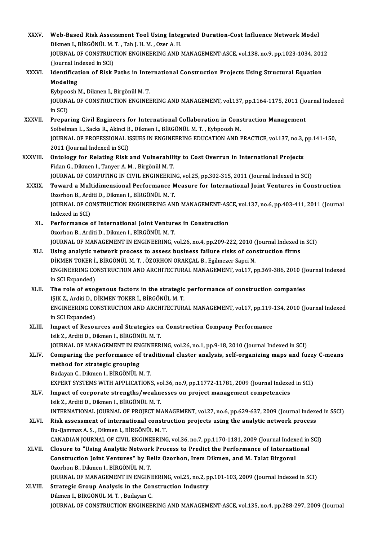| <b>XXXV</b>  | Web-Based Risk Assessment Tool Using Integrated Duration-Cost Influence Network Model                                                                                                              |
|--------------|----------------------------------------------------------------------------------------------------------------------------------------------------------------------------------------------------|
|              | Dikmen I., BİRGÖNÜL M. T., Tah J. H. M., Ozer A. H.                                                                                                                                                |
|              | JOURNAL OF CONSTRUCTION ENGINEERING AND MANAGEMENT-ASCE, vol 138, no.9, pp.1023-1034, 2012                                                                                                         |
|              | (Journal Indexed in SCI)                                                                                                                                                                           |
| XXXVI.       | Identification of Risk Paths in International Construction Projects Using Structural Equation                                                                                                      |
|              | Modeling                                                                                                                                                                                           |
|              | Eybpoosh M., Dikmen I., Birgönül M. T.                                                                                                                                                             |
|              | JOURNAL OF CONSTRUCTION ENGINEERING AND MANAGEMENT, vol.137, pp.1164-1175, 2011 (Journal Indexed                                                                                                   |
|              | in SCI)                                                                                                                                                                                            |
| XXXVII.      | Preparing Civil Engineers for International Collaboration in Construction Management                                                                                                               |
|              | Soibelman L., Sacks R., Akinci B., Dikmen I., BİRGÖNÜL M. T., Eybpoosh M.                                                                                                                          |
|              | JOURNAL OF PROFESSIONAL ISSUES IN ENGINEERING EDUCATION AND PRACTICE, vol.137, no.3, pp.141-150,                                                                                                   |
|              | 2011 (Journal Indexed in SCI)                                                                                                                                                                      |
| XXXVIII.     | Ontology for Relating Risk and Vulnerability to Cost Overrun in International Projects                                                                                                             |
|              | Fidan G., Dikmen I., Tanyer A. M., Birgönül M. T.                                                                                                                                                  |
|              | JOURNAL OF COMPUTING IN CIVIL ENGINEERING, vol.25, pp.302-315, 2011 (Journal Indexed in SCI)                                                                                                       |
| <b>XXXIX</b> | Toward a Multidimensional Performance Measure for International Joint Ventures in Construction                                                                                                     |
|              | Ozorhon B., Arditi D., Dikmen I., BİRGÖNÜL M.T.                                                                                                                                                    |
|              | JOURNAL OF CONSTRUCTION ENGINEERING AND MANAGEMENT-ASCE, vol.137, no.6, pp.403-411, 2011 (Journal                                                                                                  |
|              | Indexed in SCI)                                                                                                                                                                                    |
| XL.          | Performance of International Joint Ventures in Construction                                                                                                                                        |
|              | Ozorhon B., Arditi D., Dikmen I., BİRGÖNÜL M.T.                                                                                                                                                    |
|              | JOURNAL OF MANAGEMENT IN ENGINEERING, vol.26, no.4, pp.209-222, 2010 (Journal Indexed in SCI)                                                                                                      |
| XLI.         | Using analytic network process to assess business failure risks of construction firms                                                                                                              |
|              | DİKMEN TOKER İ., BİRGÖNÜL M. T., ÖZORHON ORAKÇAL B., Egilmezer Sapci N.                                                                                                                            |
|              | ENGINEERING CONSTRUCTION AND ARCHITECTURAL MANAGEMENT, vol.17, pp.369-386, 2010 (Journal Indexed                                                                                                   |
|              | in SCI Expanded)                                                                                                                                                                                   |
| XLII.        | The role of exogenous factors in the strategic performance of construction companies                                                                                                               |
|              | IŞIK Z., Arditi D., DİKMEN TOKER İ., BİRGÖNÜL M. T.                                                                                                                                                |
|              | ENGINEERING CONSTRUCTION AND ARCHITECTURAL MANAGEMENT, vol.17, pp.119-134, 2010 (Journal Indexed                                                                                                   |
|              | in SCI Expanded)                                                                                                                                                                                   |
| XLIII.       | Impact of Resources and Strategies on Construction Company Performance                                                                                                                             |
|              | Isik Z., Arditi D., Dikmen I., BİRGÖNÜL M.T.                                                                                                                                                       |
|              | JOURNAL OF MANAGEMENT IN ENGINEERING, vol.26, no.1, pp.9-18, 2010 (Journal Indexed in SCI)                                                                                                         |
| XLIV.        | Comparing the performance of traditional cluster analysis, self-organizing maps and fuzzy C-means                                                                                                  |
|              | method for strategic grouping                                                                                                                                                                      |
|              | Budayan C., Dikmen I., BİRGÖNÜL M.T.                                                                                                                                                               |
|              | EXPERT SYSTEMS WITH APPLICATIONS, vol.36, no.9, pp.11772-11781, 2009 (Journal Indexed in SCI)                                                                                                      |
| XLV.         | Impact of corporate strengths/weaknesses on project management competencies                                                                                                                        |
|              | Isik Z., Arditi D., Dikmen I., BİRGÖNÜL M.T.                                                                                                                                                       |
| XLVI.        | INTERNATIONAL JOURNAL OF PROJECT MANAGEMENT, vol.27, no.6, pp.629-637, 2009 (Journal Indexed in SSCI)<br>Risk assessment of international construction projects using the analytic network process |
|              | Bu-Qammaz A. S., Dikmen I., BİRGÖNÜL M. T.                                                                                                                                                         |
|              | CANADIAN JOURNAL OF CIVIL ENGINEERING, vol.36, no.7, pp.1170-1181, 2009 (Journal Indexed in SCI)                                                                                                   |
| <b>XLVII</b> | Closure to "Using Analytic Network Process to Predict the Performance of International                                                                                                             |
|              | Construction Joint Ventures" by Beliz Ozorhon, Irem Dikmen, and M. Talat Birgonul                                                                                                                  |
|              | Ozorhon B., Dikmen I., BİRGÖNÜL M.T.                                                                                                                                                               |
|              | JOURNAL OF MANAGEMENT IN ENGINEERING, vol.25, no.2, pp.101-103, 2009 (Journal Indexed in SCI)                                                                                                      |
| XLVIII.      | Strategic Group Analysis in the Construction Industry                                                                                                                                              |
|              | Dikmen I., BİRGÖNÜL M. T., Budayan C.                                                                                                                                                              |
|              | JOURNAL OF CONSTRUCTION ENGINEERING AND MANAGEMENT-ASCE, vol.135, no.4, pp.288-297, 2009 (Journal                                                                                                  |
|              |                                                                                                                                                                                                    |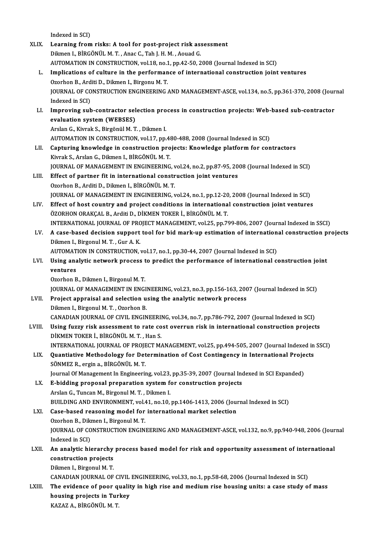Indexed in SCI)

XLIX. Learning from risks: A tool for post-project risk assessment Dikmen I., BİRGÖNÜLM.T., Anac C., Tah J. H.M., Aouad G. AUTOMATION IN CONSTRUCTION, vol.18, no.1, pp.42-50, 2008 (Journal Indexed in SCI) L. Implications of culture in the performance of international construction joint ventures Ozorhon B., Arditi D., Dikmen I., Birgonu M.T. Implications of culture in the performance of international construction joint ventures<br>Ozorhon B., Arditi D., Dikmen I., Birgonu M. T.<br>JOURNAL OF CONSTRUCTION ENGINEERING AND MANAGEMENT-ASCE, vol.134, no.5, pp.361-370, 20 Ozorhon B., Ard<br>JOURNAL OF CO<br>Indexed in SCI)<br>Improving sub JOURNAL OF CONSTRUCTION ENGINEERING AND MANAGEMENT-ASCE, vol.134, no.5, pp.361-370, 2008 (Journal)<br>Indexed in SCI)<br>LI. Improving sub-contractor selection process in construction projects: Web-based sub-contractor<br>avaluatio Indexed in SCI)<br>Improving sub-contractor selection pro-<br>evaluation system (WEBSES)<br>Arslan G., Kivrak S., Birgönül M. T. , Dikmen I. LI. Improving sub-contractor selection process in construction projects: Web-based sub-contractor AUTOMATION IN CONSTRUCTION, vol.17, pp.480-488, 2008 (Journal Indexed in SCI) Arslan G., Kivrak S., Birgönül M. T. , Dikmen I.<br>AUTOMATION IN CONSTRUCTION, vol.17, pp.480-488, 2008 (Journal Indexed in SCI)<br>LII. Capturing knowledge in construction projects: Knowledge platform for contractors<br>Kivrek S. AUTOMATION IN CONSTRUCTION, vol.17, pp.48<br>Capturing knowledge in construction pro<br>Kivrak S., Arslan G., Dikmen I., BİRGÖNÜL M. T.<br>JOUPMAL OE MANACEMENT IN ENCINEERING Capturing knowledge in construction projects: Knowledge platform for contractors<br>Kivrak S., Arslan G., Dikmen I., BİRGÖNÜL M. T.<br>JOURNAL OF MANAGEMENT IN ENGINEERING, vol.24, no.2, pp.87-95, 2008 (Journal Indexed in SCI)<br>E Kivrak S., Arslan G., Dikmen I., BİRGÖNÜL M. T.<br>JOURNAL OF MANAGEMENT IN ENGINEERING, vol.24, no.2, pp.87-95, 20<br>LIII. Effect of partner fit in international construction joint ventures<br>Ozorhon B., Arditi D., Dikmen I., Bİ **JOURNAL OF MANAGEMENT IN ENGINEERING, v**<br>Effect of partner fit in international constr<br>Ozorhon B., Arditi D., Dikmen I., BİRGÖNÜL M. T.<br>JOURNAL OE MANAGEMENT IN ENGINEERING. Effect of partner fit in international construction joint ventures<br>Ozorhon B., Arditi D., Dikmen I., BİRGÖNÜL M. T.<br>JOURNAL OF MANAGEMENT IN ENGINEERING, vol.24, no.1, pp.12-20, 2008 (Journal Indexed in SCI)<br>Effect of hest Ozorhon B., Arditi D., Dikmen I., BİRGÖNÜL M. T.<br>JOURNAL OF MANAGEMENT IN ENGINEERING, vol.24, no.1, pp.12-20, 2008 (Journal Indexed in SCI)<br>LIV. Effect of host country and project conditions in international construction JOURNAL OF MANAGEMENT IN ENGINEERING, vol.24, no.1, pp.12-20<br>Effect of host country and project conditions in internationa<br>ÖZORHON ORAKÇAL B., Arditi D., DİKMEN TOKER İ., BİRGÖNÜL M. T.<br>INTERNATIONAL JOURNAL OF PROJECT MAN Effect of host country and project conditions in international construction joint ventures<br>ÖZORHON ORAKÇAL B., Arditi D., DİKMEN TOKER İ., BİRGÖNÜL M. T.<br>INTERNATIONAL JOURNAL OF PROJECT MANAGEMENT, vol.25, pp.799-806, 200 ÖZORHON ORAKÇAL B., Arditi D., DİKMEN TOKER İ., BİRGÖNÜL M. T.<br>INTERNATIONAL JOURNAL OF PROJECT MANAGEMENT, vol.25, pp.799-806, 2007 (Journal Indexed in SSCI)<br>LV. A case-based decision support tool for bid mark-up esti INTERNATIONAL JOURNAL OF PRC<br>A case-based decision support<br>Dikmen I., Birgonul M. T. , Gur A. K.<br>AUTOMATION IN CONSTRUCTION A case-based decision support tool for bid mark-up estimation of internation<br>Dikmen I., Birgonul M. T. , Gur A. K.<br>AUTOMATION IN CONSTRUCTION, vol.17, no.1, pp.30-44, 2007 (Journal Indexed in SCI)<br>Heing analytic network pr Dikmen I., Birgonul M. T. , Gur A. K.<br>AUTOMATION IN CONSTRUCTION, vol.17, no.1, pp.30-44, 2007 (Journal Indexed in SCI)<br>LVI. Using analytic network process to predict the performance of international construction joint<br>wor AUTOMAT<br>Using ana<br>ventures<br>Ozorban P Using analytic network process t<br>ventures<br>Ozorhon B., Dikmen I., Birgonul M. T.<br>JOUPNAL OF MANACEMENT IN ENCI ventures<br>Ozorhon B., Dikmen I., Birgonul M. T.<br>JOURNAL OF MANAGEMENT IN ENGINEERING, vol.23, no.3, pp.156-163, 2007 (Journal Indexed in SCI) Ozorhon B., Dikmen I., Birgonul M. T.<br>JOURNAL OF MANAGEMENT IN ENGINEERING, vol.23, no.3, pp.156-163, 200<br>LVII. Project appraisal and selection using the analytic network process<br>Dilmon L. Birgonul M. T. Ozorhon B. JOURNAL OF MANAGEMENT IN ENGI<br>Project appraisal and selection u<br>Dikmen I., Birgonul M. T. , Ozorhon B.<br>CANADIAN JOURNAL OF CIVIL ENGIN Dikmen I., Birgonul M. T. , Ozorhon B.<br>CANADIAN JOURNAL OF CIVIL ENGINEERING, vol.34, no.7, pp.786-792, 2007 (Journal Indexed in SCI) Dikmen I., Birgonul M. T. , Ozorhon B.<br>CANADIAN JOURNAL OF CIVIL ENGINEERING, vol.34, no.7, pp.786-792, 2007 (Journal Indexed in SCI)<br>LVIII. Using fuzzy risk assessment to rate cost overrun risk in international constructi CANADIAN JOURNAL OF CIVIL ENGINEERI!<br>Using fuzzy risk assessment to rate co<br>DİKMEN TOKER İ., BİRGÖNÜL M.T. , Han S.<br>INTERNATIONAL JOURNAL OF PROJECT M. Using fuzzy risk assessment to rate cost overrun risk in international construction projects<br>DİKMEN TOKER İ., BİRGÖNÜL M. T. , Han S.<br>INTERNATIONAL JOURNAL OF PROJECT MANAGEMENT, vol.25, pp.494-505, 2007 (Journal Indexed i DİKMEN TOKER İ., BİRGÖNÜL M. T. , Han S.<br>INTERNATIONAL JOURNAL OF PROJECT MANAGEMENT, vol.25, pp.494-505, 2007 (Journal Indexed in<br>LIX. Quantiative Methodology for Determination of Cost Contingency in International Project INTERNATIONAL JOURNAL OF PROJE<br>Quantiative Methodology for Det<br>SÖNMEZ R., ergin a., BİRGÖNÜL M. T.<br>Journal Of Managament In Engineeri: Quantiative Methodology for Determination of Cost Contingency in International Proje<br>SÖNMEZ R., ergin a., BİRGÖNÜL M. T.<br>Journal Of Management In Engineering, vol.23, pp.35-39, 2007 (Journal Indexed in SCI Expanded)<br>E. bid SÖNMEZ R., ergin a., BİRGÖNÜL M. T.<br>Journal Of Management In Engineering, vol.23, pp.35-39, 2007 (Journal Inc<br>LX. E-bidding proposal preparation system for construction projects<br>Arclan C. Tungan M. Birgonyl M. T. Dilmon J Journal Of Management In Engineering, vol.23,<br>**E-bidding proposal preparation system f**<br>Arslan G., Tuncan M., Birgonul M. T. , Dikmen I.<br>PUIJ DING AND ENVIRONMENT vol.41, no.10 Arslan G., Tuncan M., Birgonul M. T. , Dikmen I.<br>BUILDING AND ENVIRONMENT, vol.41, no.10, pp.1406-1413, 2006 (Journal Indexed in SCI) Arslan G., Tuncan M., Birgonul M. T. , Dikmen I.<br>BUILDING AND ENVIRONMENT, vol.41, no.10, pp.1406-1413, 2006 (Journ L. Ease-based reasoning model for international market selection BUILDING AND ENVIRONMENT, vol.4<br>Case-based reasoning model for<br>Ozorhon B., Dikmen I., Birgonul M. T.<br>JOUPNAL OF CONSTRUCTION ENCIN JOURNAL OF CONSTRUCTION ENGINEERING AND MANAGEMENT-ASCE, vol.132, no.9, pp.940-948, 2006 (Journal Indexed in SCI) Ozorhon B., Dikmen I., Birgonul M.T. JOURNAL OF CONSTRUCTION ENGINEERING AND MANAGEMENT-ASCE, vol.132, no.9, pp.940-948, 2006 (Jour<br>Indexed in SCI)<br>LXII. An analytic hierarchy process based model for risk and opportunity assessment of international<br>constructi Indexed in SCI)<br>An analytic hierarchy<br>construction projects<br>Dilmon L Birganul M T An analytic hierarchy<br>construction projects<br>Dikmen I., Birgonul M. T.<br>CANADIAN JOUPNAL OF construction projects<br>Dikmen I., Birgonul M. T.<br>CANADIAN JOURNAL OF CIVIL ENGINEERING, vol.33, no.1, pp.58-68, 2006 (Journal Indexed in SCI)<br>The evidence of noon quality in high rise and modium rise houging unity a sase st Dikmen I., Birgonul M. T.<br>CANADIAN JOURNAL OF CIVIL ENGINEERING, vol.33, no.1, pp.58-68, 2006 (Journal Indexed in SCI)<br>LXIII. The evidence of poor quality in high rise and medium rise housing units: a case study of mass<br>ho CANADIAN JOURNAL OF CIVIL<br>The evidence of poor qualit<br>housing projects in Turkey The evidence of poor quality in high rise and medium rise housing units: a case study of mass housing projects in Turkey<br>KAZAZ A., BİRGÖNÜL M. T.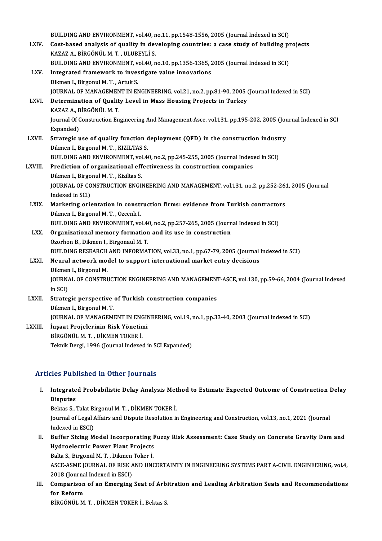BUILDING AND ENVIRONMENT, vol.40, no.11, pp.1548-1556, 2005 (Journal Indexed in SCI)<br>Cest based analysis of suality in developing sountries: a sess study of building pr

|              | BUILDING AND ENVIRONMENT, vol.40, no.11, pp.1548-1556, 2005 (Journal Indexed in SCI)                       |
|--------------|------------------------------------------------------------------------------------------------------------|
| LXIV.        | Cost-based analysis of quality in developing countries: a case study of building projects                  |
|              | KAZAZ A., BİRGÖNÜL M. T., ULUBEYLİ S.                                                                      |
|              | BUILDING AND ENVIRONMENT, vol.40, no.10, pp.1356-1365, 2005 (Journal Indexed in SCI)                       |
| LXV.         | Integrated framework to investigate value innovations                                                      |
|              | Dikmen I., Birgonul M. T., Artuk S.                                                                        |
|              | JOURNAL OF MANAGEMENT IN ENGINEERING, vol.21, no.2, pp.81-90, 2005 (Journal Indexed in SCI)                |
| LXVI.        | Determination of Quality Level in Mass Housing Projects in Turkey                                          |
|              | KAZAZ A, BİRGÖNÜL M.T.                                                                                     |
|              | Journal Of Construction Engineering And Management-Asce, vol.131, pp.195-202, 2005 (Journal Indexed in SCI |
|              | Expanded)                                                                                                  |
| <b>LXVII</b> | Strategic use of quality function deployment (QFD) in the construction industry                            |
|              | Dikmen I., Birgonul M. T., KIZILTAS S.                                                                     |
|              | BUILDING AND ENVIRONMENT, vol.40, no.2, pp.245-255, 2005 (Journal Indexed in SCI)                          |
| LXVIII.      | Prediction of organizational effectiveness in construction companies                                       |
|              | Dikmen I., Birgonul M. T., Kiziltas S.                                                                     |
|              | JOURNAL OF CONSTRUCTION ENGINEERING AND MANAGEMENT, vol.131, no.2, pp.252-261, 2005 (Journal               |
|              | Indexed in SCI)                                                                                            |
| LXIX.        | Marketing orientation in construction firms: evidence from Turkish contractors                             |
|              | Dikmen I., Birgonul M. T., Ozcenk I.                                                                       |
|              | BUILDING AND ENVIRONMENT, vol.40, no.2, pp.257-265, 2005 (Journal Indexed in SCI)                          |
| LXX.         | Organizational memory formation and its use in construction                                                |
|              | Ozorhon B., Dikmen I., Birgonaul M.T.                                                                      |
|              | BUILDING RESEARCH AND INFORMATION, vol.33, no.1, pp.67-79, 2005 (Journal Indexed in SCI)                   |
| LXXI.        | Neural network model to support international market entry decisions                                       |
|              | Dikmen I., Birgonul M.                                                                                     |
|              | JOURNAL OF CONSTRUCTION ENGINEERING AND MANAGEMENT-ASCE, vol.130, pp.59-66, 2004 (Journal Indexed          |
|              | in SCI)                                                                                                    |
| LXXII.       | Strategic perspective of Turkish construction companies                                                    |
|              | Dikmen I., Birgonul M.T.                                                                                   |
|              | JOURNAL OF MANAGEMENT IN ENGINEERING, vol.19, no.1, pp.33-40, 2003 (Journal Indexed in SCI)                |
| LXXIII.      | İnşaat Projelerinin Risk Yönetimi                                                                          |
|              | BİRGÖNÜL M.T., DİKMEN TOKER İ.                                                                             |
|              | Teknik Dergi, 1996 (Journal Indexed in SCI Expanded)                                                       |
|              |                                                                                                            |

# Teknik Dergi, 1996 (Journal Indexed in St.<br>Articles Published in Other Journals

rticles Published in Other Journals<br>I. Integrated Probabilistic Delay Analysis Method to Estimate Expected Outcome of Construction Delay<br>Risputes Integrate<br>Disputes<br>Poltas S Integrated Probabilistic Delay Analysis Met<br>Disputes<br>Bektas S., Talat Birgonul M. T. , DİKMEN TOKER İ.<br>Journal of Lagal Affaire and Diapute Besolution in

Disputes<br>Bektas S., Talat Birgonul M. T. , DİKMEN TOKER İ.<br>Journal of Legal Affairs and Dispute Resolution in Engineering and Construction, vol.13, no.1, 2021 (Journal<br>Indexed in ESCI) Bektas S., Talat Bi<br>Journal of Legal *I*<br>Indexed in ESCI)<br>Puffor Siring M Journal of Legal Affairs and Dispute Resolution in Engineering and Construction, vol.13, no.1, 2021 (Journal<br>Indexed in ESCI)<br>II. Buffer Sizing Model Incorporating Fuzzy Risk Assessment: Case Study on Concrete Gravity Dam

Indexed in ESCI)<br>Buffer Sizing Model Incorporating F<br>Hydroelectric Power Plant Projects<br>Peka S. Pirgënël M.T. Dilmon Tekan I Buffer Sizing Model Incorporating I<br>Hydroelectric Power Plant Projects<br>Balta S., Birgönül M.T. , Dikmen Toker İ.<br>ASCE ASME JOUPMAL OF PISK AND UNG Balta S., Birgönül M. T., Dikmen Toker İ.

Hydroelectric Power Plant Projects<br>Balta S., Birgönül M. T. , Dikmen Toker İ.<br>ASCE-ASME JOURNAL OF RISK AND UNCERTAINTY IN ENGINEERING SYSTEMS PART A-CIVIL ENGINEERING, vol.4,<br>2018 (Journal Indexed in ESCI) ASCE-ASME JOURNAL OF RISK AND UNCERTAINTY IN ENGINEERING SYSTEMS PART A-CIVIL ENGINEERING, vol.4,<br>2018 (Journal Indexed in ESCI)<br>III. Comparison of an Emerging Seat of Arbitration and Leading Arbitration Seats and Recommen

2018 (Journa<br>Comparison<br>for Reform<br>Pincöntiu M Comparison of an Emerging Seat of Arbi<br>for Reform<br>BİRGÖNÜL M. T. , DİKMEN TOKER İ., Bektas S.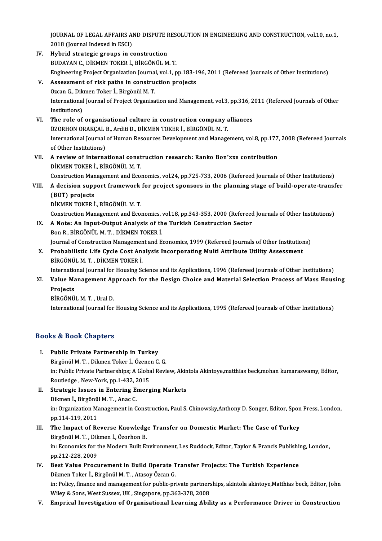JOURNAL OF LEGAL AFFAIRS AND DISPUTE RESOLUTION IN ENGINEERING AND CONSTRUCTION, vol.10, no.1,<br>2018 (Journal Indoved in ESC) 1<br>JOURNAL OF LEGAL AFFAIRS A<br>2018 (Journal Indexed in ESCI)<br>Hubrid stratagie groups in a JOURNAL OF LEGAL AFFAIRS AND DISPUTE F<br>2018 (Journal Indexed in ESCI)<br>IV. Hybrid strategic groups in construction<br>PUDAYAN G DIVMEN TOKER L PIRCÖNUL M

- 2018 (Journal Indexed in ESCI)<br>Hybrid strategic groups in construction<br>BUDAYAN C., DİKMEN TOKER İ., BİRGÖNÜL M. T.<br>Engineening Preject Organization Journal val 1 n Hybrid strategic groups in construction<br>BUDAYAN C., DİKMEN TOKER İ., BİRGÖNÜL M. T.<br>Engineering Project Organization Journal, vol.1, pp.183-196, 2011 (Refereed Journals of Other Institutions)<br>Assessment of rick paths in se BUDAYAN C., DIKMEN TOKER I., BIRGÖNÜL M. T.<br>Engineering Project Organization Journal, vol.1, pp.183-1<br>V. Assessment of risk paths in construction projects
- Engineering Project Organization Journa.<br>Assessment of risk paths in constru<br>Ozcan G., Dikmen Toker İ., Birgönül M.T.<br>International Journal of Project Organica International Journal of Project Organisation and Management, vol.3, pp.316, 2011 (Refereed Journals of Other<br>Institutions) Ozcan G., Dikmen Toker İ., Birgönül M. T.
- International Journal of Project Organisation and Management, vol.3, pp.316, 2<br>Institutions)<br>VI. The role of organisational culture in construction company alliances<br>ÖZOBHON ORAKCAL B. Arditi D. DİKMEN TOKER İ. BİRCÖNÜL M. Institutions)<br>The role of organisational culture in construction company a<br>ÖZORHON ORAKÇAL B., Arditi D., DİKMEN TOKER İ., BİRGÖNÜL M. T.<br>International Journal of Human Beseurses Development and Managa International Journal of Human Resources Development and Management, vol.8, pp.177, 2008 (Refereed Journals of Other Institutions) ÖZORHON ORAKÇAL B., Arditi D., DİKMEN TOKER İ., BİRGÖNÜL M.T. International Journal of Human Resources Development and Management, vol.8, pp.177<br>of Other Institutions)<br>VII. A review of international construction research: Ranko Bon'xxs contribution<br>pitMEN TOKER i. PiRCÖNÜL M.T.
- of Other Institutions)<br>A review of international const<br>DİKMEN TOKER İ., BİRGÖNÜL M.T.<br>Construction Manasamant and Escu DİKMEN TOKER İ., BİRGÖNÜL M. T.<br>Construction Management and Economics, vol.24, pp.725-733, 2006 (Refereed Journals of Other Institutions)

### DIKMEN TOKER İ., BİRGÖNÜL M. T.<br>Construction Management and Economics, vol.24, pp.725-733, 2006 (Refereed Journals of Other Institutions)<br>VIII. A decision support framework for project sponsors in the planning stage of bui Construction Man<br>A decision supp<br>(BOT) projects<br>DikMEN TOKED i A decision support framework<br>(BOT) projects<br>DİKMEN TOKER İ., BİRGÖNÜL M.T.<br>Construction Manasamant and Esca (BOT) projects<br>DİKMEN TOKER İ., BİRGÖNÜL M. T.<br>Construction Management and Economics, vol.18, pp.343-353, 2000 (Refereed Journals of Other Institutions)<br>A Note: An Input Qutput Apolygis of the Turkish Construction Sector

- DIKMEN TOKER İ., BİRGÖNÜL M. T.<br>Construction Management and Economics, vol.18, pp.343-353, 2000 (Refereed<br>IX. A Note: An Input-Output Analysis of the Turkish Construction Sector<br>Bon R., BİRGÖNÜL M. T. , DİKMEN TOKER İ. Construction Management and Economics,<br>A Note: An Input-Output Analysis of th<br>Bon R., BİRGÖNÜL M. T. , DİKMEN TOKER İ.<br>Journal of Construction Management and E A Note: An Input-Output Analysis of the Turkish Construction Sector<br>Bon R., BİRGÖNÜL M. T. , DİKMEN TOKER İ.<br>Journal of Construction Management and Economics, 1999 (Refereed Journals of Other Institutions)<br>Probabilistis Li
- X. Probabilistic Life Cycle Cost Analysis Incorporating Multi Attribute Utility Assessment<br>BİRGÖNÜL M. T., DİKMEN TOKER İ. Journal of Construction Managemen<br><mark>Probabilistic Life Cycle Cost An</mark>:<br>BİRGÖNÜL M. T. , DİKMEN TOKER İ.<br>International Journal for Housing Sc

International Journal for Housing Science and its Applications, 1996 (Refereed Journals of Other Institutions)

BİRGÖNÜL M. T. , DİKMEN TOKER İ.<br>International Journal for Housing Science and its Applications, 1996 (Refereed Journals of Other Institutions)<br>XI. Value Management Approach for the Design Choice and Material Selection Internatio<br>Value Ma<br>Projects<br>PipcöNü Value Management Ap<br>Projects<br>BİRGÖNÜL M.T., Ural D.<br>International Journal for

Projects<br>BİRGÖNÜL M. T. , Ural D.<br>International Journal for Housing Science and its Applications, 1995 (Refereed Journals of Other Institutions)

### Books&Book Chapters

- I. Public Private Partnership in Turkey 1980 Soon Shapters<br>Public Private Partnership in Turkey<br>Birgönül M. T. , Dikmen Toker İ., Özenen C. G.<br>in: Bublic Brivate Bartnerships: A Clebel Bevi in: Public Private Partnerships; A Global Review, Akintola Akintoye,matthias beck,mohan kumaraswamy, Editor,<br>Routledge , New-York, pp.1-432, 2015 Birgönül M. T. , Dikmen Toker İ., Özene:<br>in: Public Private Partnerships; A Globa<br>Routledge , New-York, pp.1-432, 2015<br>Strategie Issues in Entering Emera in: Public Private Partnerships; A Global Review, Akin<br>Routledge, New-York, pp.1-432, 2015<br>II. Strategic Issues in Entering Emerging Markets<br>Dilmon L. Birgänül M. T. Anas C.
- Routledge , New-York, pp.1-432, 2<br>Strategic Issues in Entering E.<br>Dikmen İ., Birgönül M.T. , Anac C.<br>in: Organization Management in C Strategic Issues in Entering Emerging Markets<br>Dikmen İ., Birgönül M. T. , Anac C.<br>in: Organization Management in Construction, Paul S. Chinowsky,Anthony D. Songer, Editor, Spon Press, London,<br>nn 114-119-2011 Dikmen İ., Birgönü<br>in: Organization M;<br>pp.114-119, 2011<br>The Imnest of Bs in: Organization Management in Construction, Paul S. Chinowsky, Anthony D. Songer, Editor, Spon<br>pp.114-119, 2011<br>III. The Impact of Reverse Knowledge Transfer on Domestic Market: The Case of Turkey<br>Pirgönül M.T. Dilmon L.
- pp.114-119, 2011<br>The Impact of Reverse Knowledg<br>Birgönül M. T. , Dikmen İ., Özorhon B.<br>in: Esanamics far the Medern Built E. The Impact of Reverse Knowledge Transfer on Domestic Market: The Case of Turkey<br>Birgönül M. T. , Dikmen İ., Özorhon B.<br>in: Economics for the Modern Built Environment, Les Ruddock, Editor, Taylor & Francis Publishing, Londo Birgönül M. T. , Dik<br>in: Economics for t<br>pp.212-228, 2009<br>Best Value Brosu in: Economics for the Modern Built Environment, Les Ruddock, Editor, Taylor & Francis Publishi<br>pp.212-228, 2009<br>IV. Best Value Procurement in Build Operate Transfer Projects: The Turkish Experience<br>pilmen Telen L. Birgënji
- pp.212-228, 2009<br>IV. Best Value Procurement in Build Operate Transfer Projects: The Turkish Experience<br>Dikmen Toker İ., Birgönül M.T., Atasoy Özcan G. in: Policy, finance and management for public-private partnerships, akintola akintoye,Matthias beck, Editor, John Wiley & Sons, West Sussex, UK, Singapore, pp.363-378, 2008
- V. Emprical Investigation of Organisational Learning Ability as a Performance Driver in Construction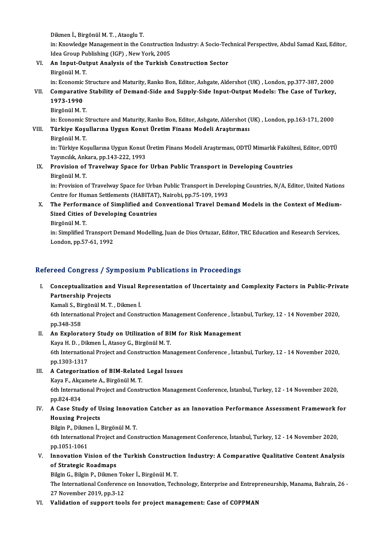Dikmenİ.,BirgönülM.T. ,AtaogluT.

Dikmen İ., Birgönül M. T. , Ataoglu T.<br>in: Knowledge Management in the Construction Industry: A Socio-Technical Perspective, Abdul Samad Kazi, Editor,<br>Idea Creup Publishing (IGP), New York, 2005 Dikmen İ., Birgönül M. T. , Ataoglu T.<br>in: Knowledge Management in the Construction<br>Idea Group Publishing (IGP) , New York, 2005<br>An Innut Output Analysia of the Turkish G in: Knowledge Management in the Construction Industry: A Socio-Tec<br>Idea Group Publishing (IGP) , New York, 2005<br>VI. An Input-Output Analysis of the Turkish Construction Sector<br>Binganil M T

Idea Group Pu<br><mark>An Input-Out</mark><br>Birgönül M. T.<br>in: Economic S Birgönül M. T.<br>in: Economic Structure and Maturity, Ranko Bon, Editor, Ashgate, Aldershot (UK) , London, pp.377-387, 2000

### Birgönül M. T.<br>in: Economic Structure and Maturity, Ranko Bon, Editor, Ashgate, Aldershot (UK) , London, pp.377-387, 2000<br>VII. Comparative Stability of Demand-Side and Supply-Side Input-Output Models: The Case of Turke in: Economic<br>Comparativ<br>1973-1990<br><sup>Pirgënël Ma</sub></sup> Comparative<br>1973-1990<br>Birgönül M. T.<br>in: Economic S

1973-1990<br>Birgönül M. T.<br>in: Economic Structure and Maturity, Ranko Bon, Editor, Ashgate, Aldershot (UK) , London, pp.163-171, 2000

# Birgönül M. T.<br>in: Economic Structure and Maturity, Ranko Bon, Editor, Ashgate, Aldershot (<br>VIII. Türkiye Koşullarına Uygun Konut Üretim Finans Modeli Araştırması<br>Ringönül M. T in: Economic S<br><mark>Türkiye Koşı</mark><br>Birgönül M. T.<br>in: Türkiye Ko

Birgönül M. T.<br>in: Türkiye Koşullarına Uygun Konut Üretim Finans Modeli Araştırması, ODTÜ Mimarlık Fakültesi, Editor, ODTÜ Birgönül M. T.<br>in: Türkiye Koşullarına Uygun Konut |<br>Yayıncılık, Ankara, pp.143-222, 1993<br>Provision of Travelway Space for

### IX. Provision of Travelway Space for Urban Public Transport in Developing Countries Yayıncılık, Ank<br><mark>Provision of</mark><br>Birgönül M. T.<br>in: Provision o

in: Provision of Travelway Space for Urban Public Transport in Developing Countries, N/A, Editor, United Nations Birgönül M. T.<br>in: Provision of Travelway Space for Urban Public Transport in Devel<br>Centre for Human Settlements (HABITAT), Nairobi, pp.75-109, 1993<br>The Berformance of Simplified and Conventional Travel Dem

### X. The Performance of Simplified and Conventional Travel Demand Models in the Context of Medium-Centre for Human Settlements (HABITAT)<br>The Performance of Simplified and C<br>Sized Cities of Developing Countries<br>Birgänül M T Sized Cities of Developing Countries<br>Birgönül M. T.

in: Simplified Transport Demand Modelling, Juan de Dios Ortuzar, Editor, TRC Education and Research Services, London,pp.57-61,1992

### Refereed Congress / Symposium Publications in Proceedings

efereed Congress / Symposium Publications in Proceedings<br>I. Conceptualization and Visual Representation of Uncertainty and Complexity Factors in Public-Private Partnership Projects<br>Partnership Projects<br>Partnership Projects Conceptualization and Visual R<br>Partnership Projects<br>Kamali S., Birgönül M. T. , Dikmen İ.<br>Eth International Project and Const

Fartnership Projects<br>Kamali S., Birgönül M. T. , Dikmen İ.<br>6th International Project and Construction Management Conference , İstanbul, Turkey, 12 - 14 November 2020,<br>pp.348-358 Kamali S., Bi<br>6th Internati<br>pp.348-358<br>An Euplana 6th International Project and Construction Management Conference, İstan<br>pp.348-358<br>II. An Exploratory Study on Utilization of BIM for Risk Management<br>Kava H. D. Dilman İ. Atasay C. Birgânîl M. T

pp.348-358<br>An Exploratory Study on Utilization of BI<br>Kaya H. D. , Dikmen İ., Atasoy G., Birgönül M. T.<br>6th International Preject and Construction Meu An Exploratory Study on Utilization of BIM for Risk Management<br>Kaya H. D. , Dikmen İ., Atasoy G., Birgönül M. T.<br>6th International Project and Construction Management Conference , İstanbul, Turkey, 12 - 14 November 2020,<br>n Kaya H. D. , Dik<br>6th Internation<br>pp.1303-1317<br>A Catagorizat 6th International Project and Construction Manager<br>pp.1303-1317<br>III. A Categorization of BIM-Related Legal Issues<br>Kaya E Alsemate A Birganül M T

pp.1303-1317<br>III. A Categorization of BIM-Related Legal Issues<br>Kaya F., Akçamete A., Birgönül M. T.

A Categorization of BIM-Related Legal Issues<br>Kaya F., Akçamete A., Birgönül M. T.<br>6th International Project and Construction Management Conference, İstanbul, Turkey, 12 - 14 November 2020,<br>nn 924 924 Kaya F., Akça<br>6th Internati<br>pp.824-834<br>A Case Stud 6th International Project and Construction Management Conference, İstanbul, Turkey, 12 - 14 November 2020,<br>pp.824-834<br>IV. A Case Study of Using Innovation Catcher as an Innovation Performance Assessment Framework for<br>Ho

# pp.824-834<br>A Case Study of U<br>Housing Projects<br><sup>Bilgin B. Dilmon I</sup> A Case Study of Using Innovat<br>Housing Projects<br>Bilgin P., Dikmen İ., Birgönül M.T.<br>Eth International Project and Con

Housing Projects<br>Bilgin P., Dikmen İ., Birgönül M. T.<br>6th International Project and Construction Management Conference, İstanbul, Turkey, 12 - 14 November 2020,<br>nn 1051 1061 Bilgin P., Dikme<br>6th Internation<br>pp.1051-1061<br>Innovation Vi 6th International Project and Construction Management Conference, İstanbul, Turkey, 12 - 14 November 2020,<br>pp.1051-1061<br>V. Innovation Vision of the Turkish Construction Industry: A Comparative Qualitative Content Analysis<br>

## pp.1051-1061<br>V. Innovation Vision of the Turkish Construction Industry: A Comparative Qualitative Content Analysis<br>of Strategic Roadmaps Innovation Vision of the Turkish Constructi<br>of Strategic Roadmaps<br>Bilgin G., Bilgin P., Dikmen Toker İ., Birgönül M.T.<br>The International Conference on Innovation Teck

The International Conference on Innovation, Technology, Enterprise and Entrepreneurship, Manama, Bahrain, 26 - 27 November 2019, pp.3-12 Bilgin G., Bilgin P., Dikmen To<br>The International Conference<br>27 November 2019, pp.3-12<br>Volidation of sunnant tool

### VI. Validation of support tools for project management: Case of COPPMAN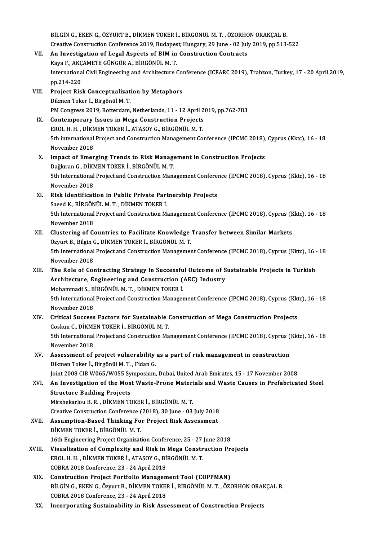BİLGİN G., EKEN G., ÖZYURT B., DİKMEN TOKER İ., BİRGÖNÜL M. T., ÖZORHON ORAKÇAL B. BİLGİN G., EKEN G., ÖZYURT B., DİKMEN TOKER İ., BİRGÖNÜL M. T. , ÖZORHON ORAKÇAL B.<br>Creative Construction Conference 2019, Budapest, Hungary, 29 June - 02 July 2019, pp.513-522<br>An Investigation of Legal Aspects of PIM in C VII. An Investigation of Legal Aspects of BIM in Construction Contracts Creative Construction Conference 2019, Budapes<br>An Investigation of Legal Aspects of BIM in<br>Kaya F., AKÇAMETE GÜNGÖR A., BİRGÖNÜL M. T.<br>International Civil Engineering and Architecture ( International Civil Engineering and Architecture Conference (ICEARC 2019), Trabzon, Turkey, 17 - 20 April 2019,<br>pp.214-220 Kaya F., AKÇAMETE GÜNGÖR A., BİRGÖNÜL M.T. International Civil Engineering and Architecture Composed 214-220<br>VIII. Project Risk Conceptualization by Metaphors<br>Dilmon Teken L Birgönül M T pp.214-220<br>Project Risk Conceptualizat<br>Dikmen Toker İ., Birgönül M. T.<br>PM Congress 2019, Potterdam Dikmen Toker İ., Birgönül M. T.<br>PM Congress 2019, Rotterdam, Netherlands, 11 - 12 April 2019, pp.762-783 Dikmen Toker I., Birgönül M. T.<br>PM Congress 2019, Rotterdam, Netherlands, 11 - 12 April 2<br>IX. Contemporary Issues in Mega Construction Projects<br>FROL H. H. DIKMEN TOKER LATASOV C. RIRCÖNÜL M. T. PM Congress 2019, Rotterdam, Netherlands, 11 - 12 April 2<br>Contemporary Issues in Mega Construction Projects<br>EROL H. H. , DİKMEN TOKER İ., ATASOY G., BİRGÖNÜL M. T.<br>Eth international Preject and Construction Management Co 5th international Project and Construction Management Conference (IPCMC 2018), Cyprus (Kktc), 16 - 18<br>November 2018 EROL H. H., DİKMEN TOKER İ., ATASOY G., BİRGÖNÜL M. T. Sth international Project and Construction Management Conference (IPCMC 2018),<br>November 2018<br>X. Impact of Emerging Trends to Risk Management in Construction Projects<br>Deglinear C. Divident Toven L. Ring Onlinear November 2018<br>Impact of Emerging Trends to Risk Manage<br>Dağkıran G., DİKMEN TOKER İ., BİRGÖNÜL M.T.<br>Eth International Project and Construction Mana 5th International Project and Construction Management Conference (IPCMC 2018), Cyprus (Kktc), 16 - 18<br>November 2018 Dağkıran G., DİKMEN TOKER İ., BİRGÖNÜL M.T. 5th International Project and Construction Management Confere:<br>November 2018<br>XI. Risk Identification in Public Private Partnership Projects<br>Seeed V. Pipcõntiu M.T. DiVMEN TOVER i November 2018<br>Risk Identification in Public Private Part<br>Saeed K., BİRGÖNÜL M. T. , DİKMEN TOKER İ.<br>Eth International Project and Construction M. Risk Identification in Public Private Partnership Projects<br>Saeed K., BİRGÖNÜL M. T. , DİKMEN TOKER İ.<br>5th International Project and Construction Management Conference (IPCMC 2018), Cyprus (Kktc), 16 - 18<br>Navember 2019 Saeed K., BİRGÖN<br>5th International<br>November 2018<br>Clustoring of C 5th International Project and Construction Management Conference (IPCMC 2018), Cyprus (K<br>November 2018<br>XII. Clustering of Countries to Facilitate Knowledge Transfer between Similar Markets<br>Ömnut P. Bikin G. DİKMEN TOKER İ. November 2018<br>XII. Clustering of Countries to Facilitate Knowledge Transfer between Similar Markets<br>Özyurt B., Bilgin G., DİKMEN TOKER İ., BİRGÖNÜL M. T. Clustering of Countries to Facilitate Knowledge Transfer between Similar Markets<br>Özyurt B., Bilgin G., DİKMEN TOKER İ., BİRGÖNÜL M. T.<br>5th International Project and Construction Management Conference (IPCMC 2018), Cyprus ( Özyurt B., Bilgin (<br>5th International<br>November 2018<br>The Bole of Col 5th International Project and Construction Management Conference (IPCMC 2018), Cyprus (Kktc), 16 -<br>November 2018<br>XIII. The Role of Contracting Strategy in Successful Outcome of Sustainable Projects in Turkish<br>Architecture November 2018<br>The Role of Contracting Strategy in Successful Outcome of S<br>Architecture, Engineering and Construction (AEC) Industry<br>Mohammedi S. Rincõntiu M.T. DikMEN TOKER i The Role of Contracting Strategy in Successfu<br>Architecture, Engineering and Construction (<br>Mohammadi S., BİRGÖNÜL M.T., DİKMEN TOKER İ.<br>Eth International Preject and Construction Manages Architecture, Engineering and Construction (AEC) Industry<br>Mohammadi S., BİRGÖNÜL M. T. , DİKMEN TOKER İ.<br>5th International Project and Construction Management Conference (IPCMC 2018), Cyprus (Kktc), 16 - 18<br>Navember 2018 Mohammadi S., B<br>5th International<br>November 2018<br>Critical Success 5th International Project and Construction Management Conference (IPCMC 2018), Cyprus (Kkt<br>November 2018<br>XIV. Critical Success Factors for Sustainable Construction of Mega Construction Projects<br>Cooking Construction Constru November 2018<br>Critical Success Factors for Sustainable (<br>Coskun C., DİKMEN TOKER İ., BİRGÖNÜL M.T.<br>Eth International Braject and Construction Me Critical Success Factors for Sustainable Construction of Mega Construction Projects<br>Coskun C., DİKMEN TOKER İ., BİRGÖNÜL M. T.<br>5th International Project and Construction Management Conference (IPCMC 2018), Cyprus (Kktc), 1 Coskun C., DİKME<br>5th International<br>November 2018<br>Assassment of J 5th International Project and Construction Management Conference (IPCMC 2018), Cyprus (<br>November 2018<br>XV. Assessment of project vulnerability as a part of risk management in construction<br>Dilmon Telsant, Bingënël M.T., Eide November 2018<br>XV. Assessment of project vulnerability as a part of risk management in construction<br>Dikmen Toker İ., Birgönül M.T. , Fidan G. Joint2008CIBW065/W055 Symposium,Dubai,UnitedArabEmirates,15 -17November 2008 Dikmen Toker İ., Birgönül M. T. , Fidan G.<br>Joint 2008 CIB W065/W055 Symposium, Dubai, United Arab Emirates, 15 - 17 November 2008<br>XVI. An Investigation of the Most Waste-Prone Materials and Waste Causes in Prefabricate Joint 2008 CIB W065/W055 Sy<br>An Investigation of the Mos<br>Structure Building Projects<br>Mirshelmrlou B. B., DİKMEN TO An Investigation of the Most Waste-Prone Materi<br>Structure Building Projects<br>Mirshekarlou B. R. , DİKMEN TOKER İ., BİRGÖNÜL M. T.<br>Creative Construction Conference (2019), 20 June, 02 Structure Building Projects<br>Mirshekarlou B. R. , DİKMEN TOKER İ., BİRGÖNÜL M. T.<br>Creative Construction Conference (2018), 30 June - 03 July 2018<br>Assumntion Based Thinking For Broject Bisk Assessment Mirshekarlou B. R., DİKMEN TOKER İ., BİRGÖNÜL M. T.<br>Creative Construction Conference (2018), 30 June - 03 July 2018<br>XVII. Assumption-Based Thinking For Project Risk Assessment<br>DİKMEN TOKER İ. BİRCÖNÜL M. T Creative Construction Conference (<br>Assumption-Based Thinking Fo<br>DİKMEN TOKER İ., BİRGÖNÜL M.T.<br>16th Engineering Project Organizat Assumption-Based Thinking For Project Risk Assessment<br>DiKMEN TOKER İ., BİRGÖNÜL M. T.<br>16th Engineering Project Organization Conference, 25 - 27 June 2018<br>Viavalisation of Comployity and Bisk in Moge Construction Br DIKMEN TOKER I., BIRGÖNÜL M. T.<br>16th Engineering Project Organization Conference, 25 - 27 June 2018<br>XVIII. Visualisation of Complexity and Risk in Mega Construction Projects<br>RPOL H. H. DIKMEN TOKER I. ATASOV G. BIRGÖNÜL M. 16th Engineering Project Organization Conference, 25 - 27<br>Visualisation of Complexity and Risk in Mega Constr<br>EROL H. H., DİKMEN TOKER İ., ATASOY G., BİRGÖNÜL M. T. EROL H. H. , DİKMEN TOKER İ., ATASOY G., BİRGÖNÜL M. T.<br>COBRA 2018 Conference, 23 - 24 April 2018 EROL H. H., DİKMEN TOKER İ., ATASOY G., BİRGÖNÜL M. T.<br>COBRA 2018 Conference, 23 - 24 April 2018<br>XIX. Construction Project Portfolio Management Tool (COPPMAN)<br>PUCIN G. EVEN G. ÖTUMEN TOKER İ. BİRGÖNÜL M.T. ÖZG BİLGİN G., EKEN G., Özyurt B., DİKMEN TOKER İ., BİRGÖNÜL M. T. , ÖZORHON ORAKÇAL B.<br>COBRA 2018 Conference, 23 - 24 April 2018 Construction Project Portfolio Managem<br>BİLGİN G., EKEN G., Özyurt B., DİKMEN TOKEI<br>COBRA 2018 Conference, 23 - 24 April 2018<br>Inconnencting Sustainability in Biak Asa XX. Incorporating Sustainability in Risk Assessment of Construction Projects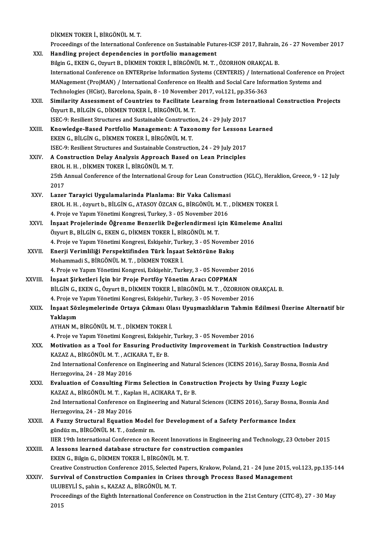DİKMEN TOKER İ., BİRGÖNÜL M. T.<br>Proseedinge of the International Co

|              | DİKMEN TOKER İ., BİRGÖNÜL M. T.                                                                                |
|--------------|----------------------------------------------------------------------------------------------------------------|
|              | Proceedings of the International Conference on Sustainable Futures-ICSF 2017, Bahrain, 26 - 27 November 2017   |
| XXI.         | Handling project dependencies in portfolio management                                                          |
|              | Bilgin G., EKEN G., Ozyurt B., DİKMEN TOKER İ., BİRGÖNÜL M. T., ÖZORHON ORAKÇAL B.                             |
|              | International Conference on ENTERprise Information Systems (CENTERIS) / International Conference on Project    |
|              | MANagement (ProjMAN) / International Conference on Health and Social Care Information Systems and              |
|              | Technologies (HCist), Barcelona, Spain, 8 - 10 November 2017, vol.121, pp.356-363                              |
| XXII.        | Similarity Assessment of Countries to Facilitate Learning from International Construction Projects             |
|              | Özyurt B., BİLGİN G., DİKMEN TOKER İ., BİRGÖNÜL M.T.                                                           |
|              | ISEC-9: Resilient Structures and Sustainable Construction, 24 - 29 July 2017                                   |
| XXIII.       | Knowledge-Based Portfolio Management: A Taxonomy for Lessons Learned                                           |
|              | EKEN G., BİLGİN G., DİKMEN TOKER İ., BİRGÖNÜL M. T.                                                            |
|              | ISEC-9: Resilient Structures and Sustainable Construction, 24 - 29 July 2017                                   |
| XXIV.        | A Construction Delay Analysis Approach Based on Lean Principles                                                |
|              | EROL H. H., DİKMEN TOKER İ., BİRGÖNÜL M. T.                                                                    |
|              | 25th Annual Conference of the International Group for Lean Construction (IGLC), Heraklion, Greece, 9 - 12 July |
|              | 2017                                                                                                           |
| XXV.         | Lazer Tarayici Uygulamalarinda Planlama: Bir Vaka Calismasi                                                    |
|              | EROL H. H., özyurt b., BİLGİN G., ATASOY ÖZCAN G., BİRGÖNÜL M. T., DİKMEN TOKER İ.                             |
|              | 4. Proje ve Yapım Yönetimi Kongresi, Turkey, 3 - 05 November 2016                                              |
| XXVI.        | İnşaat Projelerinde Öğrenme Benzerlik Değerlendirmesi için Kümeleme Analizi                                    |
|              | Özyurt B., BİLGİN G., EKEN G., DİKMEN TOKER İ., BİRGÖNÜL M. T.                                                 |
|              | 4. Proje ve Yapım Yönetimi Kongresi, Eskişehir, Turkey, 3 - 05 November 2016                                   |
| <b>XXVII</b> | Enerji Verimliliği Perspektifinden Türk İnşaat Sektörüne Bakış                                                 |
|              | Mohammadi S., BİRGÖNÜL M. T., DİKMEN TOKER İ.                                                                  |
|              | 4. Proje ve Yapım Yönetimi Kongresi, Eskişehir, Turkey, 3 - 05 November 2016                                   |
| XXVIII.      | İnşaat Şirketleri İçin bir Proje Portföy Yönetim Aracı COPPMAN                                                 |
|              | BİLGİN G., EKEN G., Özyurt B., DİKMEN TOKER İ., BİRGÖNÜL M. T., ÖZORHON ORAKÇAL B.                             |
|              | 4. Proje ve Yapım Yönetimi Kongresi, Eskişehir, Turkey, 3 - 05 November 2016                                   |
| <b>XXIX</b>  | İnşaat Sözleşmelerinde Ortaya Çıkması Olası Uyuşmazlıkların Tahmin Edilmesi Üzerine Alternatif bir             |
|              | Yaklaşım                                                                                                       |
|              | AYHAN M., BİRGÖNÜL M. T., DİKMEN TOKER İ.                                                                      |
|              | 4. Proje ve Yapım Yönetimi Kongresi, Eskişehir, Turkey, 3 - 05 November 2016                                   |
| XXX.         | Motivation as a Tool for Ensuring Productivity Improvement in Turkish Construction Industry                    |
|              | KAZAZ A., BİRGÖNÜL M. T., ACIKARA T., Er B.                                                                    |
|              | 2nd International Conference on Engineering and Natural Sciences (ICENS 2016), Saray Bosna, Bosnia And         |
|              | Herzegovina, 24 - 28 May 2016                                                                                  |
| XXXI.        | Evaluation of Consulting Firms Selection in Construction Projects by Using Fuzzy Logic                         |
|              | KAZAZ A., BİRGÖNÜL M. T., Kaplan H., ACIKARA T., Er B.                                                         |
|              | 2nd International Conference on Engineering and Natural Sciences (ICENS 2016), Saray Bosna, Bosnia And         |
|              | Herzegovina, 24 - 28 May 2016                                                                                  |
| <b>XXXII</b> | A Fuzzy Structural Equation Model for Development of a Safety Performance Index                                |
|              | gündüz m., BİRGÖNÜL M. T., özdemir m.                                                                          |
|              | IIER 19th International Conference on Recent Innovations in Engineering and Technology, 23 October 2015        |
| XXXIII.      | A lessons learned database structure for construction companies                                                |
|              | EKEN G., Bilgin G., DİKMEN TOKER İ., BİRGÖNÜL M. T.                                                            |
|              | Creative Construction Conference 2015, Selected Papers, Krakow, Poland, 21 - 24 June 2015, vol.123, pp.135-144 |
| XXXIV        | Survival of Construction Companies in Crises through Process Based Management                                  |
|              | ULUBEYLİ S., şahin s., KAZAZ A., BİRGÖNÜL M. T.                                                                |
|              | Proceedings of the Eighth International Conference on Construction in the 21st Century (CITC-8), 27 - 30 May   |
|              | 2015                                                                                                           |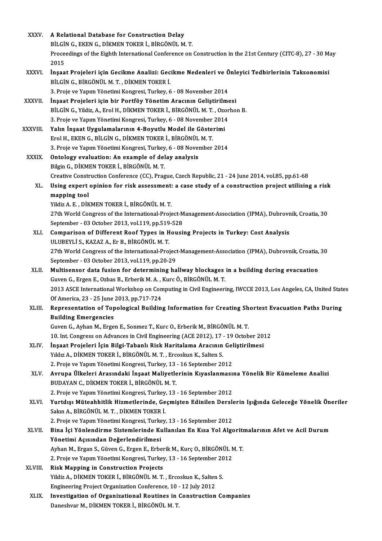| <b>XXXV</b>  | A Relational Database for Construction Delay                                                                         |
|--------------|----------------------------------------------------------------------------------------------------------------------|
|              | BİLGİN G., EKEN G., DİKMEN TOKER İ., BİRGÖNÜL M. T.                                                                  |
|              | Proceedings of the Eighth International Conference on Construction in the 21st Century (CITC-8), 27 - 30 May<br>2015 |
| <b>XXXVI</b> | İnşaat Projeleri için Gecikme Analizi: Gecikme Nedenleri ve Önleyici Tedbirlerinin Taksonomisi                       |
|              | BİLGİN G., BİRGÖNÜL M. T., DİKMEN TOKER İ.                                                                           |
|              | 3. Proje ve Yapım Yönetimi Kongresi, Turkey, 6 - 08 November 2014                                                    |
| XXXVII.      | İnşaat Projeleri için bir Portföy Yönetim Aracının Geliştirilmesi                                                    |
|              | BİLGİN G., Yildiz, A., Erol H., DİKMEN TOKER İ., BİRGÖNÜL M. T., Ozorhon B.                                          |
|              | 3. Proje ve Yapım Yönetimi Kongresi, Turkey, 6 - 08 November 2014                                                    |
| XXXVIII.     | Yalın İnşaat Uygulamalarının 4-Boyutlu Model ile Gösterimi                                                           |
|              | Erol H., EKEN G., BİLGİN G., DİKMEN TOKER İ., BİRGÖNÜL M. T.                                                         |
|              | 3. Proje ve Yapım Yönetimi Kongresi, Turkey, 6 - 08 November 2014                                                    |
| <b>XXXIX</b> | Ontology evaluation: An example of delay analysis                                                                    |
|              | Bilgin G., DİKMEN TOKER İ., BİRGÖNÜL M.T.                                                                            |
|              | Creative Construction Conference (CC), Prague, Czech Republic, 21 - 24 June 2014, vol.85, pp.61-68                   |
| XL.          | Using expert opinion for risk assessment: a case study of a construction project utilizing a risk                    |
|              | mapping tool                                                                                                         |
|              | Yildiz A. E., DİKMEN TOKER İ., BİRGÖNÜL M. T.                                                                        |
|              | 27th World Congress of the International-Project-Management-Association (IPMA), Dubrovnik, Croatia, 30               |
|              | September - 03 October 2013, vol.119, pp.519-528                                                                     |
| XLI.         | Comparison of Different Roof Types in Housing Projects in Turkey: Cost Analysis                                      |
|              | ULUBEYLİ S., KAZAZ A., Er B., BİRGÖNÜL M. T.                                                                         |
|              | 27th World Congress of the International-Project-Management-Association (IPMA), Dubrovnik, Croatia, 30               |
|              | September - 03 October 2013, vol 119, pp 20-29                                                                       |
| XLII.        | Multisensor data fusion for determining hallway blockages in a building during evacuation                            |
|              | Guven G., Ergen E., Ozbas B., Erberik M. A., Kurc Ö., BİRGÖNÜL M. T.                                                 |
|              | 2013 ASCE International Workshop on Computing in Civil Engineering, IWCCE 2013, Los Angeles, CA, United States       |
|              | Of America, 23 - 25 June 2013, pp 717-724                                                                            |
| XLIII.       | Representation of Topological Building Information for Creating Shortest Evacuation Paths During                     |
|              | <b>Building Emergencies</b>                                                                                          |
|              | Guven G., Ayhan M., Ergen E., Sonmez T., Kurc O., Erberik M., BİRGÖNÜL M. T.                                         |
|              | 10. Int. Congress on Advances in Civil Engineering (ACE 2012), 17 - 19 October 2012                                  |
| XLIV.        | İnşaat Projeleri İçin Bilgi-Tabanlı Risk Haritalama Aracının Geliştirilmesi                                          |
|              | Yıldız A., DİKMEN TOKER İ., BİRGÖNÜL M. T., Ercoskun K., Salten S.                                                   |
|              | 2. Proje ve Yapım Yönetimi Kongresi, Turkey, 13 - 16 September 2012                                                  |
| XLV.         | Avrupa Ülkeleri Arasındaki İnşaat Maliyetlerinin Kıyaslanmasına Yönelik Bir Kümeleme Analizi                         |
|              | BUDAYAN C., DİKMEN TOKER İ., BİRGÖNÜL M.T.                                                                           |
|              | 2. Proje ve Yapım Yönetimi Kongresi, Turkey, 13 - 16 September 2012                                                  |
| XLVI.        | Yurtdışı Müteahhitlik Hizmetlerinde, Geçmişten Edinilen Derslerin Işığında Geleceğe Yönelik Öneriler                 |
|              | Sakın A., BİRGÖNÜL M. T., DİKMEN TOKER İ.                                                                            |
|              | 2. Proje ve Yapım Yönetimi Kongresi, Turkey, 13 - 16 September 2012                                                  |
| XLVII.       | Bina İçi Yönlendirme Sistemlerinde Kullanılan En Kısa Yol Algoritmalarının Afet ve Acil Durum                        |
|              | Yönetimi Açısından Değerlendirilmesi                                                                                 |
|              | Ayhan M., Ergan S., Güven G., Ergen E., Erberik M., Kurç O., BİRGÖNÜL M. T.                                          |
|              | 2. Proje ve Yapım Yönetimi Kongresi, Turkey, 13 - 16 September 2012                                                  |
| XLVIII.      | <b>Risk Mapping in Construction Projects</b><br>Yildiz A., DİKMEN TOKER İ., BİRGÖNÜL M. T., Ercoskun K., Salten S.   |
|              | Engineering Project Organization Conference, 10 - 12 July 2012                                                       |
| XLIX.        | Investigation of Organizational Routines in Construction Companies                                                   |
|              | Daneshvar M., DİKMEN TOKER İ., BİRGÖNÜL M. T.                                                                        |
|              |                                                                                                                      |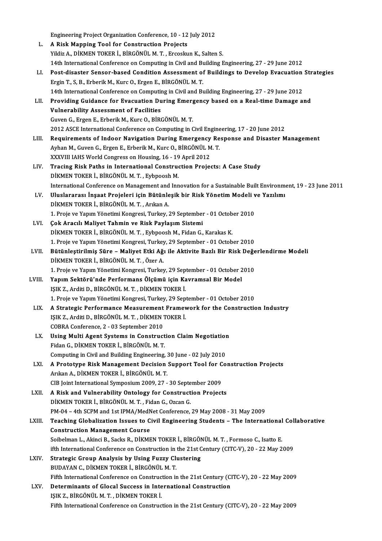|        | Engineering Project Organization Conference, 10 - 12 July 2012                                               |
|--------|--------------------------------------------------------------------------------------------------------------|
| L.     | A Risk Mapping Tool for Construction Projects                                                                |
|        | Yildiz A., DİKMEN TOKER İ., BİRGÖNÜL M. T., Ercoskun K., Salten S.                                           |
|        | 14th International Conference on Computing in Civil and Building Engineering, 27 - 29 June 2012              |
| LI.    | Post-disaster Sensor-based Condition Assessment of Buildings to Develop Evacuation Strategies                |
|        | Ergin T., S, B., Erberik M., Kurc O., Ergen E., BİRGÖNÜL M. T.                                               |
|        | 14th International Conference on Computing in Civil and Building Engineering, 27 - 29 June 2012              |
| LII.   | Providing Guidance for Evacuation During Emergency based on a Real-time Damage and                           |
|        | <b>Vulnerability Assessment of Facilities</b>                                                                |
|        | Guven G., Ergen E., Erberik M., Kurc O., BİRGÖNÜL M.T.                                                       |
|        | 2012 ASCE International Conference on Computing in Civil Engineering, 17 - 20 June 2012                      |
| LIII.  | Requirements of Indoor Navigation During Emergency Response and Disaster Management                          |
|        | Ayhan M., Guven G., Ergen E., Erberik M., Kurc O., BİRGÖNÜL M.T.                                             |
|        | XXXVIII IAHS World Congress on Housing, 16 - 19 April 2012                                                   |
| LIV.   | Tracing Risk Paths in International Construction Projects: A Case Study                                      |
|        | DİKMEN TOKER İ., BİRGÖNÜL M. T., Eybpoosh M.                                                                 |
|        | International Conference on Management and Innovation for a Sustainable Built Environment, 19 - 23 June 2011 |
| LV.    | Uluslararası İnşaat Projeleri için Bütünleşik bir Risk Yönetim Modeli ve Yazılımı                            |
|        | DİKMEN TOKER İ., BİRGÖNÜL M. T., Arıkan A.                                                                   |
|        | 1. Proje ve Yapım Yönetimi Kongresi, Turkey, 29 September - 01 October 2010                                  |
| LVI.   | Çok Aracılı Maliyet Tahmin ve Risk Paylaşım Sistemi                                                          |
|        | DİKMEN TOKER İ., BİRGÖNÜL M. T., Eybpoosh M., Fidan G., Karakas K.                                           |
|        | 1. Proje ve Yapım Yönetimi Kongresi, Turkey, 29 September - 01 October 2010                                  |
| LVII.  | Bütünleştirilmiş Süre - Maliyet Etki Ağı ile Aktivite Bazlı Bir Risk Değerlendirme Modeli                    |
|        | DİKMEN TOKER İ, BİRGÖNÜL M. T., Özer A.                                                                      |
|        | 1. Proje ve Yapım Yönetimi Kongresi, Turkey, 29 September - 01 October 2010                                  |
| LVIII. | Yapım Sektörü'nde Performans Ölçümü için Kavramsal Bir Model                                                 |
|        | IŞIK Z., Arditi D., BİRGÖNÜL M. T., DİKMEN TOKER İ.                                                          |
|        | 1. Proje ve Yapım Yönetimi Kongresi, Turkey, 29 September - 01 October 2010                                  |
| LIX.   | A Strategic Performance Measurement Framework for the Construction Industry                                  |
|        | IŞIK Z., Arditi D., BİRGÖNÜL M. T., DİKMEN TOKER İ.                                                          |
|        | COBRA Conference, 2 - 03 September 2010                                                                      |
| LX.    | Using Multi Agent Systems in Construction Claim Negotiation                                                  |
|        | Fidan G., DİKMEN TOKER İ., BİRGÖNÜL M.T.                                                                     |
|        | Computing in Civil and Building Engineering, 30 June - 02 July 2010                                          |
| LXI.   | A Prototype Risk Management Decision Support Tool for Construction Projects                                  |
|        | Arıkan A., DİKMEN TOKER İ., BİRGÖNÜL M. T.                                                                   |
|        | CIB Joint International Symposium 2009, 27 - 30 September 2009                                               |
| LXII.  | A Risk and Vulnerability Ontology for Construction Projects                                                  |
|        | DİKMEN TOKER İ., BİRGÖNÜL M. T., Fidan G., Ozcan G.                                                          |
|        | PM-04 - 4th SCPM and 1st IPMA/MedNet Conference, 29 May 2008 - 31 May 2009                                   |
| LXIII. | Teaching Globalization Issues to Civil Engineering Students - The International Collaborative                |
|        | <b>Construction Management Course</b>                                                                        |
|        | Soibelman L., Akinci B., Sacks R., DİKMEN TOKER İ., BİRGÖNÜL M. T., Formoso C., Isatto E.                    |
|        | ifth International Conference on Construction in the 21st Century (CITC-V), 20 - 22 May 2009                 |
| LXIV.  | <b>Strategic Group Analysis by Using Fuzzy Clustering</b>                                                    |
|        | BUDAYAN C., DİKMEN TOKER İ., BİRGÖNÜL M. T.                                                                  |
|        | Fifth International Conference on Construction in the 21st Century (CITC-V), 20 - 22 May 2009                |
| LXV.   | Determinants of Glocal Success in International Construction                                                 |
|        | IŞIK Z., BİRGÖNÜL M. T., DİKMEN TOKER İ.                                                                     |
|        | Fifth International Conference on Construction in the 21st Century (CITC-V), 20 - 22 May 2009                |
|        |                                                                                                              |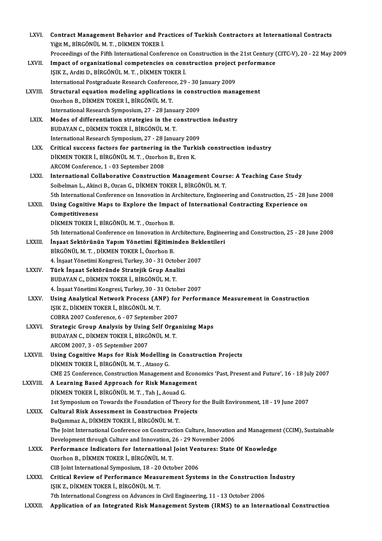| LXVI.        | Contract Management Behavior and Practices of Turkish Contractors at International Contracts                                |
|--------------|-----------------------------------------------------------------------------------------------------------------------------|
|              | Yiğit M., BİRGÖNÜL M. T., DİKMEN TOKER İ.                                                                                   |
|              | Proceedings of the Fifth International Conference on Construction in the 21st Century (CITC-V), 20 - 22 May 2009            |
| LXVII.       | Impact of organizational competencies on construction project performance                                                   |
|              | IŞIK Z., Arditi D., BİRGÖNÜL M. T., DİKMEN TOKER İ.                                                                         |
|              | International Postgraduate Research Conference, 29 - 30 January 2009                                                        |
| LXVIII.      | Structural equation modeling applications in construction management                                                        |
|              | Ozorhon B., DİKMEN TOKER İ., BİRGÖNÜL M.T.                                                                                  |
|              | International Research Symposium, 27 - 28 January 2009                                                                      |
| LXIX.        | Modes of differentiation strategies in the construction industry                                                            |
|              | BUDAYAN C., DİKMEN TOKER İ., BİRGÖNÜL M. T.                                                                                 |
|              | International Research Symposium, 27 - 28 January 2009                                                                      |
| LXX.         | Critical success factors for partnering in the Turkish construction industry                                                |
|              | DİKMEN TOKER İ., BİRGÖNÜL M. T., Ozorhon B., Eren K.                                                                        |
|              | ARCOM Conference, 1 - 03 September 2008                                                                                     |
| LXXI.        | International Collaborative Construction Management Course: A Teaching Case Study                                           |
|              | Soibelman L., Akinci B., Ozcan G., DİKMEN TOKER İ., BİRGÖNÜL M. T.                                                          |
|              | 5th International Conference on Innovation in Architecture, Engineering and Construction, 25 - 28 June 2008                 |
| LXXII.       | Using Cognitive Maps to Explore the Impact of International Contracting Experience on                                       |
|              | Competitiveness                                                                                                             |
|              | DİKMEN TOKER İ., BİRGÖNÜL M. T., Ozorhon B.                                                                                 |
|              | 5th International Conference on Innovation in Architecture, Engineering and Construction, 25 - 28 June 2008                 |
| LXXIII.      | İnşaat Sektörünün Yapım Yönetimi Eğitiminden Beklentileri<br>BİRGÖNÜL M. T., DİKMEN TOKER İ., Özorhon B.                    |
|              | 4. İnşaat Yönetimi Kongresi, Turkey, 30 - 31 October 2007                                                                   |
| <b>LXXIV</b> | Türk İnşaat Sektöründe Stratejik Grup Analizi                                                                               |
|              | BUDAYAN C., DİKMEN TOKER İ., BİRGÖNÜL M.T.                                                                                  |
|              | 4. İnşaat Yönetimi Kongresi, Turkey, 30 - 31 October 2007                                                                   |
| LXXV         | Using Analytical Network Process (ANP) for Performance Measurement in Construction                                          |
|              | IŞIK Z., DİKMEN TOKER İ., BİRGÖNÜL M. T.                                                                                    |
|              | COBRA 2007 Conference, 6 - 07 September 2007                                                                                |
| <b>LXXVI</b> | Strategic Group Analysis by Using Self Organizing Maps                                                                      |
|              | BUDAYAN C., DİKMEN TOKER İ., BİRGÖNÜL M. T.                                                                                 |
|              | ARCOM 2007, 3 - 05 September 2007                                                                                           |
| LXXVII.      | Using Cognitive Maps for Risk Modelling in Construction Projects                                                            |
|              | DİKMEN TOKER İ., BİRGÖNÜL M. T., Atasoy G.                                                                                  |
|              | CME 25 Conference, Construction Management and Economics 'Past, Present and Future', 16 - 18 July 2007                      |
| LXXVIII.     | A Learning Based Approach for Risk Management                                                                               |
|              | DİKMEN TOKER İ., BİRGÖNÜL M. T., Tah J., Aouad G.                                                                           |
|              | 1st Symposium on Towards the Foundation of Theory for the Built Environment, 18 - 19 June 2007                              |
| <b>LXXIX</b> | <b>Cultural Risk Assessment in Construction Projects</b>                                                                    |
|              | BuQammaz A., DİKMEN TOKER İ., BİRGÖNÜL M. T.                                                                                |
|              | The Joint International Conference on Construction Culture, Innovation and Management (CCIM), Sustainable                   |
|              | Development through Culture and Innovation, 26 - 29 November 2006                                                           |
| <b>LXXX</b>  | Performance Indicators for International Joint Ventures: State Of Knowledge                                                 |
|              | Ozorhon B., DİKMEN TOKER İ., BİRGÖNÜL M. T.                                                                                 |
|              | CIB Joint International Symposium, 18 - 20 October 2006                                                                     |
| <b>LXXXI</b> | Critical Review of Performance Measurement Systems in the Construction Industry<br>IŞIK Z., DİKMEN TOKER İ., BİRGÖNÜL M. T. |
|              | 7th International Congress on Advances in Civil Engineering, 11 - 13 October 2006                                           |
| LXXXII.      | Application of an Integrated Risk Management System (IRMS) to an International Construction                                 |
|              |                                                                                                                             |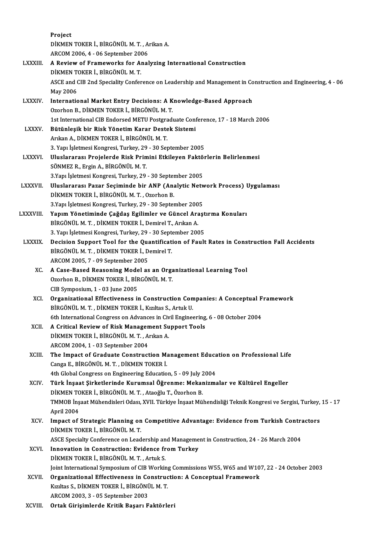Project Project<br>DİKMEN TOKER İ., BİRGÖNÜL M. T. , Arikan A.<br>ARCOM 2006 4. . 06 Santambar 2006 Project<br>DİKMEN TOKER İ., BİRGÖNÜL M. T. , A<br>ARCOM 2006, 4 - 06 September 2006<br>A Beview of Enamewarks far Anal DİKMEN TOKER İ., BİRGÖNÜL M. T. , Arikan A.<br>ARCOM 2006, 4 - 06 September 2006<br>LXXXIII. A Review of Frameworks for Analyzing International Construction ARCOM 2006, 4 - 06 September 200<br>**A Review of Frameworks for A**<br>DİKMEN TOKER İ., BİRGÖNÜL M. T.<br>ASCE and CIB 2nd Speciality Confor A Review of Frameworks for Analyzing International Construction<br>DİKMEN TOKER İ., BİRGÖNÜL M. T.<br>ASCE and CIB 2nd Speciality Conference on Leadership and Management in Construction and Engineering, 4 - 06<br>May 2006 DİKMEN T<br>ASCE and (<br>May 2006<br>Internatio ASCE and CIB 2nd Speciality Conference on Leadership and Management in Co<br>May 2006<br>LXXXIV. International Market Entry Decisions: A Knowledge-Based Approach<br>Orachon B. DIKMEN TOKER LARCONIU M.T. May 2006<br>International Market Entry Decisions: A Knowledge-Based Approach<br>Ozorhon B., DİKMEN TOKER İ., BİRGÖNÜL M. T. International Market Entry Decisions: A Knowledge-Based Approach<br>Ozorhon B., DİKMEN TOKER İ., BİRGÖNÜL M. T.<br>1st International CIB Endorsed METU Postgraduate Conference, 17 - 18 March 2006<br>Pütünlesik bir Piek Vönetim Kanar Ozorhon B., DİKMEN TOKER İ., BİRGÖNÜL M. T.<br>1st International CIB Endorsed METU Postgraduate Conf<br>LXXXV. Bütünleşik bir Risk Yönetim Karar Destek Sistemi<br>Arıkan A. DİKMEN TOKER İ. BİRGÖNÜL M.T. 1st International CIB Endorsed METU Postgra<br>Bütünleşik bir Risk Yönetim Karar Deste<br>Arıkan A., DİKMEN TOKER İ., BİRGÖNÜL M.T. Bütünleşik bir Risk Yönetim Karar Destek Sistemi<br>Arıkan A., DİKMEN TOKER İ., BİRGÖNÜL M. T.<br>3. Yapı İşletmesi Kongresi, Turkey, 29 - 30 September 2005<br>Uluslarazsa: Brajalarda Biak Brimini Etkilovan Faktör Arıkan A., DİKMEN TOKER İ., BİRGÖNÜL M. T.<br>3. Yapı İşletmesi Kongresi, Turkey, 29 - 30 September 2005<br>LXXXVI. Uluslararası Projelerde Risk Primini Etkileyen Faktörlerin Belirlenmesi<br>SÖNMEZ B. Frajn A. BİRGÖNÜL M. T 3. Yapı İşletmesi Kongresi, Turkey, 29<br>Uluslararası Projelerde Risk Prin<br>SÖNMEZ R., Ergin A., BİRGÖNÜL M. T.<br>2 Yapı İslatmesi Kongresi Turkey, 29. Uluslararası Projelerde Risk Primini Etkileyen Faktö<br>SÖNMEZ R., Ergin A., BİRGÖNÜL M. T.<br>3.Yapı İşletmesi Kongresi, Turkey, 29 - 30 September 2005<br>Uluslararası Parar Sesiminda bir ANR (Analytis Naty SÖNMEZ R., Ergin A., BİRGÖNÜL M. T.<br>3.Yapı İşletmesi Kongresi, Turkey, 29 - 30 September 2005<br>LXXXVII. Uluslararası Pazar Seçiminde bir ANP (Analytic Network Process) Uygulaması<br>DİKMEN TOKER İ. BİRGÖNÜL M.T. Ozerben B 3.Yapı İşletmesi Kongresi, Turkey, 29 - 30 September 2005<br>Uluslararası Pazar Seçiminde bir ANP (Analytic Net<br>DİKMEN TOKER İ., BİRGÖNÜL M.T., Ozorhon B.<br>3.Yapı İşletmesi Kongresi, Turkey, 29 - 30 September 2005 Uluslararası Pazar Seçiminde bir ANP (Analytic Netw<br>DİKMEN TOKER İ., BİRGÖNÜL M. T. , Ozorhon B.<br>3.Yapı İşletmesi Kongresi, Turkey, 29 - 30 September 2005<br>Yanım Vönetiminde Geğdes Feilimler ve Günsel Anası DİKMEN TOKER İ., BİRGÖNÜL M. T. , Ozorhon B.<br>3.Yapı İşletmesi Kongresi, Turkey, 29 - 30 September 2005<br>LXXXVIII. Yapım Yönetiminde Çağdaş Egilimler ve Güncel Araştırma Konuları<br>PRECÖNÜL M.T. DİKMEN TOKER İ. Demirel T. Arık 3.Yapı İşletmesi Kongresi, Turkey, 29 - 30 September 200<br>Yapım Yönetiminde Çağdaş Egilimler ve Güncel Ara<br>BİRGÖNÜL M.T., DİKMEN TOKER İ., Demirel T., Arıkan A. Yapım Yönetiminde Çağdaş Egilimler ve Güncel Araşt<br>BİRGÖNÜL M. T. , DİKMEN TOKER İ., Demirel T., Arıkan A.<br>3. Yapı İşletmesi Kongresi, Turkey, 29 - 30 September 2005<br>Desisian Sunnert Teel far the Quantification of Fault BİRGÖNÜL M. T. , DİKMEN TOKER İ., Demirel T., Arıkan A.<br>3. Yapı İşletmesi Kongresi, Turkey, 29 - 30 September 2005<br>LXXXIX. Decision Support Tool for the Quantification of Fault Rates in Construction Fall Accidents<br>PİRCÖNI' 3. Yapı İşletmesi Kongresi, Turkey, 29 - 30 Sept<br>Decision Support Tool for the Quantificat<br>BİRGÖNÜL M. T. , DİKMEN TOKER İ., Demirel T.<br>ARCOM 2005 - 7 - 09 September 2005 Decision Support Tool for the Quandina Birgonii M. T., Dikmen Toker i., D.<br>ARCOM 2005, 7 - 09 September 2005<br>A Gase Based Beasening Model as BIRGÖNÜL M. T., DİKMEN TOKER İ., Demirel T.<br>ARCOM 2005, 7 - 09 September 2005<br>XC. A Case-Based Reasoning Model as an Organizational Learning Tool<br>Ororhon B. DİKMEN TOKER İ. BİRGÖNÜL M. T. ARCOM 2005, 7 - 09 September 2005<br>A Case-Based Reasoning Model as an Orga<br>Ozorhon B., DİKMEN TOKER İ., BİRGÖNÜL M. T.<br>CIB Sumnesium 1 - 03 June 2005 A Case-Based Reasoning Mode<br>Ozorhon B., DİKMEN TOKER İ., BİF<br>CIB Symposium, 1 - 03 June 2005<br>Organizational Effectivenese i Ozorhon B., DİKMEN TOKER İ., BİRGÖNÜL M. T.<br>CIB Symposium, 1 - 03 June 2005<br>XCI. Organizational Effectiveness in Construction Companies: A Conceptual Framework<br>PRECONIU M. T. DİKMEN TOKER İ. Kırıltas S. Artuk II. CIB Symposium, 1 - 03 June 2005<br>Organizational Effectiveness in Construction Con<br>BİRGÖNÜL M.T., DİKMEN TOKER İ., Kızıltas S., Artuk U.<br>Eth International Congress on Advances in Civil Engines **Organizational Effectiveness in Construction Companies: A Conceptual F**<br>BİRGÖNÜL M. T. , DİKMEN TOKER İ., Kızıltas S., Artuk U.<br>6th International Congress on Advances in Civil Engineering, 6 - 08 October 2004<br>A Critical B BİRGÖNÜL M. T. , DİKMEN TOKER İ., Kızıltas S., Artuk U.<br>6th International Congress on Advances in Civil Engineering<br>XCII. A Critical Review of Risk Management Support Tools<br>DİKMEN TOKER İ. BİRGÖNÜL M.T. Arıltan A 6th International Congress on Advances in Civ<br>A Critical Review of Risk Management Su<br>DİKMEN TOKER İ., BİRGÖNÜL M.T. , Arıkan A. A Critical Review of Risk Managen<br>DİKMEN TOKER İ., BİRGÖNÜL M. T. , A<br>ARCOM 2004, 1 - 03 September 2004<br>The Impect of Croducte Construct DİKMEN TOKER İ., BİRGÖNÜL M. T. , Arıkan A.<br>ARCOM 2004, 1 - 03 September 2004<br>XCIII. The Impact of Graduate Construction Management Education on Professional Life<br>Conse E. BİRGÖNÜL M. T. DİKMEN TOKER İ. ARCOM 2004, 1 - 03 September 2004<br>The Impact of Graduate Construction Ma<br>Canga E., BİRGÖNÜL M. T. , DİKMEN TOKER İ.<br>4th Clabal Consress on Ensineering Edusatio The Impact of Graduate Construction Management Educa<br>Canga E., BİRGÖNÜL M. T. , DİKMEN TOKER İ.<br>4th Global Congress on Engineering Education, 5 - 09 July 2004<br>Türk İnsaat Sirketlerinde Kurumsal Öğrenme: Mekanizma Canga E., BİRGÖNÜL M. T. , DİKMEN TOKER İ.<br>4th Global Congress on Engineering Education, 5 - 09 July 2004<br>XCIV. Türk İnşaat Şirketlerinde Kurumsal Öğrenme: Mekanizmalar ve Kültürel Engeller<br>DİKMEN TOKER İ. BİRGÖNÜL M. 4th Global Congress on Engineering Education, 5 - 09 July 2<br>Türk İnşaat Şirketlerinde Kurumsal Öğrenme: Mekar<br>DİKMEN TOKER İ., BİRGÖNÜL M. T. , Ataoğlu T., Özorhon B.<br>TMMOP İnsaat Mühandisləri Odası YVII Türkiye İnsaat Mü Türk İnşaat Şirketlerinde Kurumsal Öğrenme: Mekanizmalar ve Kültürel Engeller<br>DİKMEN TOKER İ., BİRGÖNÜL M. T. , Ataoğlu T., Özorhon B.<br>TMMOB İnşaat Mühendisleri Odası, XVII. Türkiye İnşaat Mühendisliği Teknik Kongresi ve S DİKMEN TOKER İ., BİRGÖNÜL M. T. , Ataoğlu T., Özorhon B.<br>TMMOB İnşaat Mühendisleri Odası, XVII. Türkiye İnşaat Mühendisliği Teknik Kongresi ve Sergisi, Turkey, 15 - 17<br>April 2004 TMMOB İnşaat Mühendisleri Odası, XVII. Türkiye İnşaat Mühendisliği Teknik Kongresi ve Sergisi, Turkey,<br>April 2004<br>XCV. Impact of Strategic Planning on Competitive Advantage: Evidence from Turkish Contractors<br>DIKMEN TOKER İ April 2004<br>Impact of Strategic Planning on<br>DİKMEN TOKER İ., BİRGÖNÜL M. T.<br>ASCE Spesialty Conference on Load Impact of Strategic Planning on Competitive Advantage: Evidence from Turkish Contra<br>DİKMEN TOKER İ., BİRGÖNÜL M. T.<br>ASCE Specialty Conference on Leadership and Management in Construction, 24 - 26 March 2004<br>Innovation in C DİKMEN TOKER İ., BİRGÖNÜL M. T.<br>ASCE Specialty Conference on Leadership and Manageme<br>XCVI. Innovation in Construction: Evidence from Turkey<br>DİKMEN TOKER İ., BİRGÖNÜL M. T. , Artuk S. ASCE Specialty Conference on Leadership and Management in Construction, 24 - 26 March 2004 Innovation in Construction: Evidence from Turkey<br>DİKMEN TOKER İ., BİRGÖNÜL M. T. , Artuk S.<br>Joint International Symposium of CIB Working Commissions W55, W65 and W107, 22 - 24 October 2003<br>Ongenigational Effectiveness in C DİKMEN TOKER İ., BİRGÖNÜL M. T. , Artuk S.<br>Joint International Symposium of CIB Working Commissions W55, W65 and W10<br>XCVII. Organizational Effectiveness in Construction: A Conceptual Framework<br>Evrilias S. DİKMEN TOKER Joint International Symposium of CIB Working<br>Organizational Effectiveness in Construc<br>Kızıltas S., DİKMEN TOKER İ., BİRGÖNÜL M. T.<br>ARCOM 2002-2 - OE Sontember 2002 Organizational Effectiveness in Co<br>Kızıltas S., DİKMEN TOKER İ., BİRGÖNÜ<br>ARCOM 2003, 3 - 05 September 2003<br>Ortak Girisimlarda Kritik Basarı E Kızıltas S., DİKMEN TOKER İ., BİRGÖNÜL M. T.<br>ARCOM 2003, 3 - 05 September 2003<br>XCVIII. Ortak Girişimlerde Kritik Başarı Faktörleri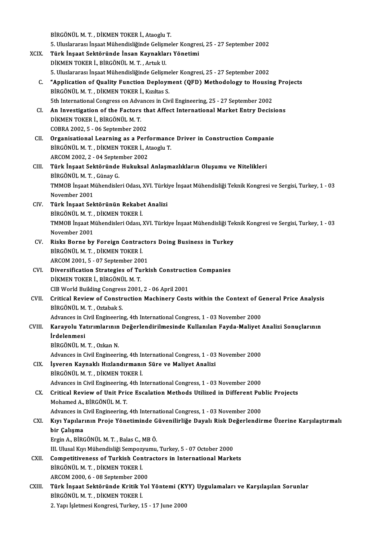BİRGÖNÜLM.T., DİKMEN TOKER İ., Ataoglu T. BİRGÖNÜL M. T. , DİKMEN TOKER İ., Ataoglu T.<br>5. Uluslararası İnşaat Mühendisliğinde Gelişmeler Kongresi, 25 - 27 September 2002<br>Türk İngest Sektöründe İnsan Kaynakları Yönetimi XCIX. Türk İnşaat Sektöründe İnsan Kaynakları Yönetimi 5. Uluslararası İnşaat Mühendisliğinde Gelişm<br>Türk İnşaat Sektöründe İnsan Kaynakla<br>DİKMEN TOKER İ., BİRGÖNÜL M. T. , Artuk U.<br>E. Uluslararası İnsast Mühandisliğinde Geliam 5. Uluslararası İnşaat Mühendisliğinde Gelişmeler Kongresi, 25 - 27 September 2002 DİKMEN TOKER İ., BİRGÖNÜL M. T. , Artuk U.<br>5. Uluslararası İnşaat Mühendisliğinde Gelişmeler Kongresi, 25 - 27 September 2002<br>6. "Application of Quality Function Deployment (QFD) Methodology to Housing Projects<br>PROÖNÜL BİRGÖNÜL M.T., DİKMEN TOKER İ., Kızıltas S.<br>5th International Congress on Advances in Civil Engineering, 25 - 27 September 2002 "Application of Quality Function Deployment (QFD) Methodology to Housing<br>BİRGÖNÜL M. T. , DİKMEN TOKER İ., Kızıltas S.<br>5th International Congress on Advances in Civil Engineering, 25 - 27 September 2002<br>An Investigation of BİRGÖNÜL M. T. , DİKMEN TOKER İ., Kızıltas S.<br>5th International Congress on Advances in Civil Engineering, 25 - 27 September 2002<br>CI. An Investigation of the Factors that Affect International Market Entry Decisions<br>DİKMEN 5th International Congress on Adva<br>An Investigation of the Factors<br>DİKMEN TOKER İ., BİRGÖNÜL M.T.<br>COPPA 2002 E. 06 Santambar 200 An Investigation of the Factors th<br>DİKMEN TOKER İ., BİRGÖNÜL M. T.<br>COBRA 2002, 5 - 06 September 2002<br>Organisational Learning as a Bort DİKMEN TOKER İ., BİRGÖNÜL M. T.<br>COBRA 2002, 5 - 06 September 2002<br>CII. Organisational Learning as a Performance Driver in Construction Companie BİRGÖNÜLM.T., DİKMEN TOKER İ., Ataoglu T. Organisational Learning as a Perf<br>BİRGÖNÜL M. T. , DİKMEN TOKER İ., A<br>ARCOM 2002, 2 - 04 September 2002<br>Türk İnseet Sektönünde Hukuksel CIII. Türk İnşaat Sektöründe Hukuksal Anlaşmazlıkların Oluşumu ve Nitelikleri<br>BİRGÖNÜL M. T., Günay G. ARCOM 2002, 2 - 04 Septer<br>Türk İnşaat Sektöründe<br>BİRGÖNÜL M. T. , Günay G.<br>TMMOP İnsaat Mühandiale Türk İnşaat Sektöründe Hukuksal Anlaşmazlıkların Oluşumu ve Nitelikleri<br>BİRGÖNÜL M. T. , Günay G.<br>TMMOB İnşaat Mühendisleri Odası, XVI. Türkiye İnşaat Mühendisliği Teknik Kongresi ve Sergisi, Turkey, 1 - 03<br>Navambar 2001 BİRGÖNÜL M. T. ,<br>TMMOB İnşaat M<br>November 2001<br>Türk İnsaat Sak CIV. Türk İnşaat Sektörünün Rekabet Analizi November 2001<br><mark>Türk İnşaat Sektörünün Rekabe</mark><br>BİRGÖNÜL M.T., DİKMEN TOKER İ.<br>TMMOR İngast Mühandiaları Odası ) TMMOB İnşaat Mühendisleri Odası, XVI. Türkiye İnşaat Mühendisliği Teknik Kongresi ve Sergisi, Turkey, 1 - 03<br>November 2001 BİRGÖNÜL M. T. ,<br>TMMOB İnşaat M<br>November 2001<br>Pisks Porne by TMMOB İnşaat Mühendisleri Odası, XVI. Türkiye İnşaat Mühendisliği Tel<br>November 2001<br>CV. Risks Borne by Foreign Contractors Doing Business in Turkey<br>PROĞNÜL M.T. DİKMEN TOKER İ November 2001<br>Risks Borne by Foreign Contrac<br>BİRGÖNÜL M.T., DİKMEN TOKER İ.<br>ARCOM 2001 E. 07 Sontamber 200 Risks Borne by Foreign Contracto<br>BİRGÖNÜL M. T. , DİKMEN TOKER İ.<br>ARCOM 2001, 5 - 07 September 2001<br>Diversification Strategies of Turki BIRGÖNÜL M. T., DIKMEN TOKER I.<br>ARCOM 2001, 5 - 07 September 2001<br>CVI. Diversification Strategies of Turkish Construction Companies<br>DIKMEN TOKER I. RIRGÖNÜL M. T ARCOM 2001, 5 - 07 September 200<br>Diversification Strategies of Tu<br>DİKMEN TOKER İ., BİRGÖNÜL M. T.<br>CIB Werld Building Congress 2001 Diversification Strategies of Turkish Construction<br>DiKMEN TOKER İ., BİRGÖNÜL M. T.<br>CIB World Building Congress 2001, 2 - 06 April 2001<br>Critical Bayiew of Construction Machinery Cost DİKMEN TOKER İ., BİRGÖNÜL M. T.<br>CIB World Building Congress 2001, 2 - 06 April 2001<br>CVII. Critical Review of Construction Machinery Costs within the Context of General Price Analysis<br>RIRCÖNÜL M.T. Ortobek S CIB World Building Congres<br>Critical Review of Constr<br>BİRGÖNÜL M.T., Oztabak S.<br>Advances in Civil Engineerin Critical Review of Construction Machinery Costs within the Context of G<br>BİRGÖNÜL M. T. , Oztabak S.<br>Advances in Civil Engineering, 4th International Congress, 1 - 03 November 2000<br>Kanavalu Yatınımlarının Değerlendirilmesin BİRGÖNÜL M. T. , Oztabak S.<br>Advances in Civil Engineering, 4th International Congress, 1 - 03 November 2000<br>CVIII. Karayolu Yatırımlarının Değerlendirilmesinde Kullanılan Fayda-Maliyet Analizi Sonuçlarının<br>İndelenmesi Advances in C<br><mark>Karayolu Ya</mark><br>İrdelenmesi<br>Pincönül M Karayolu Yatırımlarının<br>İrdelenmesi<br>BİRGÖNÜL M.T., Ozkan N.<br>Advances in Givil Engineeri İrdelenmesi<br>BİRGÖNÜL M. T. , Ozkan N.<br>Advances in Civil Engineering, 4th International Congress, 1 - 03 November 2000<br>İsvenen Kavnaklı Hırlandırmanın Süna ve Maliyat Analizi BİRGÖNÜL M. T. , Ozkan N.<br>Advances in Civil Engineering, 4th International Congress, 1 - 03<br>CIX. İşveren Kaynaklı Hızlandırmanın Süre ve Maliyet Analizi<br>BİRGÖNÜL M. T. , DİKMEN TOKER İ. Advances in Civil Engineering, 4th In<br>İşveren Kaynaklı Hızlandırmanı<br>BİRGÖNÜL M. T. , DİKMEN TOKER İ.<br>Advances in Civil Engineering, 4th Ir İşveren Kaynaklı Hızlandırmanın Süre ve Maliyet Analizi<br>BİRGÖNÜL M. T. , DİKMEN TOKER İ.<br>Advances in Civil Engineering, 4th International Congress, 1 - 03 November 2000<br>Critical Paview of Unit Price Essalation Methods Util CX. Critical Review of Unit Price Escalation Methods Utilized in Different Public Projects<br>Mohamed A., BİRGÖNÜL M. T. Advances in Civil Engineering,<br>Critical Review of Unit Prio<br>Mohamed A., BİRGÖNÜL M.T.<br>Advances in Civil Engineering Critical Review of Unit Price Escalation Methods Utilized in Different Pul<br>Mohamed A., BİRGÖNÜL M. T.<br>Advances in Civil Engineering, 4th International Congress, 1 - 03 November 2000<br>Kuu Yanılarının Proje Vönetiminde Cüyeni Mohamed A., BİRGÖNÜL M. T.<br>Advances in Civil Engineering, 4th International Congress, 1 - 03 November 2000<br>CXI. Kıyı Yapılarının Proje Yönetiminde Güvenilirliğe Dayalı Risk Değerlendirme Üzerine Karşılaştırmalı<br>hir Cal Advances in (<br>Kıyı Yapılar<br>bir Çalışma<br>Ergin A. BiB6 Kıyı Yapılarının Proje Yönetiminde G<br>bir Çalışma<br>Ergin A., BİRGÖNÜL M.T. , Balas C., MB Ö.<br>III Illusel Kur Mühandisliği Sonnogrumu bir Çalışma<br>Ergin A., BİRGÖNÜL M. T. , Balas C., MB Ö.<br>III. Ulusal Kıyı Mühendisliği Sempozyumu, Turkey, 5 - 07 October 2000 CXII. Competitiveness of Turkish Contractors in International Markets III. Ulusal Kıyı Mühendisliği Sempozy<br>Competitiveness of Turkish Con<br>BİRGÖNÜL M. T. , DİKMEN TOKER İ.<br>ARCOM 2000 6 - 08 Sentember 200 Competitiveness of Turkish Contr<br>BİRGÖNÜL M. T. , DİKMEN TOKER İ.<br>ARCOM 2000, 6 - 08 September 2000<br>Türk İnsest Sektönünde Kuttlı Yol BİRGÖNÜL M. T. , DİKMEN TOKER İ.<br>ARCOM 2000, 6 - 08 September 2000<br>CXIII. Türk İnşaat Sektöründe Kritik Yol Yöntemi (KYY) Uygulamaları ve Karşılaşılan Sorunlar<br>PİRCÖNÜL M. T. DİKMEN TOKER İ ARCOM 2000, 6 - 08 September 2000<br>Türk İnşaat Sektöründe Kritik Yol Yöntemi (KY<br>BİRGÖNÜL M.T., DİKMEN TOKER İ.<br>2. Yapı İşletmesi Kongresi, Turkey, 15 - 17 June 2000 Türk İnşaat Sektöründe Kritik Yol Yöntemi (KY<br>BİRGÖNÜL M. T. , DİKMEN TOKER İ.<br>2. Yapı İşletmesi Kongresi, Turkey, 15 - 17 June 2000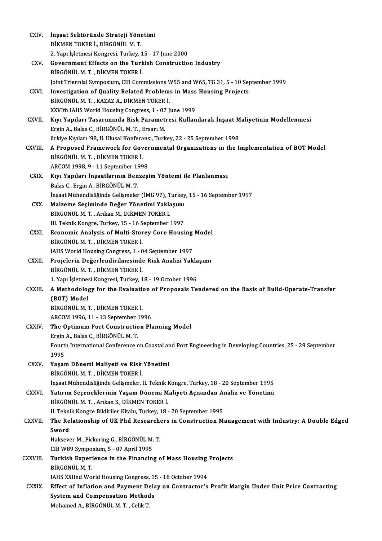| CXIV.         | İnşaat Sektöründe Strateji Yönetimi                                                                                |
|---------------|--------------------------------------------------------------------------------------------------------------------|
|               | DİKMEN TOKER İ., BİRGÖNÜL M.T.                                                                                     |
|               | 2. Yapı İşletmesi Kongresi, Turkey, 15 - 17 June 2000                                                              |
| CXV.          | Government Effects on the Turkish Construction Industry                                                            |
|               | BİRGÖNÜL M. T., DİKMEN TOKER İ.                                                                                    |
|               | Joint Triennial Symposium, CIB Commissions W55 and W65, TG 31, 5 - 10 September 1999                               |
| CXVI.         | Investigation of Quality Related Problems in Mass Housing Projects                                                 |
|               | BİRGÖNÜL M. T., KAZAZ A., DİKMEN TOKER İ.                                                                          |
|               | XXVIth IAHS World Housing Congress, 1 - 07 June 1999                                                               |
| CXVII.        | Kıyı Yapıları Tasarımında Risk Parametresi Kullanılarak İnşaat Maliyetinin Modellenmesi                            |
|               | Ergin A., Balas C., BİRGÖNÜL M.T., Ersarı M.                                                                       |
|               | ürkiye Kıyıları '98, II. Ulusal Konferansı, Turkey, 22 - 25 September 1998                                         |
| CXVIII.       | A Proposed Framework for Governmental Organisations in the Implementation of BOT Model                             |
|               | BİRGÖNÜL M.T., DİKMEN TOKER İ.<br>ARCOM 1998, 9 - 11 September 1998                                                |
| CXIX.         | Kıyı Yapıları İnşaatlarının Benzeşim Yöntemi ile Planlanması                                                       |
|               | Balas C., Ergin A., BİRGÖNÜL M.T.                                                                                  |
|               | İnşaat Mühendisliğinde Gelişmeler (İMG'97), Turkey, 15 - 16 September 1997                                         |
| CXX.          | Malzeme Seçiminde Değer Yönetimi Yaklaşımı                                                                         |
|               | BİRGÖNÜL M. T., Arıkan M., DİKMEN TOKER İ.                                                                         |
|               | III. Teknik Kongre, Turkey, 15 - 16 September 1997                                                                 |
| CXXI.         | Economic Analysis of Multi-Storey Core Housing Model                                                               |
|               | BİRGÖNÜL M. T., DİKMEN TOKER İ.                                                                                    |
|               | IAHS World Housing Congress, 1 - 04 September 1997                                                                 |
| <b>CXXII</b>  | Projelerin Değerlendirilmesinde Risk Analizi Yaklaşımı                                                             |
|               | BİRGÖNÜL M. T., DİKMEN TOKER İ.                                                                                    |
|               | 1. Yapı İşletmesi Kongresi, Turkey, 18 - 19 October 1996                                                           |
| <b>CXXIII</b> | A Methodology for the Evaluation of Proposals Tendered on the Basis of Build-Operate-Transfer                      |
|               | (BOT) Model                                                                                                        |
|               | BIRGÖNÜL M. T. . DİKMEN TOKER İ.                                                                                   |
|               | ARCOM 1996, 11 - 13 September 1996                                                                                 |
| <b>CXXIV</b>  | The Optimum Port Construction Planning Model                                                                       |
|               | Ergin A., Balas C., BİRGÖNÜL M.T.                                                                                  |
|               | Fourth International Conference on Coastal and Port Engineering in Developing Countries, 25 - 29 September<br>1995 |
| <b>CXXV</b>   | Yaşam Dönemi Maliyeti ve Risk Yönetimi                                                                             |
|               | BİRGÖNÜL M. T., DİKMEN TOKER İ.                                                                                    |
|               | İnşaat Mühendisliğinde Gelişmeler, II. Teknik Kongre, Turkey, 18 - 20 September 1995                               |
| CXXVI.        | Yatırım Seçeneklerinin Yaşam Dönemi Maliyeti Açısından Analiz ve Yönetimi                                          |
|               | BİRGÖNÜL M. T., Arıkan S., DİKMEN TOKER İ.                                                                         |
|               | II. Teknik Kongre Bildiriler Kitabı, Turkey, 18 - 20 September 1995                                                |
| <b>CXXVII</b> | The Relationship of UK Phd Researchers in Construction Management with Industry: A Double Edged                    |
|               | Sword                                                                                                              |
|               | Haksever M., Pickering G., BİRGÖNÜL M.T.                                                                           |
|               | CIB W89 Symposium, 5 - 07 April 1995                                                                               |
| CXXVIII.      | Turkish Experience in the Financing of Mass Housing Projects                                                       |
|               | BİRGÖNÜL M.T.                                                                                                      |
|               | IAHS XXIInd World Housing Congress, 15 - 18 October 1994                                                           |
| <b>CXXIX</b>  | Effect of Inflation and Payment Delay on Contractor's Profit Margin Under Unit Price Contracting                   |
|               | <b>System and Compensation Methods</b>                                                                             |
|               | Mohamed A., BİRGÖNÜL M. T., Celik T.                                                                               |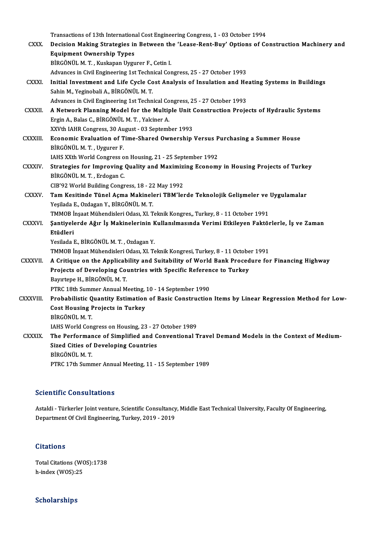Transactions of 13th International Cost Engineering Congress, 1 - 03 October 1994<br>Desision Making Strategies in Petusen the 'Lease Pant Puy' Options of Co

- CXXX. Decision Making Strategies in Between the 'Lease-Rent-Buy' Options of Construction Machinery and<br>Equipment Ownership Types Transactions of 13th Internation<br>Decision Making Strategies in<br>Equipment Ownership Types<br>Pincöntiu M.T. Kuskapen Urgu BİRGÖNÜLM.T., Kuskapan Uygurer F., Cetin I. BİRGÖNÜL M. T. , Kuskapan Uygurer F., Cetin I.<br>Advances in Civil Engineering 1st Technical Congress, 25 - 27 October 1993<br>CXXXI. Initial Investment and Life Cycle Cost Analysis of Insulation and Heating Systems in Building
	- Advances in Civil Engineering 1st Technical Congress, 25 27 October 1993
- Sahin M., Yeginobali A., BİRGÖNÜL M. T.<br>Advances in Civil Engineering 1st Technical Congress, 25 27 October 1993 Initial Investment and Life Cycle Cost Analysis of Insulation and He<br>Sahin M., Yeginobali A., BİRGÖNÜL M. T.<br>Advances in Civil Engineering 1st Technical Congress, 25 - 27 October 1993<br>A Network Blanning Model for the Multi Sahin M., Yeginobali A., BİRGÖNÜL M. T.<br>Advances in Civil Engineering 1st Technical Congress, 25 - 27 October 1993<br>CXXXII. A Network Planning Model for the Multiple Unit Construction Projects of Hydraulic Systems
- Advances in Civil Engineering 1st Technical Co<br>**A Network Planning Model for the Multip**<br>Ergin A., Balas C., BİRGÖNÜL M.T., Yalciner A. A Network Planning Model for the Multiple Unit (<br>Ergin A., Balas C., BİRGÖNÜL M. T. , Yalciner A.<br>XXVth IAHR Congress, 30 August - 03 September 1993<br>Feonomic Evaluation of Time Shared Qumershin XXVth IAHR Congress, 30 August - 03 September 1993
- Ergin A., Balas C., BİRGÖNÜL M. T. , Yalciner A.<br>XXVth IAHR Congress, 30 August 03 September 1993<br>CXXXIII. Economic Evaluation of Time-Shared Ownership Versus Purchasing a Summer House<br>BİRGÖNÜL M. T. , Uygurer F. Economic Evaluation of Time-Shared Ownership Versus P<br>BİRGÖNÜL M. T. , Uygurer F.<br>IAHS XXth World Congress on Housing, 21 - 25 September 1992<br>Strategies for Imnusuing Quality and Mayimizing Esonomy
	-
- BIRGÖNÜL M. T. , Uygurer F.<br>IAHS XXth World Congress on Housing, 21 25 September 1992<br>CXXXIV. Strategies for Improving Quality and Maximizing Economy in Housing Projects of Turkey IAHS XXth World Congress o<br>Strategies for Improving<br>BİRGÖNÜL M.T., Erdogan C.<br>CIP'93 World Puilding Congr Strategies for Improving Quality and Maximiz<br>BİRGÖNÜL M. T. , Erdogan C.<br>CIB'92 World Building Congress, 18 - 22 May 1992<br>Tam Kasitinda Tünal Asma Makinaları TBM'laı
	- CIB'92 World Building Congress, 18 22 May 1992
- BİRGÖNÜL M. T. , Erdogan C.<br>CIB'92 World Building Congress, 18 22 May 1992<br>CXXXV. Tam Kesitinde Tünel Açma Makineleri TBM'lerde Teknolojik Gelişmeler ve Uygulamalar<br>Yeşilada E., Ozdagan Y., BİRGÖNÜL M. T. Tam Kesitinde Tünel Açma Makineleri TBM'lerde Teknolojik Gelişmeler ve<br>Yeşilada E., Ozdagan Y., BİRGÖNÜL M. T.<br>TMMOB İnşaat Mühendisleri Odası, XI. Teknik Kongres,, Turkey, 8 - 11 October 1991<br>Santivalanda Ağunla Makinalan
- CXXXVI. Şantiyelerde Ağır İş Makinelerinin Kullanılmasında Verimi Etkileyen Faktörlerle, İş ve Zaman<br>Etüdleri TMMOB İ<br>Şantiyele<br>Etüdleri Etüdleri<br>Yesilada E., BİRGÖNÜL M. T. , Ozdagan Y.<br>TMMOB İnşaat Mühendisleri Odası, XI. Teknik Kongresi, Turkey, 8 - 11 October 1991<br>A Gritiaue en the Annlisebility and Suitebility of World Bank Presedure fol
	- Yesilada E., BİRGÖNÜL M.T., Ozdagan Y.

- Yesilada E., BİRGÖNÜL M. T. , Ozdagan Y.<br>TMMOB İnşaat Mühendisleri Odası, XI. Teknik Kongresi, Turkey, 8 11 October 1991<br>CXXXVII. A Critique on the Applicability and Suitability of World Bank Procedure for Financing TMMOB İnşaat Mühendisleri Odası, XI. Teknik Kongresi, Turkey, 8 - 11 Octobe<br>A Critique on the Applicability and Suitability of World Bank Proced<br>Projects of Developing Countries with Specific Reference to Turkey<br>Payutane H A Critique on the Applicab<br>Projects of Developing Co<br>Bayırtepe H., BİRGÖNÜL M.T.<br>PTPC 19th Summer Appual M Projects of Developing Countries with Specific Reference to Turkey<br>Bayırtepe H., BİRGÖNÜL M. T.<br>PTRC 18th Summer Annual Meeting, 10 - 14 September 1990
- Bayırtepe H., BİRGÖNÜL M. T.<br>PTRC 18th Summer Annual Meeting, 10 14 September 1990<br>CXXXVIII. Probabilistic Quantity Estimation of Basic Construction Items by Linear Regression Method for Low-<br>Cest Housing Projects in PTRC 18th Summer Annual Meeting,<br>Probabilistic Quantity Estimation<br>Cost Housing Projects in Turkey<br>Pincõntiu M T Probabilistic Q<br>Cost Housing F<br>BİRGÖNÜL M.T.<br>JAHS World Con
	-

Cost Housing Projects in Turkey<br>BİRGÖNÜL M. T.<br>IAHS World Congress on Housing, 23 - 27 October 1989

CXXXIX. The Performance of Simplified and Conventional Travel Demand Models in the Context of Medium-IAHS World Congress on Housing, 23 - 27<br>The Performance of Simplified and C<br>Sized Cities of Developing Countries<br>Pincôntiu M T The Performar<br>Sized Cities of<br>BİRGÖNÜL M.T.<br>PTPC 17th Sump BİRGÖNÜL M. T.<br>PTRC 17th Summer Annual Meeting, 11 - 15 September 1989

### Scientific Consultations

Scientific Consultations<br>Astaldi - Türkerler Joint venture, Scientific Consultancy, Middle East Technical University, Faculty Of Engineering,<br>Denartment Of Civil Engineering, Turkey, 2019, 2019. Deformative Gemeatications<br>Astaldi - Türkerler Joint venture, Scientific Consultancy<br>Department Of Civil Engineering, Turkey, 2019 - 2019 Department Of Civil Engineering, Turkey, 2019 - 2019<br>Citations

Citations<br>Total Citations (WOS):1738<br>h index (WOS):25 ortations<br>Total Citations (WO<br>h-index (WOS):25

# h-index (WOS):25<br>Scholarships